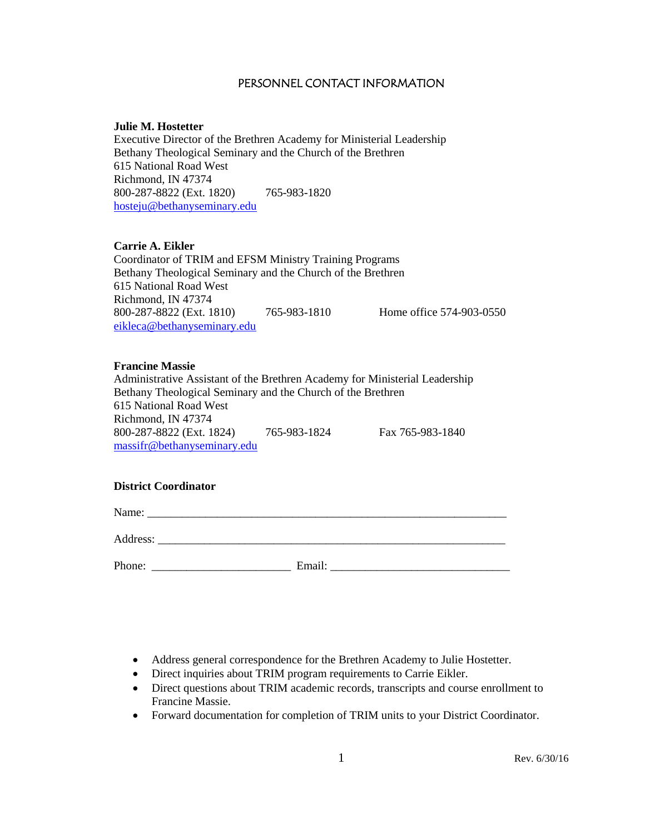### PERSONNEL CONTACT INFORMATION

#### **Julie M. Hostetter**

Executive Director of the Brethren Academy for Ministerial Leadership Bethany Theological Seminary and the Church of the Brethren 615 National Road West Richmond, IN 47374 800-287-8822 (Ext. 1820) 765-983-1820 [hosteju@bethanyseminary.edu](mailto:hosteju@bethanyseminary.edu)

#### **Carrie A. Eikler**

Coordinator of TRIM and EFSM Ministry Training Programs Bethany Theological Seminary and the Church of the Brethren 615 National Road West Richmond, IN 47374 800-287-8822 (Ext. 1810) 765-983-1810 Home office 574-903-0550 [eikleca@bethanyseminary.edu](mailto:eikleca@bethanyseminary.edu)

### **Francine Massie**

Administrative Assistant of the Brethren Academy for Ministerial Leadership Bethany Theological Seminary and the Church of the Brethren 615 National Road West Richmond, IN 47374 800-287-8822 (Ext. 1824) 765-983-1824 Fax 765-983-1840 massifr@bethanyseminary.edu

### **District Coordinator**

Name: \_\_\_\_\_\_\_\_\_\_\_\_\_\_\_\_\_\_\_\_\_\_\_\_\_\_\_\_\_\_\_\_\_\_\_\_\_\_\_\_\_\_\_\_\_\_\_\_\_\_\_\_\_\_\_\_\_\_\_\_\_\_

Address:

Phone: \_\_\_\_\_\_\_\_\_\_\_\_\_\_\_\_\_\_\_\_\_\_\_\_ Email: \_\_\_\_\_\_\_\_\_\_\_\_\_\_\_\_\_\_\_\_\_\_\_\_\_\_\_\_\_\_\_

- Address general correspondence for the Brethren Academy to Julie Hostetter.
- Direct inquiries about TRIM program requirements to Carrie Eikler.
- Direct questions about TRIM academic records, transcripts and course enrollment to Francine Massie.
- Forward documentation for completion of TRIM units to your District Coordinator.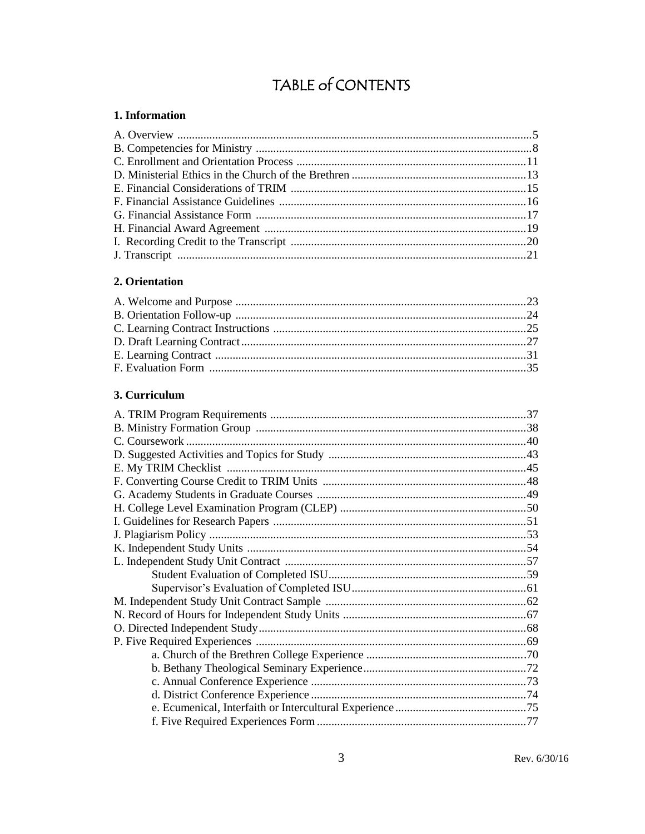# TABLE of CONTENTS

### 1. Information

### 2. Orientation

### 3. Curriculum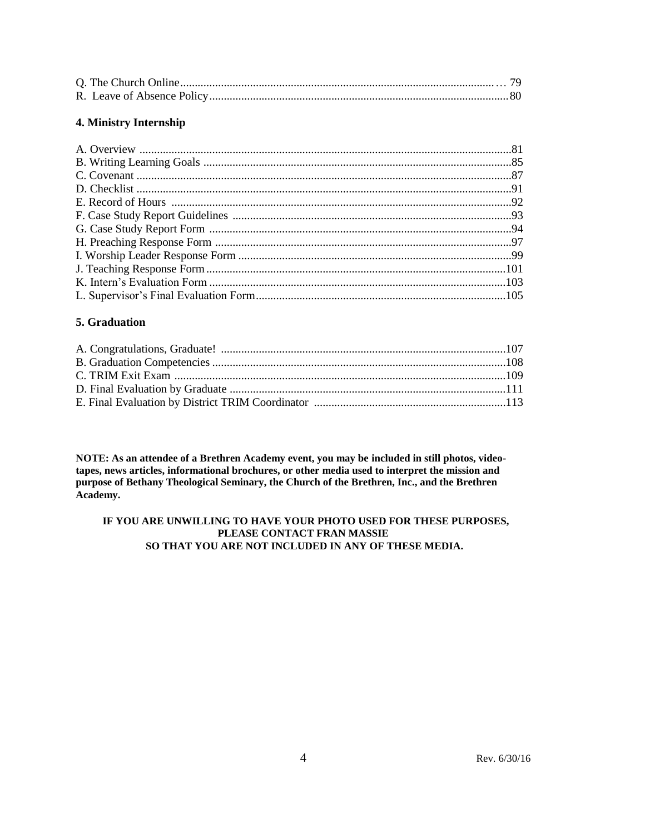### 4. Ministry Internship

### 5. Graduation

NOTE: As an attendee of a Brethren Academy event, you may be included in still photos, videotapes, news articles, informational brochures, or other media used to interpret the mission and purpose of Bethany Theological Seminary, the Church of the Brethren, Inc., and the Brethren Academy.

#### IF YOU ARE UNWILLING TO HAVE YOUR PHOTO USED FOR THESE PURPOSES, PLEASE CONTACT FRAN MASSIE SO THAT YOU ARE NOT INCLUDED IN ANY OF THESE MEDIA.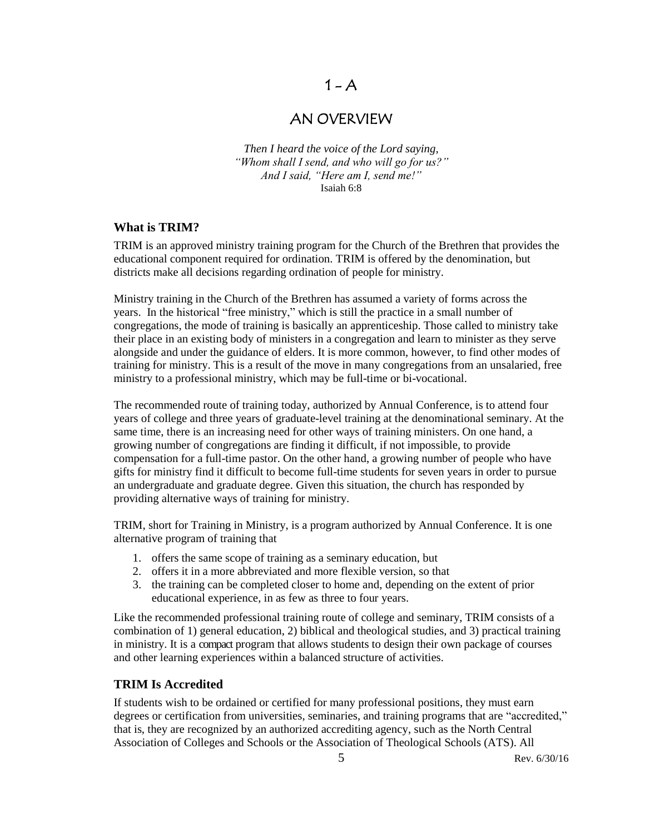## $1 - A$

## AN OVERVIEW

*Then I heard the voice of the Lord saying, "Whom shall I send, and who will go for us?" And I said, "Here am I, send me!"* Isaiah 6:8

### **What is TRIM?**

TRIM is an approved ministry training program for the Church of the Brethren that provides the educational component required for ordination. TRIM is offered by the denomination, but districts make all decisions regarding ordination of people for ministry.

Ministry training in the Church of the Brethren has assumed a variety of forms across the years. In the historical "free ministry," which is still the practice in a small number of congregations, the mode of training is basically an apprenticeship. Those called to ministry take their place in an existing body of ministers in a congregation and learn to minister as they serve alongside and under the guidance of elders. It is more common, however, to find other modes of training for ministry. This is a result of the move in many congregations from an unsalaried, free ministry to a professional ministry, which may be full-time or bi-vocational.

The recommended route of training today, authorized by Annual Conference, is to attend four years of college and three years of graduate-level training at the denominational seminary. At the same time, there is an increasing need for other ways of training ministers. On one hand, a growing number of congregations are finding it difficult, if not impossible, to provide compensation for a full-time pastor. On the other hand, a growing number of people who have gifts for ministry find it difficult to become full-time students for seven years in order to pursue an undergraduate and graduate degree. Given this situation, the church has responded by providing alternative ways of training for ministry.

TRIM, short for Training in Ministry, is a program authorized by Annual Conference. It is one alternative program of training that

- 1. offers the same scope of training as a seminary education, but
- 2. offers it in a more abbreviated and more flexible version, so that
- 3. the training can be completed closer to home and, depending on the extent of prior educational experience, in as few as three to four years.

Like the recommended professional training route of college and seminary, TRIM consists of a combination of 1) general education, 2) biblical and theological studies, and 3) practical training in ministry. It is a compact program that allows students to design their own package of courses and other learning experiences within a balanced structure of activities.

### **TRIM Is Accredited**

If students wish to be ordained or certified for many professional positions, they must earn degrees or certification from universities, seminaries, and training programs that are "accredited," that is, they are recognized by an authorized accrediting agency, such as the North Central Association of Colleges and Schools or the Association of Theological Schools (ATS). All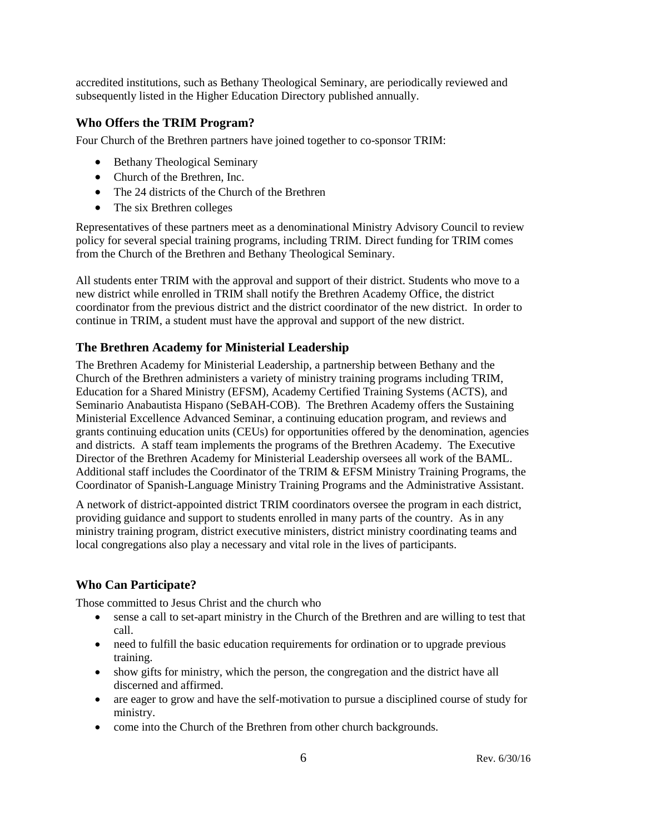accredited institutions, such as Bethany Theological Seminary, are periodically reviewed and subsequently listed in the Higher Education Directory published annually.

### **Who Offers the TRIM Program?**

Four Church of the Brethren partners have joined together to co-sponsor TRIM:

- Bethany Theological Seminary
- Church of the Brethren, Inc.
- The 24 districts of the Church of the Brethren
- The six Brethren colleges

Representatives of these partners meet as a denominational Ministry Advisory Council to review policy for several special training programs, including TRIM. Direct funding for TRIM comes from the Church of the Brethren and Bethany Theological Seminary.

All students enter TRIM with the approval and support of their district. Students who move to a new district while enrolled in TRIM shall notify the Brethren Academy Office, the district coordinator from the previous district and the district coordinator of the new district. In order to continue in TRIM, a student must have the approval and support of the new district.

### **The Brethren Academy for Ministerial Leadership**

The Brethren Academy for Ministerial Leadership, a partnership between Bethany and the Church of the Brethren administers a variety of ministry training programs including TRIM, Education for a Shared Ministry (EFSM), Academy Certified Training Systems (ACTS), and Seminario Anabautista Hispano (SeBAH-COB). The Brethren Academy offers the Sustaining Ministerial Excellence Advanced Seminar, a continuing education program, and reviews and grants continuing education units (CEUs) for opportunities offered by the denomination, agencies and districts. A staff team implements the programs of the Brethren Academy. The Executive Director of the Brethren Academy for Ministerial Leadership oversees all work of the BAML. Additional staff includes the Coordinator of the TRIM & EFSM Ministry Training Programs, the Coordinator of Spanish-Language Ministry Training Programs and the Administrative Assistant.

A network of district-appointed district TRIM coordinators oversee the program in each district, providing guidance and support to students enrolled in many parts of the country. As in any ministry training program, district executive ministers, district ministry coordinating teams and local congregations also play a necessary and vital role in the lives of participants.

### **Who Can Participate?**

Those committed to Jesus Christ and the church who

- sense a call to set-apart ministry in the Church of the Brethren and are willing to test that call.
- need to fulfill the basic education requirements for ordination or to upgrade previous training.
- show gifts for ministry, which the person, the congregation and the district have all discerned and affirmed.
- are eager to grow and have the self-motivation to pursue a disciplined course of study for ministry.
- come into the Church of the Brethren from other church backgrounds.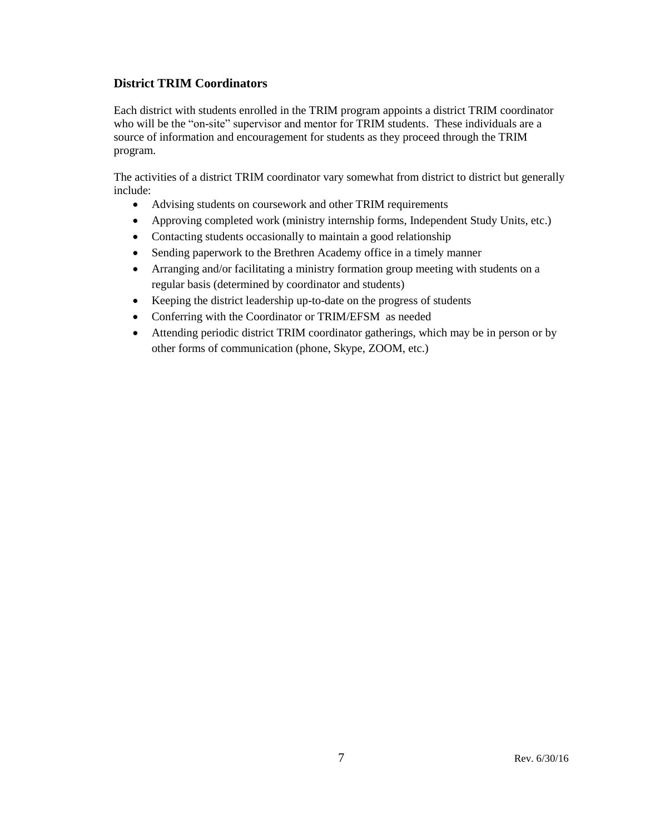### **District TRIM Coordinators**

Each district with students enrolled in the TRIM program appoints a district TRIM coordinator who will be the "on-site" supervisor and mentor for TRIM students. These individuals are a source of information and encouragement for students as they proceed through the TRIM program.

The activities of a district TRIM coordinator vary somewhat from district to district but generally include:

- Advising students on coursework and other TRIM requirements
- Approving completed work (ministry internship forms, Independent Study Units, etc.)
- Contacting students occasionally to maintain a good relationship
- Sending paperwork to the Brethren Academy office in a timely manner
- Arranging and/or facilitating a ministry formation group meeting with students on a regular basis (determined by coordinator and students)
- Keeping the district leadership up-to-date on the progress of students
- Conferring with the Coordinator or TRIM/EFSM as needed
- Attending periodic district TRIM coordinator gatherings, which may be in person or by other forms of communication (phone, Skype, ZOOM, etc.)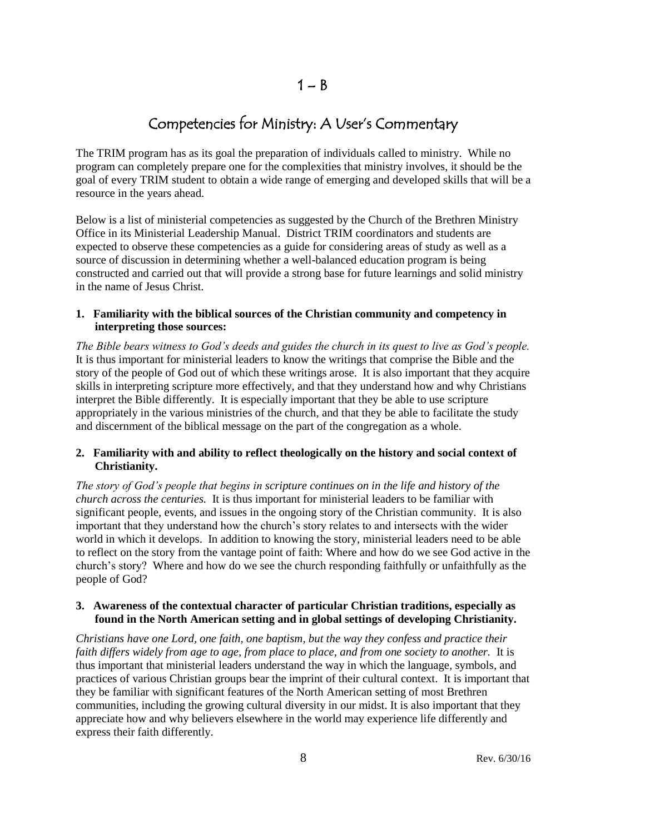## Competencies for Ministry: A User's Commentary

The TRIM program has as its goal the preparation of individuals called to ministry. While no program can completely prepare one for the complexities that ministry involves, it should be the goal of every TRIM student to obtain a wide range of emerging and developed skills that will be a resource in the years ahead.

Below is a list of ministerial competencies as suggested by the Church of the Brethren Ministry Office in its Ministerial Leadership Manual. District TRIM coordinators and students are expected to observe these competencies as a guide for considering areas of study as well as a source of discussion in determining whether a well-balanced education program is being constructed and carried out that will provide a strong base for future learnings and solid ministry in the name of Jesus Christ.

### **1. Familiarity with the biblical sources of the Christian community and competency in interpreting those sources:**

*The Bible bears witness to God's deeds and guides the church in its quest to live as God's people.* It is thus important for ministerial leaders to know the writings that comprise the Bible and the story of the people of God out of which these writings arose. It is also important that they acquire skills in interpreting scripture more effectively, and that they understand how and why Christians interpret the Bible differently. It is especially important that they be able to use scripture appropriately in the various ministries of the church, and that they be able to facilitate the study and discernment of the biblical message on the part of the congregation as a whole.

### **2. Familiarity with and ability to reflect theologically on the history and social context of Christianity.**

*The story of God's people that begins in scripture continues on in the life and history of the church across the centuries.* It is thus important for ministerial leaders to be familiar with significant people, events, and issues in the ongoing story of the Christian community. It is also important that they understand how the church's story relates to and intersects with the wider world in which it develops. In addition to knowing the story, ministerial leaders need to be able to reflect on the story from the vantage point of faith: Where and how do we see God active in the church's story? Where and how do we see the church responding faithfully or unfaithfully as the people of God?

### **3. Awareness of the contextual character of particular Christian traditions, especially as found in the North American setting and in global settings of developing Christianity.**

*Christians have one Lord, one faith, one baptism, but the way they confess and practice their faith differs widely from age to age, from place to place, and from one society to another.* It is thus important that ministerial leaders understand the way in which the language, symbols, and practices of various Christian groups bear the imprint of their cultural context. It is important that they be familiar with significant features of the North American setting of most Brethren communities, including the growing cultural diversity in our midst. It is also important that they appreciate how and why believers elsewhere in the world may experience life differently and express their faith differently.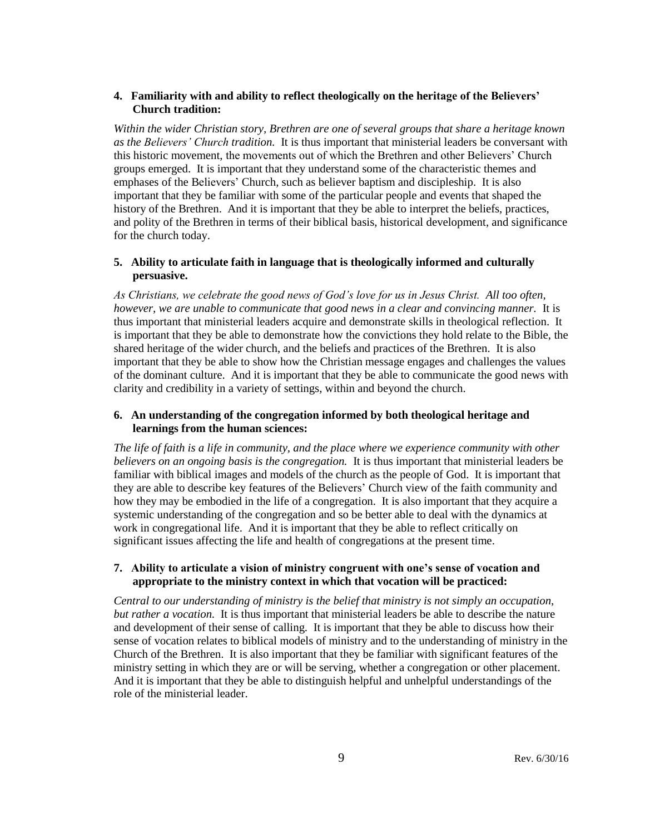### **4. Familiarity with and ability to reflect theologically on the heritage of the Believers' Church tradition:**

*Within the wider Christian story, Brethren are one of several groups that share a heritage known as the Believers' Church tradition.* It is thus important that ministerial leaders be conversant with this historic movement, the movements out of which the Brethren and other Believers' Church groups emerged. It is important that they understand some of the characteristic themes and emphases of the Believers' Church, such as believer baptism and discipleship. It is also important that they be familiar with some of the particular people and events that shaped the history of the Brethren. And it is important that they be able to interpret the beliefs, practices, and polity of the Brethren in terms of their biblical basis, historical development, and significance for the church today.

### **5. Ability to articulate faith in language that is theologically informed and culturally persuasive.**

*As Christians, we celebrate the good news of God's love for us in Jesus Christ. All too often, however, we are unable to communicate that good news in a clear and convincing manner.* It is thus important that ministerial leaders acquire and demonstrate skills in theological reflection. It is important that they be able to demonstrate how the convictions they hold relate to the Bible, the shared heritage of the wider church, and the beliefs and practices of the Brethren. It is also important that they be able to show how the Christian message engages and challenges the values of the dominant culture. And it is important that they be able to communicate the good news with clarity and credibility in a variety of settings, within and beyond the church.

### **6. An understanding of the congregation informed by both theological heritage and learnings from the human sciences:**

*The life of faith is a life in community, and the place where we experience community with other believers on an ongoing basis is the congregation.* It is thus important that ministerial leaders be familiar with biblical images and models of the church as the people of God. It is important that they are able to describe key features of the Believers' Church view of the faith community and how they may be embodied in the life of a congregation. It is also important that they acquire a systemic understanding of the congregation and so be better able to deal with the dynamics at work in congregational life. And it is important that they be able to reflect critically on significant issues affecting the life and health of congregations at the present time.

### **7. Ability to articulate a vision of ministry congruent with one's sense of vocation and appropriate to the ministry context in which that vocation will be practiced:**

*Central to our understanding of ministry is the belief that ministry is not simply an occupation, but rather a vocation.* It is thus important that ministerial leaders be able to describe the nature and development of their sense of calling. It is important that they be able to discuss how their sense of vocation relates to biblical models of ministry and to the understanding of ministry in the Church of the Brethren. It is also important that they be familiar with significant features of the ministry setting in which they are or will be serving, whether a congregation or other placement. And it is important that they be able to distinguish helpful and unhelpful understandings of the role of the ministerial leader.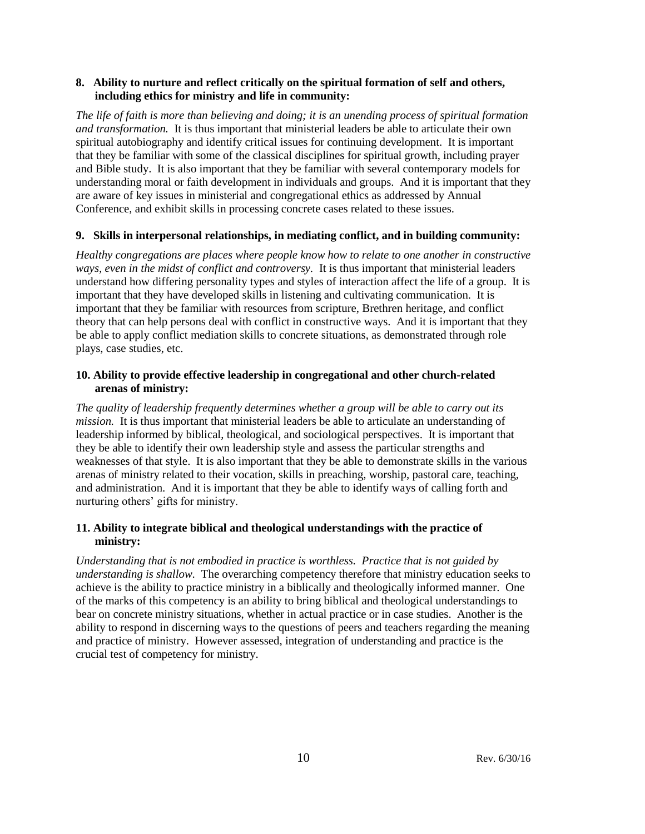### **8. Ability to nurture and reflect critically on the spiritual formation of self and others, including ethics for ministry and life in community:**

*The life of faith is more than believing and doing; it is an unending process of spiritual formation and transformation.* It is thus important that ministerial leaders be able to articulate their own spiritual autobiography and identify critical issues for continuing development. It is important that they be familiar with some of the classical disciplines for spiritual growth, including prayer and Bible study. It is also important that they be familiar with several contemporary models for understanding moral or faith development in individuals and groups. And it is important that they are aware of key issues in ministerial and congregational ethics as addressed by Annual Conference, and exhibit skills in processing concrete cases related to these issues.

### **9. Skills in interpersonal relationships, in mediating conflict, and in building community:**

*Healthy congregations are places where people know how to relate to one another in constructive ways, even in the midst of conflict and controversy.* It is thus important that ministerial leaders understand how differing personality types and styles of interaction affect the life of a group. It is important that they have developed skills in listening and cultivating communication. It is important that they be familiar with resources from scripture, Brethren heritage, and conflict theory that can help persons deal with conflict in constructive ways. And it is important that they be able to apply conflict mediation skills to concrete situations, as demonstrated through role plays, case studies, etc.

### **10. Ability to provide effective leadership in congregational and other church-related arenas of ministry:**

*The quality of leadership frequently determines whether a group will be able to carry out its mission.* It is thus important that ministerial leaders be able to articulate an understanding of leadership informed by biblical, theological, and sociological perspectives. It is important that they be able to identify their own leadership style and assess the particular strengths and weaknesses of that style. It is also important that they be able to demonstrate skills in the various arenas of ministry related to their vocation, skills in preaching, worship, pastoral care, teaching, and administration. And it is important that they be able to identify ways of calling forth and nurturing others' gifts for ministry.

### **11. Ability to integrate biblical and theological understandings with the practice of ministry:**

*Understanding that is not embodied in practice is worthless. Practice that is not guided by understanding is shallow.* The overarching competency therefore that ministry education seeks to achieve is the ability to practice ministry in a biblically and theologically informed manner. One of the marks of this competency is an ability to bring biblical and theological understandings to bear on concrete ministry situations, whether in actual practice or in case studies. Another is the ability to respond in discerning ways to the questions of peers and teachers regarding the meaning and practice of ministry. However assessed, integration of understanding and practice is the crucial test of competency for ministry.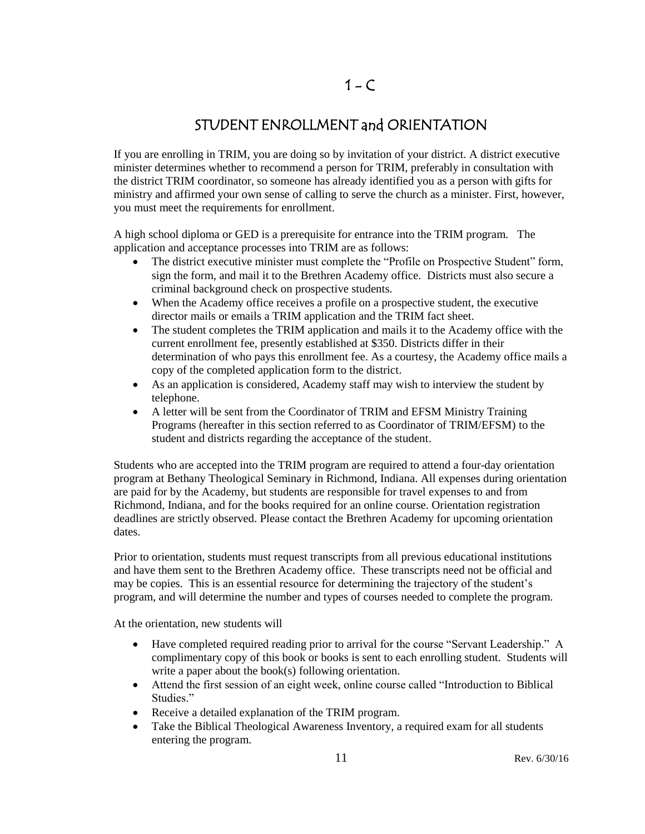## STUDENT ENROLLMENT and ORIENTATION

If you are enrolling in TRIM, you are doing so by invitation of your district. A district executive minister determines whether to recommend a person for TRIM, preferably in consultation with the district TRIM coordinator, so someone has already identified you as a person with gifts for ministry and affirmed your own sense of calling to serve the church as a minister. First, however, you must meet the requirements for enrollment.

A high school diploma or GED is a prerequisite for entrance into the TRIM program. The application and acceptance processes into TRIM are as follows:

- The district executive minister must complete the "Profile on Prospective Student" form, sign the form, and mail it to the Brethren Academy office. Districts must also secure a criminal background check on prospective students.
- When the Academy office receives a profile on a prospective student, the executive director mails or emails a TRIM application and the TRIM fact sheet.
- The student completes the TRIM application and mails it to the Academy office with the current enrollment fee, presently established at \$350. Districts differ in their determination of who pays this enrollment fee. As a courtesy, the Academy office mails a copy of the completed application form to the district.
- As an application is considered, Academy staff may wish to interview the student by telephone.
- A letter will be sent from the Coordinator of TRIM and EFSM Ministry Training Programs (hereafter in this section referred to as Coordinator of TRIM/EFSM) to the student and districts regarding the acceptance of the student.

Students who are accepted into the TRIM program are required to attend a four-day orientation program at Bethany Theological Seminary in Richmond, Indiana. All expenses during orientation are paid for by the Academy, but students are responsible for travel expenses to and from Richmond, Indiana, and for the books required for an online course. Orientation registration deadlines are strictly observed. Please contact the Brethren Academy for upcoming orientation dates.

Prior to orientation, students must request transcripts from all previous educational institutions and have them sent to the Brethren Academy office. These transcripts need not be official and may be copies. This is an essential resource for determining the trajectory of the student's program, and will determine the number and types of courses needed to complete the program.

At the orientation, new students will

- Have completed required reading prior to arrival for the course "Servant Leadership." A complimentary copy of this book or books is sent to each enrolling student. Students will write a paper about the book(s) following orientation.
- Attend the first session of an eight week, online course called "Introduction to Biblical Studies."
- Receive a detailed explanation of the TRIM program.
- Take the Biblical Theological Awareness Inventory, a required exam for all students entering the program.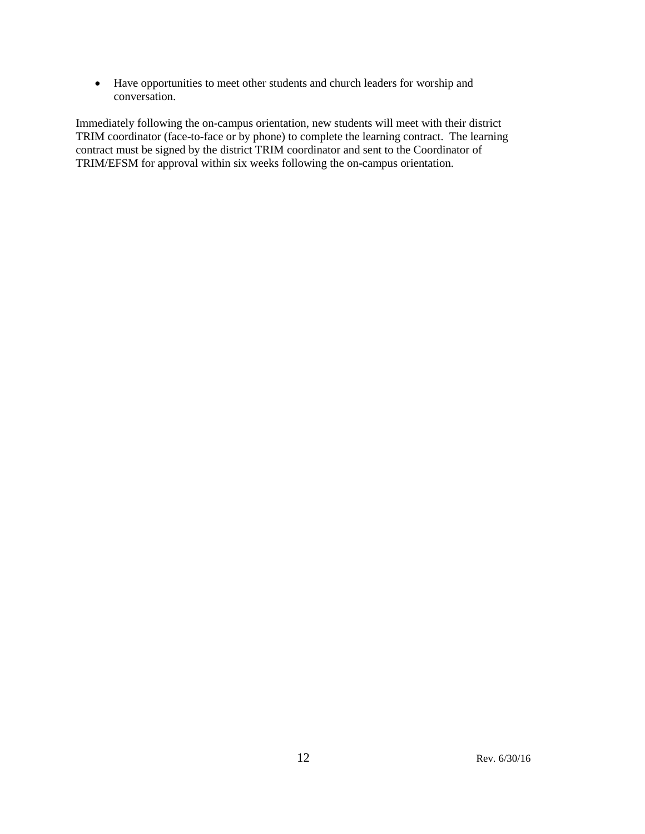Have opportunities to meet other students and church leaders for worship and conversation.

Immediately following the on-campus orientation, new students will meet with their district TRIM coordinator (face-to-face or by phone) to complete the learning contract. The learning contract must be signed by the district TRIM coordinator and sent to the Coordinator of TRIM/EFSM for approval within six weeks following the on-campus orientation.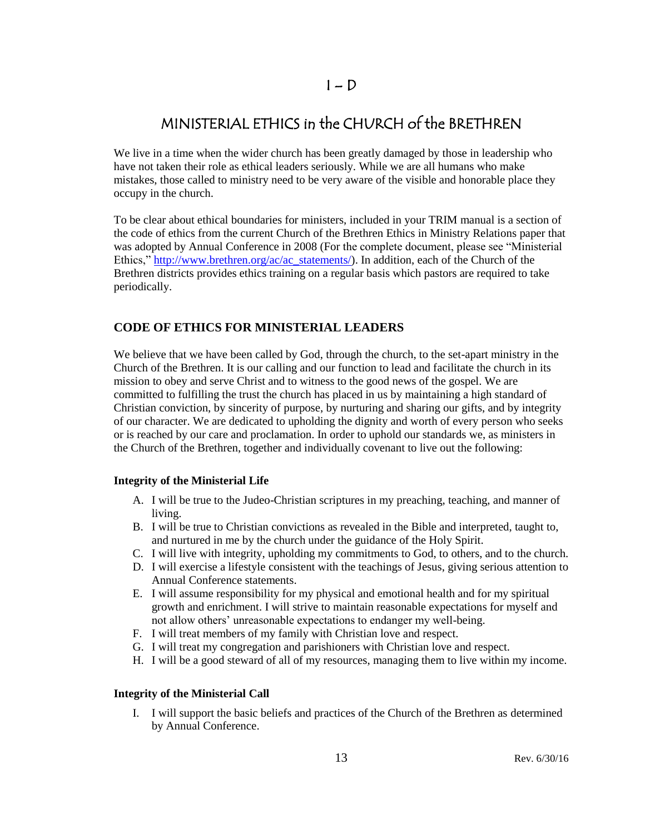### $I - D$

## MINISTERIAL ETHICS in the CHURCH of the BRETHREN

We live in a time when the wider church has been greatly damaged by those in leadership who have not taken their role as ethical leaders seriously. While we are all humans who make mistakes, those called to ministry need to be very aware of the visible and honorable place they occupy in the church.

To be clear about ethical boundaries for ministers, included in your TRIM manual is a section of the code of ethics from the current Church of the Brethren Ethics in Ministry Relations paper that was adopted by Annual Conference in 2008 (For the complete document, please see "Ministerial Ethics," [http://www.brethren.org/ac/ac\\_statements/\)](http://www.brethren.org/ac/ac_statements/). In addition, each of the Church of the Brethren districts provides ethics training on a regular basis which pastors are required to take periodically.

### **CODE OF ETHICS FOR MINISTERIAL LEADERS**

We believe that we have been called by God, through the church, to the set-apart ministry in the Church of the Brethren. It is our calling and our function to lead and facilitate the church in its mission to obey and serve Christ and to witness to the good news of the gospel. We are committed to fulfilling the trust the church has placed in us by maintaining a high standard of Christian conviction, by sincerity of purpose, by nurturing and sharing our gifts, and by integrity of our character. We are dedicated to upholding the dignity and worth of every person who seeks or is reached by our care and proclamation. In order to uphold our standards we, as ministers in the Church of the Brethren, together and individually covenant to live out the following:

### **Integrity of the Ministerial Life**

- A. I will be true to the Judeo-Christian scriptures in my preaching, teaching, and manner of living.
- B. I will be true to Christian convictions as revealed in the Bible and interpreted, taught to, and nurtured in me by the church under the guidance of the Holy Spirit.
- C. I will live with integrity, upholding my commitments to God, to others, and to the church.
- D. I will exercise a lifestyle consistent with the teachings of Jesus, giving serious attention to Annual Conference statements.
- E. I will assume responsibility for my physical and emotional health and for my spiritual growth and enrichment. I will strive to maintain reasonable expectations for myself and not allow others' unreasonable expectations to endanger my well-being.
- F. I will treat members of my family with Christian love and respect.
- G. I will treat my congregation and parishioners with Christian love and respect.
- H. I will be a good steward of all of my resources, managing them to live within my income.

### **Integrity of the Ministerial Call**

I. I will support the basic beliefs and practices of the Church of the Brethren as determined by Annual Conference.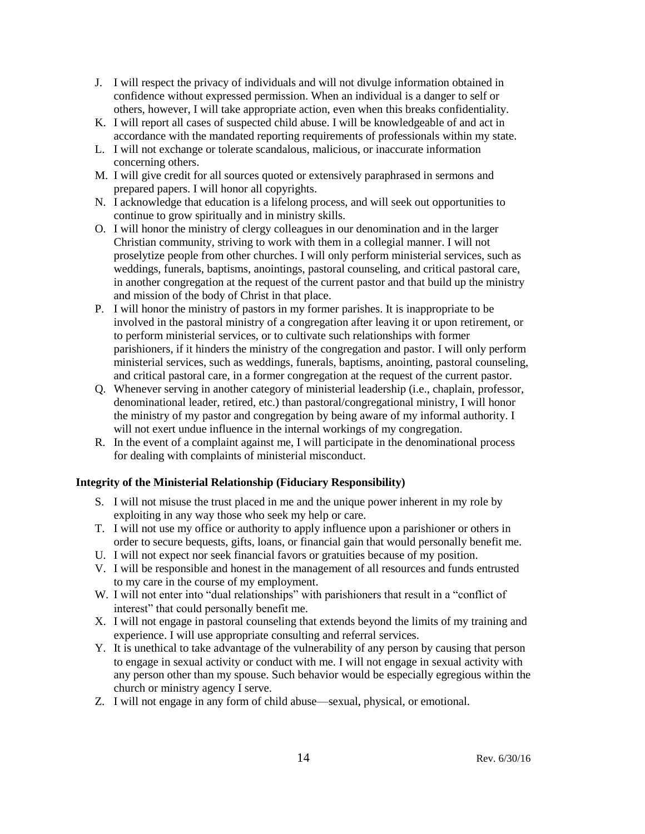- J. I will respect the privacy of individuals and will not divulge information obtained in confidence without expressed permission. When an individual is a danger to self or others, however, I will take appropriate action, even when this breaks confidentiality.
- K. I will report all cases of suspected child abuse. I will be knowledgeable of and act in accordance with the mandated reporting requirements of professionals within my state.
- L. I will not exchange or tolerate scandalous, malicious, or inaccurate information concerning others.
- M. I will give credit for all sources quoted or extensively paraphrased in sermons and prepared papers. I will honor all copyrights.
- N. I acknowledge that education is a lifelong process, and will seek out opportunities to continue to grow spiritually and in ministry skills.
- O. I will honor the ministry of clergy colleagues in our denomination and in the larger Christian community, striving to work with them in a collegial manner. I will not proselytize people from other churches. I will only perform ministerial services, such as weddings, funerals, baptisms, anointings, pastoral counseling, and critical pastoral care, in another congregation at the request of the current pastor and that build up the ministry and mission of the body of Christ in that place.
- P. I will honor the ministry of pastors in my former parishes. It is inappropriate to be involved in the pastoral ministry of a congregation after leaving it or upon retirement, or to perform ministerial services, or to cultivate such relationships with former parishioners, if it hinders the ministry of the congregation and pastor. I will only perform ministerial services, such as weddings, funerals, baptisms, anointing, pastoral counseling, and critical pastoral care, in a former congregation at the request of the current pastor.
- Q. Whenever serving in another category of ministerial leadership (i.e., chaplain, professor, denominational leader, retired, etc.) than pastoral/congregational ministry, I will honor the ministry of my pastor and congregation by being aware of my informal authority. I will not exert undue influence in the internal workings of my congregation.
- R. In the event of a complaint against me, I will participate in the denominational process for dealing with complaints of ministerial misconduct.

### **Integrity of the Ministerial Relationship (Fiduciary Responsibility)**

- S. I will not misuse the trust placed in me and the unique power inherent in my role by exploiting in any way those who seek my help or care.
- T. I will not use my office or authority to apply influence upon a parishioner or others in order to secure bequests, gifts, loans, or financial gain that would personally benefit me.
- U. I will not expect nor seek financial favors or gratuities because of my position.
- V. I will be responsible and honest in the management of all resources and funds entrusted to my care in the course of my employment.
- W. I will not enter into "dual relationships" with parishioners that result in a "conflict of interest" that could personally benefit me.
- X. I will not engage in pastoral counseling that extends beyond the limits of my training and experience. I will use appropriate consulting and referral services.
- Y. It is unethical to take advantage of the vulnerability of any person by causing that person to engage in sexual activity or conduct with me. I will not engage in sexual activity with any person other than my spouse. Such behavior would be especially egregious within the church or ministry agency I serve.
- Z. I will not engage in any form of child abuse—sexual, physical, or emotional.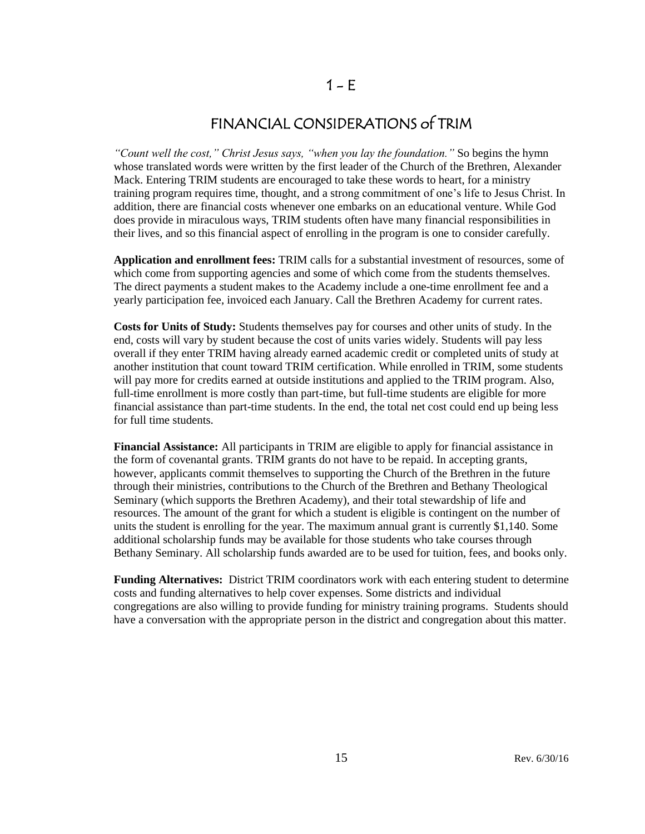## FINANCIAL CONSIDERATIONS of TRIM

*"Count well the cost," Christ Jesus says, "when you lay the foundation."* So begins the hymn whose translated words were written by the first leader of the Church of the Brethren, Alexander Mack. Entering TRIM students are encouraged to take these words to heart, for a ministry training program requires time, thought, and a strong commitment of one's life to Jesus Christ. In addition, there are financial costs whenever one embarks on an educational venture. While God does provide in miraculous ways, TRIM students often have many financial responsibilities in their lives, and so this financial aspect of enrolling in the program is one to consider carefully.

**Application and enrollment fees:** TRIM calls for a substantial investment of resources, some of which come from supporting agencies and some of which come from the students themselves. The direct payments a student makes to the Academy include a one-time enrollment fee and a yearly participation fee, invoiced each January. Call the Brethren Academy for current rates.

**Costs for Units of Study:** Students themselves pay for courses and other units of study. In the end, costs will vary by student because the cost of units varies widely. Students will pay less overall if they enter TRIM having already earned academic credit or completed units of study at another institution that count toward TRIM certification. While enrolled in TRIM, some students will pay more for credits earned at outside institutions and applied to the TRIM program. Also, full-time enrollment is more costly than part-time, but full-time students are eligible for more financial assistance than part-time students. In the end, the total net cost could end up being less for full time students.

**Financial Assistance:** All participants in TRIM are eligible to apply for financial assistance in the form of covenantal grants. TRIM grants do not have to be repaid. In accepting grants, however, applicants commit themselves to supporting the Church of the Brethren in the future through their ministries, contributions to the Church of the Brethren and Bethany Theological Seminary (which supports the Brethren Academy), and their total stewardship of life and resources. The amount of the grant for which a student is eligible is contingent on the number of units the student is enrolling for the year. The maximum annual grant is currently \$1,140. Some additional scholarship funds may be available for those students who take courses through Bethany Seminary. All scholarship funds awarded are to be used for tuition, fees, and books only.

**Funding Alternatives:** District TRIM coordinators work with each entering student to determine costs and funding alternatives to help cover expenses. Some districts and individual congregations are also willing to provide funding for ministry training programs. Students should have a conversation with the appropriate person in the district and congregation about this matter.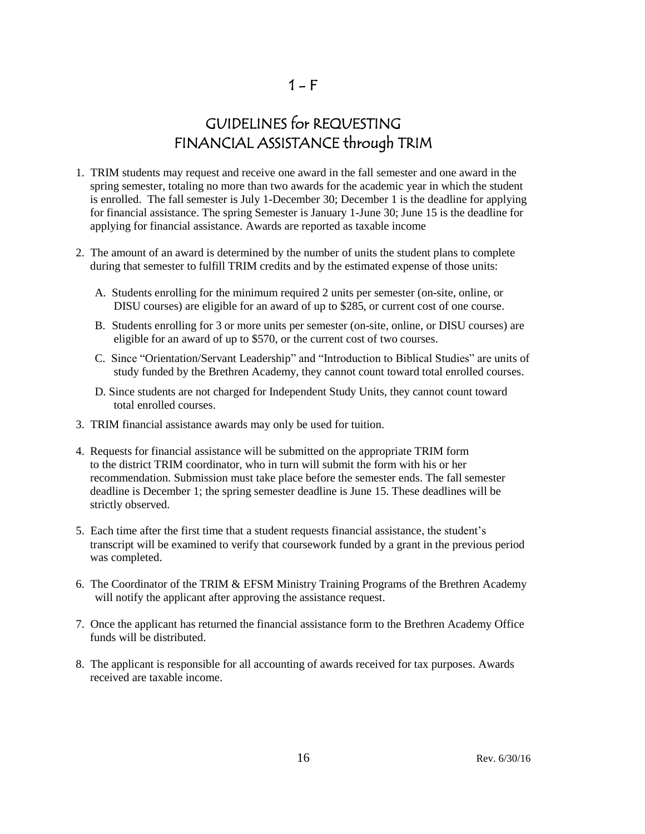## GUIDELINES for REQUESTING FINANCIAL ASSISTANCE through TRIM

- 1. TRIM students may request and receive one award in the fall semester and one award in the spring semester, totaling no more than two awards for the academic year in which the student is enrolled. The fall semester is July 1-December 30; December 1 is the deadline for applying for financial assistance. The spring Semester is January 1-June 30; June 15 is the deadline for applying for financial assistance. Awards are reported as taxable income
- 2. The amount of an award is determined by the number of units the student plans to complete during that semester to fulfill TRIM credits and by the estimated expense of those units:
	- A. Students enrolling for the minimum required 2 units per semester (on-site, online, or DISU courses) are eligible for an award of up to \$285, or current cost of one course.
	- B. Students enrolling for 3 or more units per semester (on-site, online, or DISU courses) are eligible for an award of up to \$570, or the current cost of two courses.
	- C. Since "Orientation/Servant Leadership" and "Introduction to Biblical Studies" are units of study funded by the Brethren Academy, they cannot count toward total enrolled courses.
	- D. Since students are not charged for Independent Study Units, they cannot count toward total enrolled courses.
- 3. TRIM financial assistance awards may only be used for tuition.
- 4. Requests for financial assistance will be submitted on the appropriate TRIM form to the district TRIM coordinator, who in turn will submit the form with his or her recommendation. Submission must take place before the semester ends. The fall semester deadline is December 1; the spring semester deadline is June 15. These deadlines will be strictly observed.
- 5. Each time after the first time that a student requests financial assistance, the student's transcript will be examined to verify that coursework funded by a grant in the previous period was completed.
- 6. The Coordinator of the TRIM & EFSM Ministry Training Programs of the Brethren Academy will notify the applicant after approving the assistance request.
- 7. Once the applicant has returned the financial assistance form to the Brethren Academy Office funds will be distributed.
- 8. The applicant is responsible for all accounting of awards received for tax purposes. Awards received are taxable income.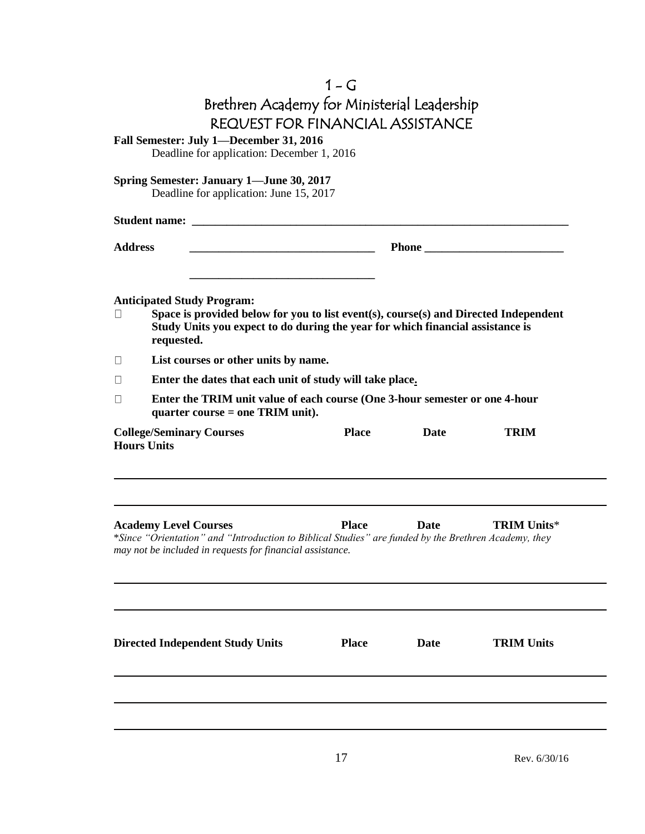|                    |                                                                                                                                                                                      | $1-G$        |             |                    |
|--------------------|--------------------------------------------------------------------------------------------------------------------------------------------------------------------------------------|--------------|-------------|--------------------|
|                    | Brethren Academy for Ministerial Leadership                                                                                                                                          |              |             |                    |
|                    | REQUEST FOR FINANCIAL ASSISTANCE                                                                                                                                                     |              |             |                    |
|                    | Fall Semester: July 1-December 31, 2016<br>Deadline for application: December 1, 2016                                                                                                |              |             |                    |
|                    | <b>Spring Semester: January 1—June 30, 2017</b>                                                                                                                                      |              |             |                    |
|                    | Deadline for application: June 15, 2017                                                                                                                                              |              |             |                    |
|                    |                                                                                                                                                                                      |              |             |                    |
| <b>Address</b>     |                                                                                                                                                                                      |              |             |                    |
|                    |                                                                                                                                                                                      |              |             |                    |
|                    | <b>Anticipated Study Program:</b>                                                                                                                                                    |              |             |                    |
| $\Box$             | Space is provided below for you to list event(s), course(s) and Directed Independent<br>Study Units you expect to do during the year for which financial assistance is<br>requested. |              |             |                    |
| $\Box$             | List courses or other units by name.                                                                                                                                                 |              |             |                    |
| $\Box$             | Enter the dates that each unit of study will take place.                                                                                                                             |              |             |                    |
| $\Box$             | Enter the TRIM unit value of each course (One 3-hour semester or one 4-hour<br>quarter course $=$ one TRIM unit).                                                                    |              |             |                    |
|                    | <b>College/Seminary Courses</b>                                                                                                                                                      | <b>Place</b> | <b>Date</b> | <b>TRIM</b>        |
| <b>Hours Units</b> |                                                                                                                                                                                      |              |             |                    |
|                    |                                                                                                                                                                                      |              |             |                    |
|                    |                                                                                                                                                                                      |              |             |                    |
|                    | <b>Academy Level Courses</b><br>*Since "Orientation" and "Introduction to Biblical Studies" are funded by the Brethren Academy, they                                                 | <b>Place</b> | Date        | <b>TRIM Units*</b> |
|                    | may not be included in requests for financial assistance.                                                                                                                            |              |             |                    |
|                    |                                                                                                                                                                                      |              |             |                    |
|                    |                                                                                                                                                                                      |              |             |                    |
|                    |                                                                                                                                                                                      |              |             |                    |
|                    | <b>Directed Independent Study Units</b>                                                                                                                                              | <b>Place</b> | Date        | <b>TRIM Units</b>  |
|                    |                                                                                                                                                                                      |              |             |                    |
|                    |                                                                                                                                                                                      |              |             |                    |
|                    |                                                                                                                                                                                      |              |             |                    |
|                    |                                                                                                                                                                                      |              |             |                    |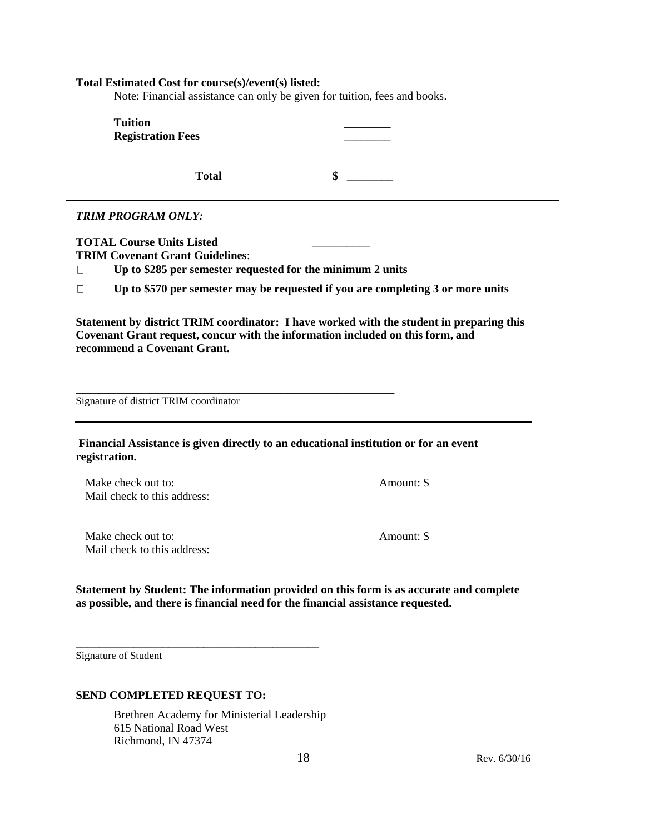### **Total Estimated Cost for course(s)/event(s) listed:**

Note: Financial assistance can only be given for tuition, fees and books.

| <b>Tuition</b><br><b>Registration Fees</b>                                                                                                         |                                                                                         |
|----------------------------------------------------------------------------------------------------------------------------------------------------|-----------------------------------------------------------------------------------------|
| <b>Total</b>                                                                                                                                       | \$                                                                                      |
| TRIM PROGRAM ONLY:                                                                                                                                 |                                                                                         |
| <b>TOTAL Course Units Listed</b><br><b>TRIM Covenant Grant Guidelines:</b><br>Up to \$285 per semester requested for the minimum 2 units<br>$\Box$ |                                                                                         |
| $\Box$                                                                                                                                             | Up to \$570 per semester may be requested if you are completing 3 or more units         |
| Signature of district TRIM coordinator<br>Financial Assistance is given directly to an educational institution or for an event<br>registration.    |                                                                                         |
| Make check out to:<br>Mail check to this address:                                                                                                  | Amount: \$                                                                              |
| Make check out to:<br>Mail check to this address:                                                                                                  | Amount: \$                                                                              |
| as possible, and there is financial need for the financial assistance requested.                                                                   | Statement by Student: The information provided on this form is as accurate and complete |
| Signature of Student                                                                                                                               |                                                                                         |

### **SEND COMPLETED REQUEST TO:**

Brethren Academy for Ministerial Leadership 615 National Road West Richmond, IN 47374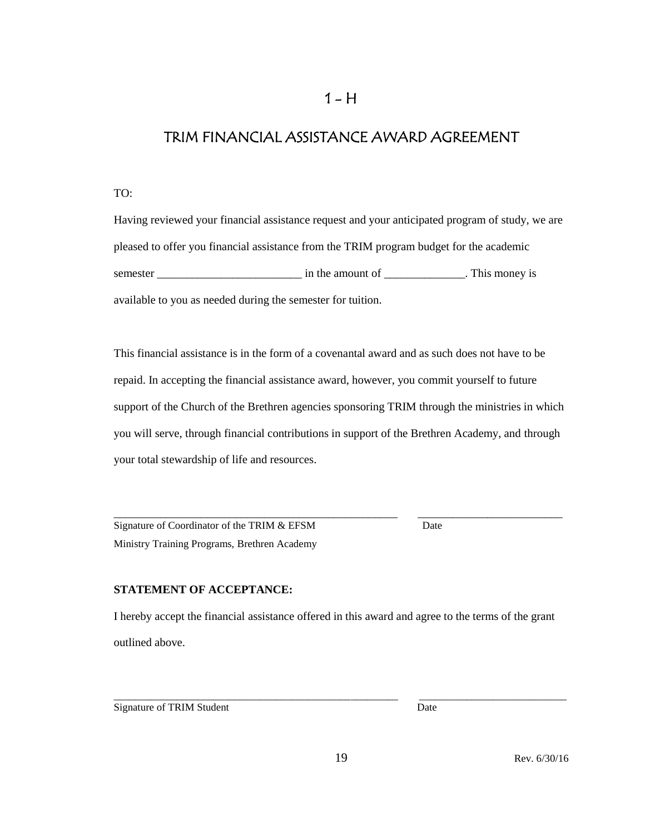## $1 - H$

## TRIM FINANCIAL ASSISTANCE AWARD AGREEMENT

TO:

Having reviewed your financial assistance request and your anticipated program of study, we are pleased to offer you financial assistance from the TRIM program budget for the academic semester \_\_\_\_\_\_\_\_\_\_\_\_\_\_\_\_\_\_\_\_\_\_\_\_\_ in the amount of \_\_\_\_\_\_\_\_\_\_\_\_\_\_. This money is available to you as needed during the semester for tuition.

This financial assistance is in the form of a covenantal award and as such does not have to be repaid. In accepting the financial assistance award, however, you commit yourself to future support of the Church of the Brethren agencies sponsoring TRIM through the ministries in which you will serve, through financial contributions in support of the Brethren Academy, and through your total stewardship of life and resources.

Signature of Coordinator of the TRIM & EFSM Date Ministry Training Programs, Brethren Academy

\_\_\_\_\_\_\_\_\_\_\_\_\_\_\_\_\_\_\_\_\_\_\_\_\_\_\_\_\_\_\_\_\_\_\_\_\_\_\_\_\_\_\_\_\_\_\_\_\_ \_\_\_\_\_\_\_\_\_\_\_\_\_\_\_\_\_\_\_\_\_\_\_\_\_

### **STATEMENT OF ACCEPTANCE:**

I hereby accept the financial assistance offered in this award and agree to the terms of the grant outlined above.

Signature of TRIM Student Date

\_\_\_\_\_\_\_\_\_\_\_\_\_\_\_\_\_\_\_\_\_\_\_\_\_\_\_\_\_\_\_\_\_\_\_\_\_\_\_\_\_\_\_\_\_\_\_\_\_\_\_\_\_\_ \_\_\_\_\_\_\_\_\_\_\_\_\_\_\_\_\_\_\_\_\_\_\_\_\_\_\_\_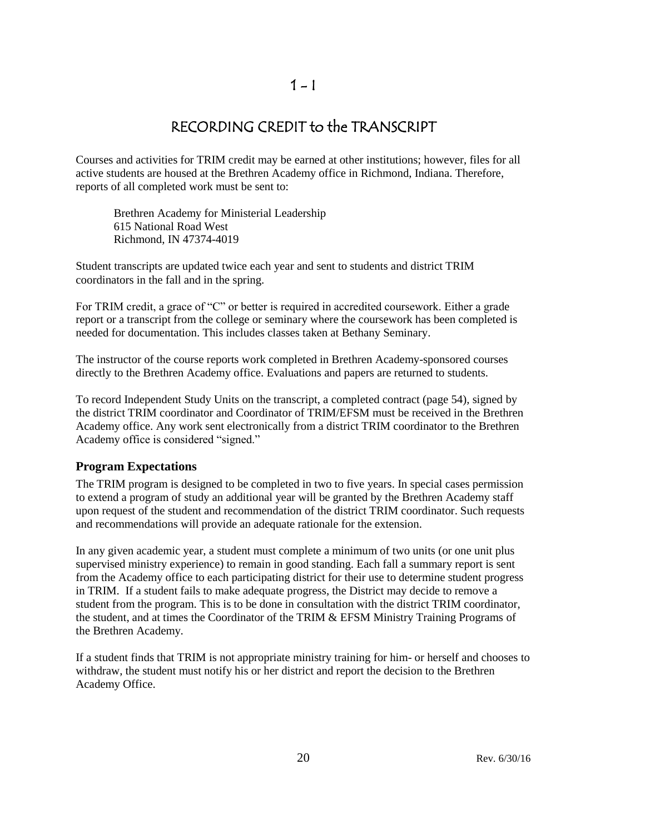## $1 - 1$

## RECORDING CREDIT to the TRANSCRIPT

Courses and activities for TRIM credit may be earned at other institutions; however, files for all active students are housed at the Brethren Academy office in Richmond, Indiana. Therefore, reports of all completed work must be sent to:

Brethren Academy for Ministerial Leadership 615 National Road West Richmond, IN 47374-4019

Student transcripts are updated twice each year and sent to students and district TRIM coordinators in the fall and in the spring.

For TRIM credit, a grace of "C" or better is required in accredited coursework. Either a grade report or a transcript from the college or seminary where the coursework has been completed is needed for documentation. This includes classes taken at Bethany Seminary.

The instructor of the course reports work completed in Brethren Academy-sponsored courses directly to the Brethren Academy office. Evaluations and papers are returned to students.

To record Independent Study Units on the transcript, a completed contract (page 54), signed by the district TRIM coordinator and Coordinator of TRIM/EFSM must be received in the Brethren Academy office. Any work sent electronically from a district TRIM coordinator to the Brethren Academy office is considered "signed."

### **Program Expectations**

The TRIM program is designed to be completed in two to five years. In special cases permission to extend a program of study an additional year will be granted by the Brethren Academy staff upon request of the student and recommendation of the district TRIM coordinator. Such requests and recommendations will provide an adequate rationale for the extension.

In any given academic year, a student must complete a minimum of two units (or one unit plus supervised ministry experience) to remain in good standing. Each fall a summary report is sent from the Academy office to each participating district for their use to determine student progress in TRIM. If a student fails to make adequate progress, the District may decide to remove a student from the program. This is to be done in consultation with the district TRIM coordinator, the student, and at times the Coordinator of the TRIM & EFSM Ministry Training Programs of the Brethren Academy.

If a student finds that TRIM is not appropriate ministry training for him- or herself and chooses to withdraw, the student must notify his or her district and report the decision to the Brethren Academy Office.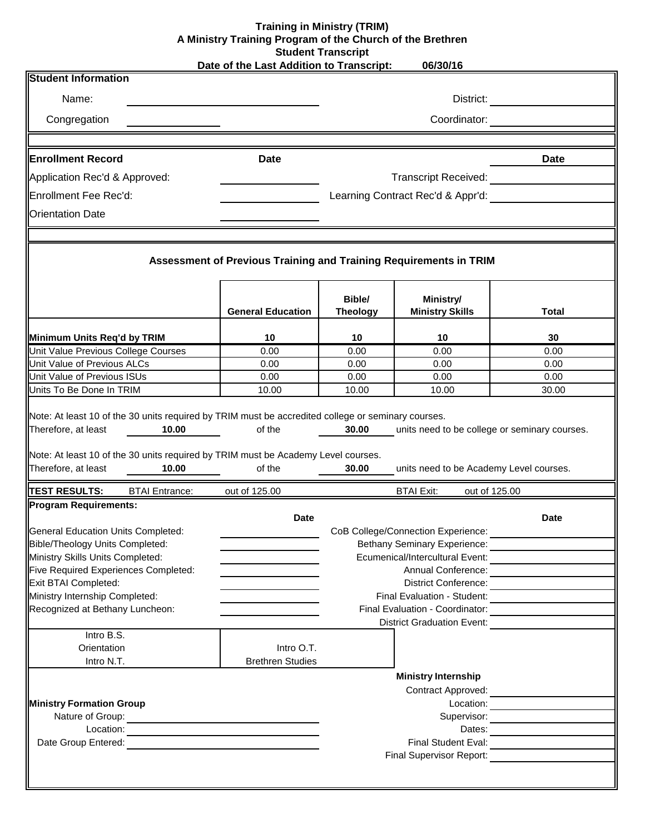### **Training in Ministry (TRIM) A Ministry Training Program of the Church of the Brethren Student Transcript**

|                                                                                                                                                                           |                             | Date of the Last Addition to Transcript:                                                                                                                                                     |                           | 06/30/16                                                                                                                                                                                                                               |             |  |
|---------------------------------------------------------------------------------------------------------------------------------------------------------------------------|-----------------------------|----------------------------------------------------------------------------------------------------------------------------------------------------------------------------------------------|---------------------------|----------------------------------------------------------------------------------------------------------------------------------------------------------------------------------------------------------------------------------------|-------------|--|
| <b>Student Information</b>                                                                                                                                                |                             |                                                                                                                                                                                              |                           |                                                                                                                                                                                                                                        |             |  |
| Name:                                                                                                                                                                     | District:                   |                                                                                                                                                                                              |                           |                                                                                                                                                                                                                                        |             |  |
| Congregation                                                                                                                                                              | Coordinator: <b>Example</b> |                                                                                                                                                                                              |                           |                                                                                                                                                                                                                                        |             |  |
|                                                                                                                                                                           |                             |                                                                                                                                                                                              |                           |                                                                                                                                                                                                                                        |             |  |
| <b>Enrollment Record</b>                                                                                                                                                  |                             | <b>Date</b>                                                                                                                                                                                  |                           |                                                                                                                                                                                                                                        | <b>Date</b> |  |
| Application Rec'd & Approved:                                                                                                                                             |                             |                                                                                                                                                                                              |                           | Transcript Received:<br><u>Letter and the set of the set of the set of the set of the set of the set of the set of the set of the set of the set of the set of the set of the set of the set of the set of the set of the set of t</u> |             |  |
| Enrollment Fee Rec'd:                                                                                                                                                     |                             |                                                                                                                                                                                              |                           | Learning Contract Rec'd & Appr'd:                                                                                                                                                                                                      |             |  |
| <b>Orientation Date</b>                                                                                                                                                   |                             |                                                                                                                                                                                              |                           |                                                                                                                                                                                                                                        |             |  |
|                                                                                                                                                                           |                             | Assessment of Previous Training and Training Requirements in TRIM                                                                                                                            |                           |                                                                                                                                                                                                                                        |             |  |
|                                                                                                                                                                           |                             | <b>General Education</b>                                                                                                                                                                     | Bible/<br><b>Theology</b> | Ministry/<br><b>Ministry Skills</b>                                                                                                                                                                                                    | Total       |  |
| Minimum Units Req'd by TRIM                                                                                                                                               |                             | 10                                                                                                                                                                                           | 10                        | 10                                                                                                                                                                                                                                     | 30          |  |
| Unit Value Previous College Courses                                                                                                                                       |                             | 0.00                                                                                                                                                                                         | 0.00                      | 0.00                                                                                                                                                                                                                                   | 0.00        |  |
| Unit Value of Previous ALCs                                                                                                                                               |                             | 0.00                                                                                                                                                                                         | 0.00                      | 0.00                                                                                                                                                                                                                                   | 0.00        |  |
| Unit Value of Previous ISUs                                                                                                                                               |                             | 0.00                                                                                                                                                                                         | 0.00                      | 0.00                                                                                                                                                                                                                                   | 0.00        |  |
| Units To Be Done In TRIM                                                                                                                                                  |                             | 10.00                                                                                                                                                                                        | 10.00                     | 10.00                                                                                                                                                                                                                                  | 30.00       |  |
| Therefore, at least<br>Therefore, at least                                                                                                                                | 10.00<br>10.00              | of the<br>Note: At least 10 of the 30 units required by TRIM must be Academy Level courses.<br>of the                                                                                        | 30.00<br>30.00            | units need to be college or seminary courses.<br>units need to be Academy Level courses.                                                                                                                                               |             |  |
| <b>TEST RESULTS:</b>                                                                                                                                                      | <b>BTAI Entrance:</b>       | out of 125.00                                                                                                                                                                                |                           | <b>BTAI Exit:</b><br>out of 125.00                                                                                                                                                                                                     |             |  |
| Program Requirements:                                                                                                                                                     |                             |                                                                                                                                                                                              |                           |                                                                                                                                                                                                                                        |             |  |
| General Education Units Completed:<br>Bible/Theology Units Completed:<br>Ministry Skills Units Completed:<br>Five Required Experiences Completed:<br>Exit BTAI Completed: |                             | <b>Date</b>                                                                                                                                                                                  |                           | CoB College/Connection Experience:<br><b>Bethany Seminary Experience:</b><br>Ecumenical/Intercultural Event:<br>Annual Conference:<br><b>District Conference:</b>                                                                      | <b>Date</b> |  |
| Ministry Internship Completed:                                                                                                                                            |                             |                                                                                                                                                                                              |                           | Final Evaluation - Student:                                                                                                                                                                                                            |             |  |
| Recognized at Bethany Luncheon:                                                                                                                                           |                             |                                                                                                                                                                                              |                           | <b>District Graduation Event:</b>                                                                                                                                                                                                      |             |  |
| Intro B.S.<br>Orientation<br>Intro N.T.                                                                                                                                   |                             | Intro O.T.<br><b>Brethren Studies</b>                                                                                                                                                        |                           |                                                                                                                                                                                                                                        |             |  |
|                                                                                                                                                                           |                             |                                                                                                                                                                                              |                           | <b>Ministry Internship</b>                                                                                                                                                                                                             |             |  |
|                                                                                                                                                                           |                             |                                                                                                                                                                                              |                           | Contract Approved:                                                                                                                                                                                                                     |             |  |
| <b>Ministry Formation Group</b><br>Location:                                                                                                                              |                             |                                                                                                                                                                                              |                           |                                                                                                                                                                                                                                        |             |  |
| Nature of Group:<br>Location:                                                                                                                                             |                             |                                                                                                                                                                                              |                           | Supervisor:                                                                                                                                                                                                                            |             |  |
|                                                                                                                                                                           |                             | <u> 1980 - Andrea Station Barbara, amerikan personal (h. 1980).</u><br>Date Group Entered: <b>Capability Container and Container and Container and Container and Container and Container</b> |                           |                                                                                                                                                                                                                                        | Dates:      |  |
|                                                                                                                                                                           |                             |                                                                                                                                                                                              |                           |                                                                                                                                                                                                                                        |             |  |
|                                                                                                                                                                           |                             |                                                                                                                                                                                              |                           | <b>Final Supervisor Report:</b>                                                                                                                                                                                                        |             |  |

L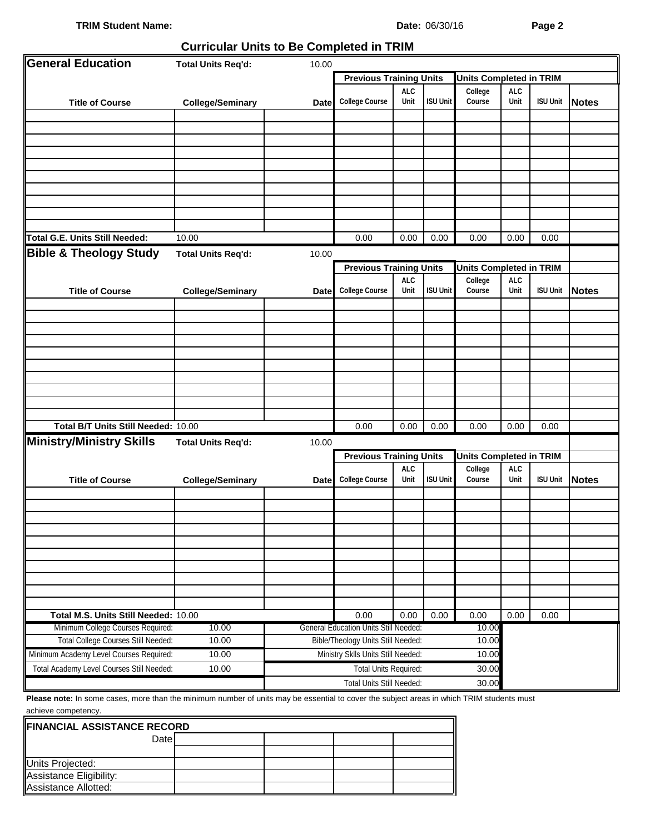### **TRIM Student Name: Date:**  $06/30/16$  **Page 2**

#### Date: 06/30/16

## **Curricular Units to Be Completed in TRIM**

| General Education                                                                                                                         | <b>Total Units Req'd:</b>                            | 10.00       |                                                                    |                    |                 |                                |                    |                 |              |
|-------------------------------------------------------------------------------------------------------------------------------------------|------------------------------------------------------|-------------|--------------------------------------------------------------------|--------------------|-----------------|--------------------------------|--------------------|-----------------|--------------|
|                                                                                                                                           |                                                      |             | <b>Previous Training Units</b>                                     |                    |                 | <b>Units Completed in TRIM</b> |                    |                 |              |
| <b>Title of Course</b>                                                                                                                    | <b>College/Seminary</b>                              | <b>Date</b> | <b>College Course</b>                                              | <b>ALC</b><br>Unit | <b>ISU Unit</b> | College<br>Course              | <b>ALC</b><br>Unit | <b>ISU Unit</b> | <b>Notes</b> |
|                                                                                                                                           |                                                      |             |                                                                    |                    |                 |                                |                    |                 |              |
|                                                                                                                                           |                                                      |             |                                                                    |                    |                 |                                |                    |                 |              |
|                                                                                                                                           |                                                      |             |                                                                    |                    |                 |                                |                    |                 |              |
|                                                                                                                                           |                                                      |             |                                                                    |                    |                 |                                |                    |                 |              |
|                                                                                                                                           |                                                      |             |                                                                    |                    |                 |                                |                    |                 |              |
|                                                                                                                                           |                                                      |             |                                                                    |                    |                 |                                |                    |                 |              |
|                                                                                                                                           |                                                      |             |                                                                    |                    |                 |                                |                    |                 |              |
|                                                                                                                                           |                                                      |             |                                                                    |                    |                 |                                |                    |                 |              |
|                                                                                                                                           |                                                      |             |                                                                    |                    |                 |                                |                    |                 |              |
| <b>Total G.E. Units Still Needed:</b>                                                                                                     | 10.00                                                |             | 0.00                                                               | 0.00               | 0.00            | 0.00                           | 0.00               | 0.00            |              |
| <b>Bible &amp; Theology Study</b>                                                                                                         | <b>Total Units Req'd:</b>                            | 10.00       |                                                                    |                    |                 |                                |                    |                 |              |
|                                                                                                                                           |                                                      |             | <b>Previous Training Units</b>                                     |                    |                 | <b>Units Completed in TRIM</b> |                    |                 |              |
| <b>Title of Course</b>                                                                                                                    | <b>College/Seminary</b>                              | <b>Date</b> | <b>College Course</b>                                              | <b>ALC</b><br>Unit | <b>ISU Unit</b> | College<br>Course              | <b>ALC</b><br>Unit | <b>ISU Unit</b> | <b>Notes</b> |
|                                                                                                                                           |                                                      |             |                                                                    |                    |                 |                                |                    |                 |              |
|                                                                                                                                           |                                                      |             |                                                                    |                    |                 |                                |                    |                 |              |
|                                                                                                                                           |                                                      |             |                                                                    |                    |                 |                                |                    |                 |              |
|                                                                                                                                           |                                                      |             |                                                                    |                    |                 |                                |                    |                 |              |
|                                                                                                                                           |                                                      |             |                                                                    |                    |                 |                                |                    |                 |              |
|                                                                                                                                           |                                                      |             |                                                                    |                    |                 |                                |                    |                 |              |
|                                                                                                                                           |                                                      |             |                                                                    |                    |                 |                                |                    |                 |              |
|                                                                                                                                           |                                                      |             |                                                                    |                    |                 |                                |                    |                 |              |
|                                                                                                                                           |                                                      |             |                                                                    |                    |                 |                                |                    |                 |              |
| Total B/T Units Still Needed: 10.00                                                                                                       |                                                      |             | 0.00                                                               | 0.00               | 0.00            | 0.00                           | 0.00               | 0.00            |              |
|                                                                                                                                           |                                                      |             |                                                                    |                    |                 |                                |                    |                 |              |
| Ministry/Ministry Skills                                                                                                                  | <b>Total Units Req'd:</b>                            | 10.00       |                                                                    |                    |                 |                                |                    |                 |              |
|                                                                                                                                           |                                                      |             | <b>Previous Training Units</b>                                     |                    |                 | <b>Units Completed in TRIM</b> |                    |                 |              |
| <b>Title of Course</b>                                                                                                                    | <b>College/Seminary</b>                              | <b>Date</b> | <b>College Course</b>                                              | <b>ALC</b><br>Unit | <b>ISU Unit</b> | College<br>Course              | <b>ALC</b><br>Unit | <b>ISU Unit</b> | <b>Notes</b> |
|                                                                                                                                           |                                                      |             |                                                                    |                    |                 |                                |                    |                 |              |
|                                                                                                                                           |                                                      |             |                                                                    |                    |                 |                                |                    |                 |              |
|                                                                                                                                           |                                                      |             |                                                                    |                    |                 |                                |                    |                 |              |
|                                                                                                                                           |                                                      |             |                                                                    |                    |                 |                                |                    |                 |              |
|                                                                                                                                           |                                                      |             |                                                                    |                    |                 |                                |                    |                 |              |
|                                                                                                                                           |                                                      |             |                                                                    |                    |                 |                                |                    |                 |              |
|                                                                                                                                           |                                                      |             |                                                                    |                    |                 |                                |                    |                 |              |
|                                                                                                                                           |                                                      |             |                                                                    |                    |                 |                                |                    |                 |              |
|                                                                                                                                           |                                                      |             |                                                                    |                    |                 |                                |                    |                 |              |
| Total M.S. Units Still Needed: 10.00<br>Minimum College Courses Required:                                                                 | 10.00                                                |             | 0.00<br><b>General Education Units Still Needed:</b>               | 0.00               | 0.00            | 0.00<br>10.00                  | 0.00               | 0.00            |              |
| <b>Total College Courses Still Needed:</b>                                                                                                | 10.00                                                |             |                                                                    |                    |                 | 10.00                          |                    |                 |              |
| Minimum Academy Level Courses Required:                                                                                                   | Bible/Theology Units Still Needed:<br>10.00<br>10.00 |             |                                                                    |                    |                 |                                |                    |                 |              |
|                                                                                                                                           |                                                      |             | Ministry Sklls Units Still Needed:<br><b>Total Units Required:</b> |                    |                 |                                |                    |                 |              |
| Total Academy Level Courses Still Needed:                                                                                                 | 10.00                                                |             |                                                                    |                    |                 | 30.00                          |                    |                 |              |
| Please note: In some cases, more than the minimum number of units may be essential to cover the subject areas in which TRIM students must |                                                      |             | Total Units Still Needed:                                          |                    |                 | 30.00                          |                    |                 |              |

**note:** In some cases, more than the minimum number of units may be essential to cover the subject areas in which TRIM students must achieve competency.  $\overline{\mathbf{r}}$ 

| <b>FINANCIAL ASSISTANCE RECORD</b> |  |  |
|------------------------------------|--|--|
| Datel                              |  |  |
|                                    |  |  |
| Units Projected:                   |  |  |
| Assistance Eligibility:            |  |  |
| Assistance Allotted:               |  |  |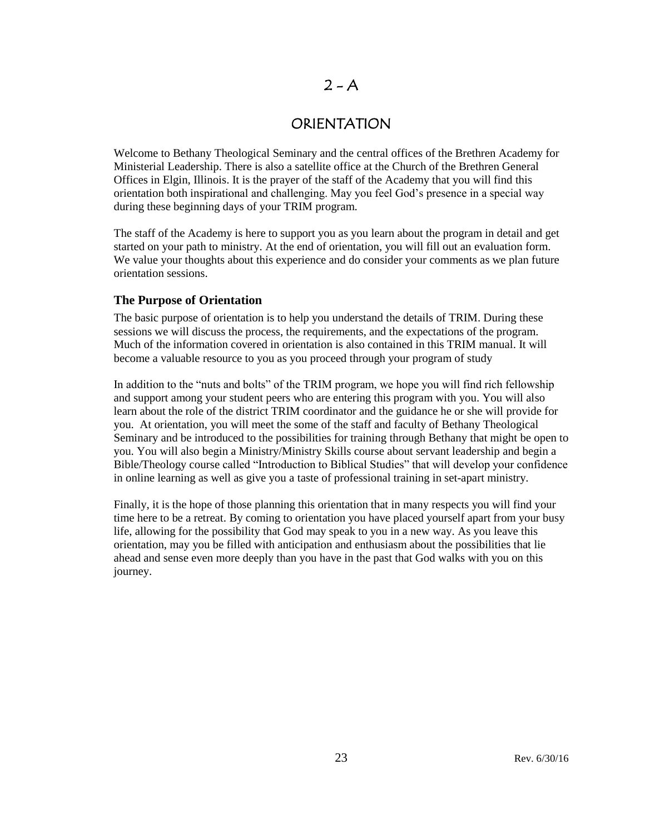## $2 - A$

## ORIENTATION

Welcome to Bethany Theological Seminary and the central offices of the Brethren Academy for Ministerial Leadership. There is also a satellite office at the Church of the Brethren General Offices in Elgin, Illinois. It is the prayer of the staff of the Academy that you will find this orientation both inspirational and challenging. May you feel God's presence in a special way during these beginning days of your TRIM program.

The staff of the Academy is here to support you as you learn about the program in detail and get started on your path to ministry. At the end of orientation, you will fill out an evaluation form. We value your thoughts about this experience and do consider your comments as we plan future orientation sessions.

### **The Purpose of Orientation**

The basic purpose of orientation is to help you understand the details of TRIM. During these sessions we will discuss the process, the requirements, and the expectations of the program. Much of the information covered in orientation is also contained in this TRIM manual. It will become a valuable resource to you as you proceed through your program of study

In addition to the "nuts and bolts" of the TRIM program, we hope you will find rich fellowship and support among your student peers who are entering this program with you. You will also learn about the role of the district TRIM coordinator and the guidance he or she will provide for you. At orientation, you will meet the some of the staff and faculty of Bethany Theological Seminary and be introduced to the possibilities for training through Bethany that might be open to you. You will also begin a Ministry/Ministry Skills course about servant leadership and begin a Bible/Theology course called "Introduction to Biblical Studies" that will develop your confidence in online learning as well as give you a taste of professional training in set-apart ministry.

Finally, it is the hope of those planning this orientation that in many respects you will find your time here to be a retreat. By coming to orientation you have placed yourself apart from your busy life, allowing for the possibility that God may speak to you in a new way. As you leave this orientation, may you be filled with anticipation and enthusiasm about the possibilities that lie ahead and sense even more deeply than you have in the past that God walks with you on this journey.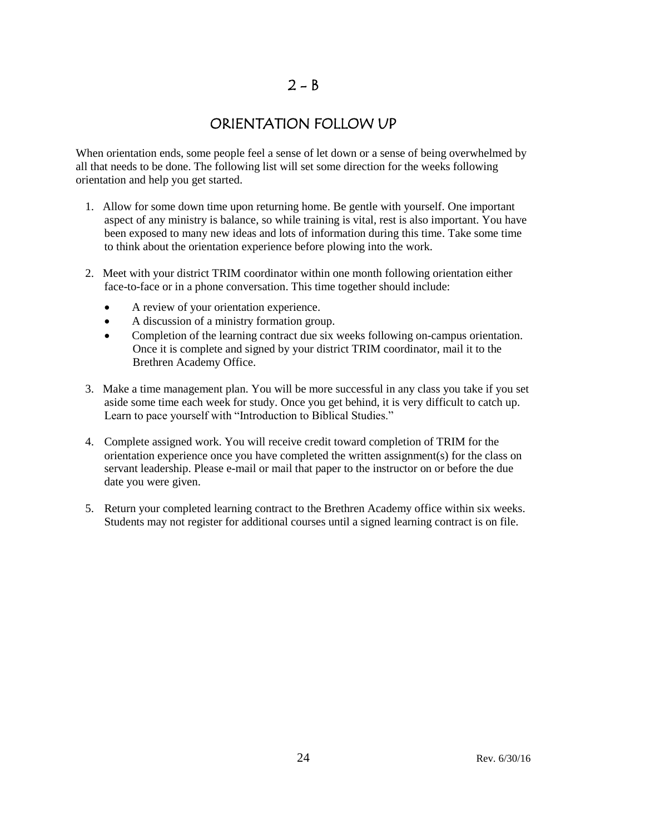## $2 - B$

## ORIENTATION FOLLOW UP

When orientation ends, some people feel a sense of let down or a sense of being overwhelmed by all that needs to be done. The following list will set some direction for the weeks following orientation and help you get started.

- 1. Allow for some down time upon returning home. Be gentle with yourself. One important aspect of any ministry is balance, so while training is vital, rest is also important. You have been exposed to many new ideas and lots of information during this time. Take some time to think about the orientation experience before plowing into the work.
- 2. Meet with your district TRIM coordinator within one month following orientation either face-to-face or in a phone conversation. This time together should include:
	- A review of your orientation experience.
	- A discussion of a ministry formation group.
	- Completion of the learning contract due six weeks following on-campus orientation. Once it is complete and signed by your district TRIM coordinator, mail it to the Brethren Academy Office.
- 3. Make a time management plan. You will be more successful in any class you take if you set aside some time each week for study. Once you get behind, it is very difficult to catch up. Learn to pace yourself with "Introduction to Biblical Studies."
- 4. Complete assigned work. You will receive credit toward completion of TRIM for the orientation experience once you have completed the written assignment(s) for the class on servant leadership. Please e-mail or mail that paper to the instructor on or before the due date you were given.
- 5. Return your completed learning contract to the Brethren Academy office within six weeks. Students may not register for additional courses until a signed learning contract is on file.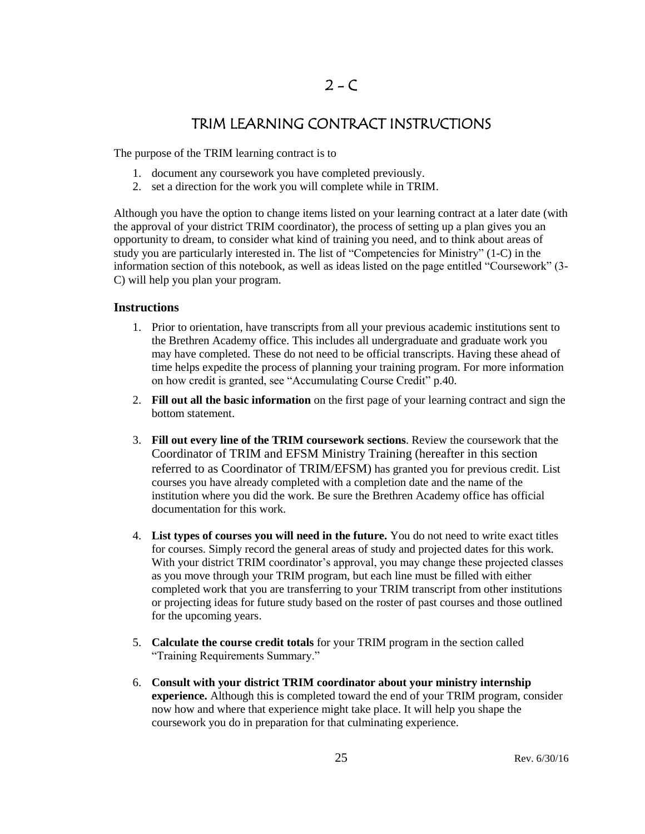## TRIM LEARNING CONTRACT INSTRUCTIONS

The purpose of the TRIM learning contract is to

- 1. document any coursework you have completed previously.
- 2. set a direction for the work you will complete while in TRIM.

Although you have the option to change items listed on your learning contract at a later date (with the approval of your district TRIM coordinator), the process of setting up a plan gives you an opportunity to dream, to consider what kind of training you need, and to think about areas of study you are particularly interested in. The list of "Competencies for Ministry" (1-C) in the information section of this notebook, as well as ideas listed on the page entitled "Coursework" (3- C) will help you plan your program.

### **Instructions**

- 1. Prior to orientation, have transcripts from all your previous academic institutions sent to the Brethren Academy office. This includes all undergraduate and graduate work you may have completed. These do not need to be official transcripts. Having these ahead of time helps expedite the process of planning your training program. For more information on how credit is granted, see "Accumulating Course Credit" p.40.
- 2. **Fill out all the basic information** on the first page of your learning contract and sign the bottom statement.
- 3. **Fill out every line of the TRIM coursework sections**. Review the coursework that the Coordinator of TRIM and EFSM Ministry Training (hereafter in this section referred to as Coordinator of TRIM/EFSM) has granted you for previous credit. List courses you have already completed with a completion date and the name of the institution where you did the work. Be sure the Brethren Academy office has official documentation for this work.
- 4. **List types of courses you will need in the future.** You do not need to write exact titles for courses. Simply record the general areas of study and projected dates for this work. With your district TRIM coordinator's approval, you may change these projected classes as you move through your TRIM program, but each line must be filled with either completed work that you are transferring to your TRIM transcript from other institutions or projecting ideas for future study based on the roster of past courses and those outlined for the upcoming years.
- 5. **Calculate the course credit totals** for your TRIM program in the section called "Training Requirements Summary."
- 6. **Consult with your district TRIM coordinator about your ministry internship experience.** Although this is completed toward the end of your TRIM program, consider now how and where that experience might take place. It will help you shape the coursework you do in preparation for that culminating experience.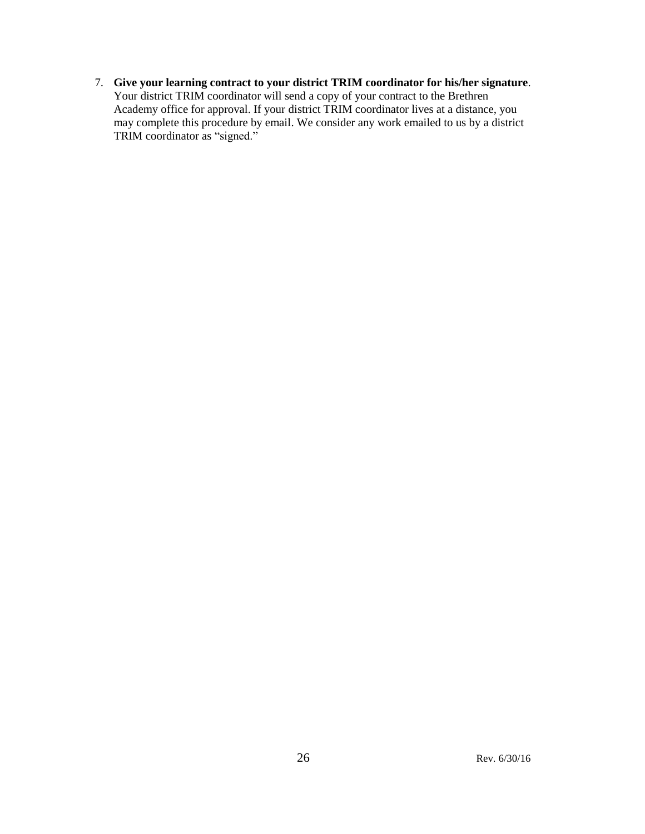7. **Give your learning contract to your district TRIM coordinator for his/her signature**. Your district TRIM coordinator will send a copy of your contract to the Brethren Academy office for approval. If your district TRIM coordinator lives at a distance, you may complete this procedure by email. We consider any work emailed to us by a district TRIM coordinator as "signed."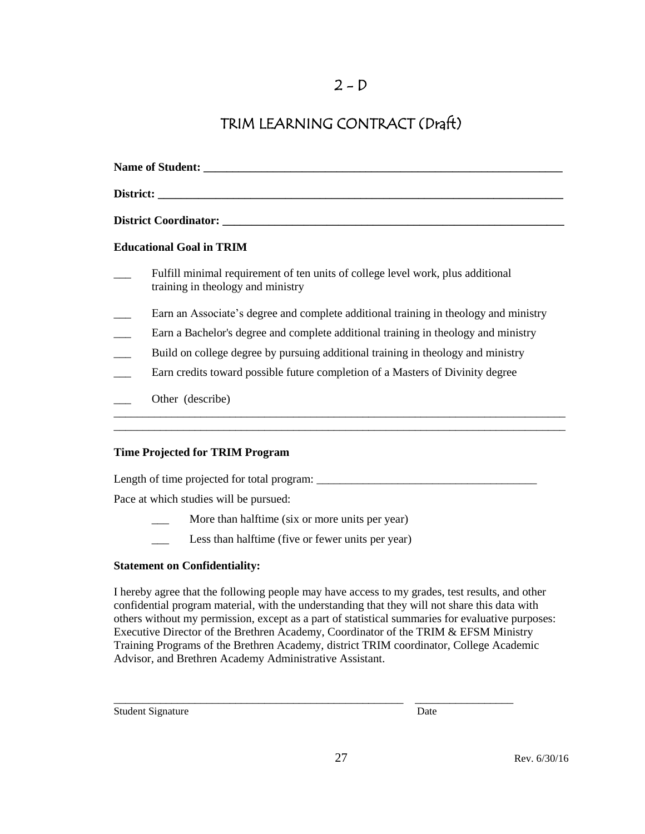## TRIM LEARNING CONTRACT (Draft)

| District: the contract of the contract of the contract of the contract of the contract of the contract of the contract of the contract of the contract of the contract of the contract of the contract of the contract of the |
|-------------------------------------------------------------------------------------------------------------------------------------------------------------------------------------------------------------------------------|
|                                                                                                                                                                                                                               |
| <b>Educational Goal in TRIM</b>                                                                                                                                                                                               |
| Fulfill minimal requirement of ten units of college level work, plus additional<br>training in theology and ministry                                                                                                          |
| Earn an Associate's degree and complete additional training in theology and ministry                                                                                                                                          |
| Earn a Bachelor's degree and complete additional training in theology and ministry                                                                                                                                            |
| Build on college degree by pursuing additional training in theology and ministry                                                                                                                                              |
| Earn credits toward possible future completion of a Masters of Divinity degree                                                                                                                                                |
| Other (describe)                                                                                                                                                                                                              |

\_\_\_\_\_\_\_\_\_\_\_\_\_\_\_\_\_\_\_\_\_\_\_\_\_\_\_\_\_\_\_\_\_\_\_\_\_\_\_\_\_\_\_\_\_\_\_\_\_\_\_\_\_\_\_\_\_\_\_\_\_\_\_\_\_\_\_\_\_\_\_\_\_\_\_\_\_\_

### **Time Projected for TRIM Program**

Length of time projected for total program: \_\_\_\_\_\_\_\_\_\_\_\_\_\_\_\_\_\_\_\_\_\_\_\_\_\_\_\_\_\_\_\_\_\_\_\_\_\_

Pace at which studies will be pursued:

- More than halftime (six or more units per year)
- \_\_\_ Less than halftime (five or fewer units per year)

### **Statement on Confidentiality:**

I hereby agree that the following people may have access to my grades, test results, and other confidential program material, with the understanding that they will not share this data with others without my permission, except as a part of statistical summaries for evaluative purposes: Executive Director of the Brethren Academy, Coordinator of the TRIM & EFSM Ministry Training Programs of the Brethren Academy, district TRIM coordinator, College Academic Advisor, and Brethren Academy Administrative Assistant.

\_\_\_\_\_\_\_\_\_\_\_\_\_\_\_\_\_\_\_\_\_\_\_\_\_\_\_\_\_\_\_\_\_\_\_\_\_\_\_\_\_\_\_\_\_\_\_\_\_\_ \_\_\_\_\_\_\_\_\_\_\_\_\_\_\_\_\_

Student Signature Date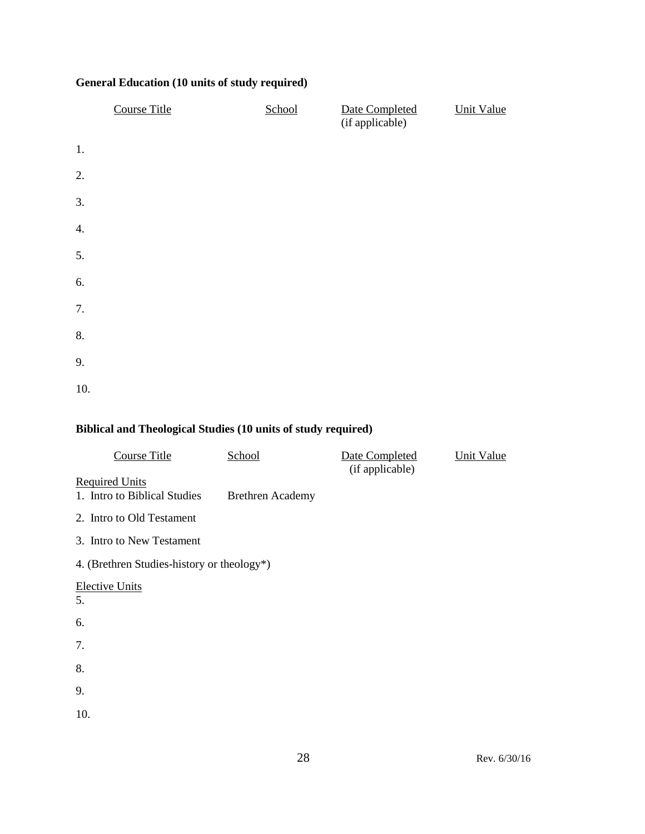## **General Education (10 units of study required)**

|     | <b>Course Title</b> | School | Date Completed<br>(if applicable) | <b>Unit Value</b> |
|-----|---------------------|--------|-----------------------------------|-------------------|
| 1.  |                     |        |                                   |                   |
| 2.  |                     |        |                                   |                   |
| 3.  |                     |        |                                   |                   |
| 4.  |                     |        |                                   |                   |
| 5.  |                     |        |                                   |                   |
| 6.  |                     |        |                                   |                   |
| 7.  |                     |        |                                   |                   |
| 8.  |                     |        |                                   |                   |
| 9.  |                     |        |                                   |                   |
| 10. |                     |        |                                   |                   |

### **Biblical and Theological Studies (10 units of study required)**

| <b>Course Title</b>                                   | School                  | Date Completed<br>(if applicable) | <b>Unit Value</b> |
|-------------------------------------------------------|-------------------------|-----------------------------------|-------------------|
| <b>Required Units</b><br>1. Intro to Biblical Studies | <b>Brethren Academy</b> |                                   |                   |
| 2. Intro to Old Testament                             |                         |                                   |                   |
| 3. Intro to New Testament                             |                         |                                   |                   |
| 4. (Brethren Studies-history or theology*)            |                         |                                   |                   |
| <b>Elective Units</b><br>5.                           |                         |                                   |                   |
| 6.                                                    |                         |                                   |                   |
| 7.                                                    |                         |                                   |                   |
| 8.                                                    |                         |                                   |                   |
| 9.                                                    |                         |                                   |                   |
| 10.                                                   |                         |                                   |                   |
|                                                       |                         |                                   |                   |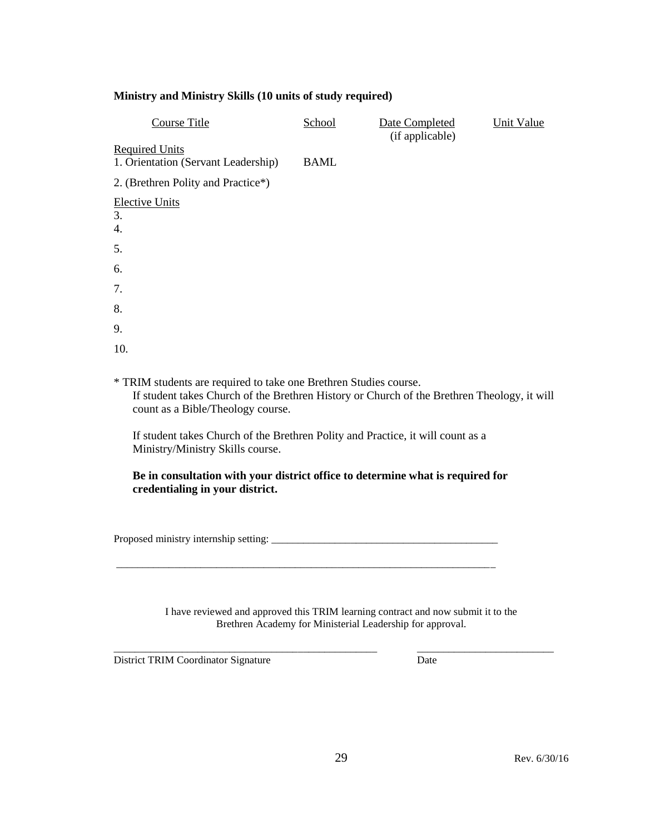### **Ministry and Ministry Skills (10 units of study required)**

| <b>Course Title</b>                 | School      | Date Completed<br>(if applicable) | Unit Value |
|-------------------------------------|-------------|-----------------------------------|------------|
| <b>Required Units</b>               |             |                                   |            |
| 1. Orientation (Servant Leadership) | <b>BAML</b> |                                   |            |
| 2. (Brethren Polity and Practice*)  |             |                                   |            |
| <b>Elective Units</b>               |             |                                   |            |
| 3.                                  |             |                                   |            |
| 4.                                  |             |                                   |            |
| 5.                                  |             |                                   |            |
| 6.                                  |             |                                   |            |
| 7.                                  |             |                                   |            |
| 8.                                  |             |                                   |            |
| 9.                                  |             |                                   |            |
| 10.                                 |             |                                   |            |
|                                     |             |                                   |            |

\* TRIM students are required to take one Brethren Studies course.

If student takes Church of the Brethren History or Church of the Brethren Theology, it will count as a Bible/Theology course.

If student takes Church of the Brethren Polity and Practice, it will count as a Ministry/Ministry Skills course.

\_\_\_\_\_\_\_\_\_\_\_\_\_\_\_\_\_\_\_\_\_\_\_\_\_\_\_\_\_\_\_\_\_\_\_\_\_\_\_\_\_\_\_\_\_\_\_\_\_\_\_\_\_\_\_\_\_\_\_\_\_\_\_\_\_\_\_\_\_\_\_\_

**Be in consultation with your district office to determine what is required for credentialing in your district.**

Proposed ministry internship setting: \_\_\_\_\_\_\_\_\_\_\_\_\_\_\_\_\_\_\_\_\_\_\_\_\_\_\_\_\_\_\_\_\_\_\_\_\_\_\_\_\_\_\_

I have reviewed and approved this TRIM learning contract and now submit it to the Brethren Academy for Ministerial Leadership for approval.

*\_\_\_\_\_\_\_\_\_\_\_\_\_\_\_\_\_\_\_\_\_\_\_\_\_\_\_\_\_\_\_\_\_\_\_\_\_\_\_\_\_\_\_\_\_\_\_\_\_\_ \_\_\_\_\_\_\_\_\_\_\_\_\_\_\_\_\_\_\_\_\_\_\_\_\_\_*

District TRIM Coordinator Signature Date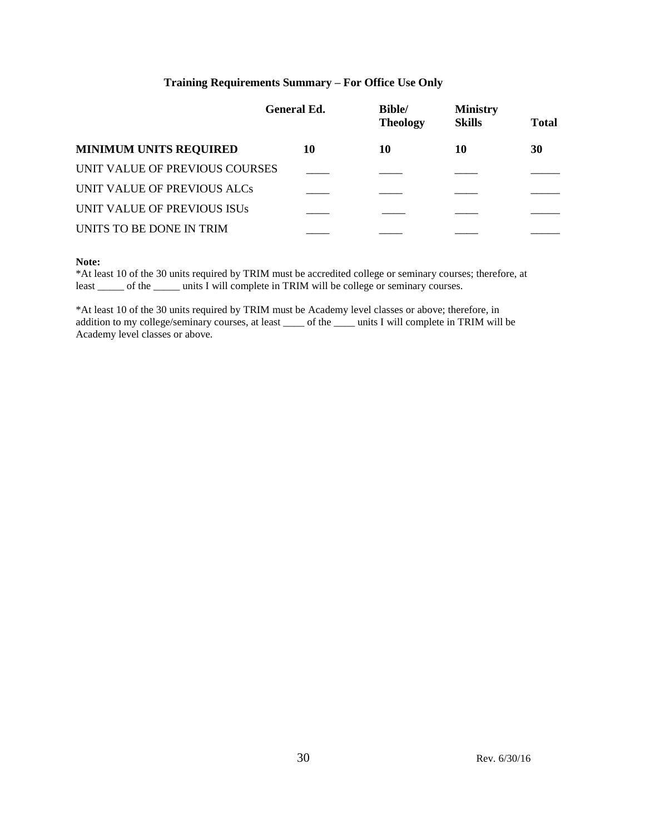### **Training Requirements Summary – For Office Use Only**

|                                | <b>General Ed.</b> | <b>Bible/</b><br><b>Theology</b> | <b>Ministry</b><br><b>Skills</b> | <b>Total</b> |
|--------------------------------|--------------------|----------------------------------|----------------------------------|--------------|
| <b>MINIMUM UNITS REQUIRED</b>  | 10                 | 10                               | 10                               | 30           |
| UNIT VALUE OF PREVIOUS COURSES |                    |                                  |                                  |              |
| UNIT VALUE OF PREVIOUS ALCs    |                    |                                  |                                  |              |
| UNIT VALUE OF PREVIOUS ISUS    |                    |                                  |                                  |              |
| UNITS TO BE DONE IN TRIM       |                    |                                  |                                  |              |
|                                |                    |                                  |                                  |              |

#### **Note:**

\*At least 10 of the 30 units required by TRIM must be accredited college or seminary courses; therefore, at least \_\_\_\_\_ of the \_\_\_\_\_\_ units I will complete in TRIM will be college or seminary courses.

\*At least 10 of the 30 units required by TRIM must be Academy level classes or above; therefore, in addition to my college/seminary courses, at least \_\_\_\_ of the \_\_\_\_ units I will complete in TRIM will be Academy level classes or above.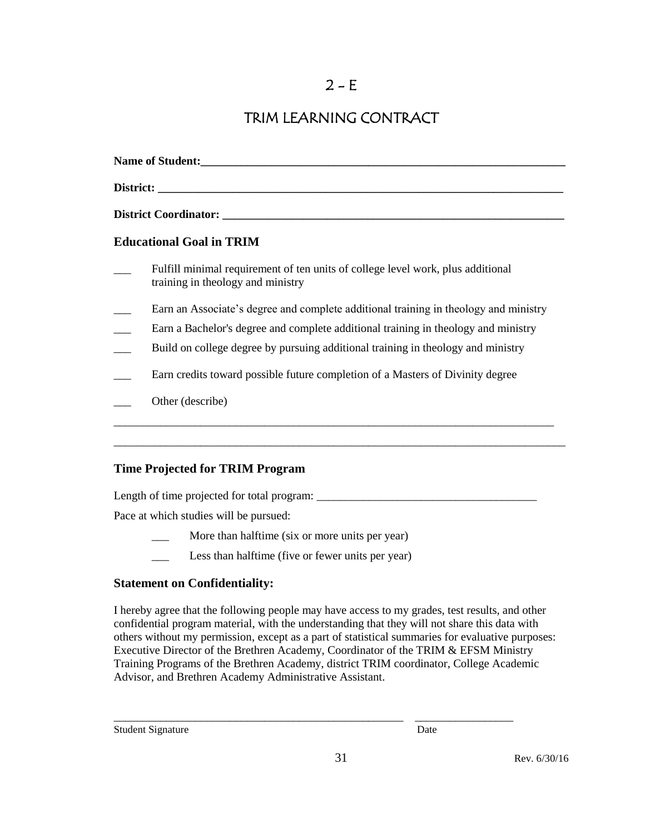## TRIM LEARNING CONTRACT

| Name of Student:                                                                                                                                                                                                              |
|-------------------------------------------------------------------------------------------------------------------------------------------------------------------------------------------------------------------------------|
| District: the contract of the contract of the contract of the contract of the contract of the contract of the contract of the contract of the contract of the contract of the contract of the contract of the contract of the |
|                                                                                                                                                                                                                               |
| <b>Educational Goal in TRIM</b>                                                                                                                                                                                               |
| Fulfill minimal requirement of ten units of college level work, plus additional<br>training in theology and ministry                                                                                                          |
| Earn an Associate's degree and complete additional training in theology and ministry                                                                                                                                          |
| Earn a Bachelor's degree and complete additional training in theology and ministry                                                                                                                                            |
| Build on college degree by pursuing additional training in theology and ministry                                                                                                                                              |
| Earn credits toward possible future completion of a Masters of Divinity degree                                                                                                                                                |
| Other (describe)                                                                                                                                                                                                              |

\_\_\_\_\_\_\_\_\_\_\_\_\_\_\_\_\_\_\_\_\_\_\_\_\_\_\_\_\_\_\_\_\_\_\_\_\_\_\_\_\_\_\_\_\_\_\_\_\_\_\_\_\_\_\_\_\_\_\_\_\_\_\_\_\_\_\_\_\_\_\_\_\_\_\_\_\_\_

### **Time Projected for TRIM Program**

Length of time projected for total program: \_\_\_\_\_\_\_\_\_\_\_\_\_\_\_\_\_\_\_\_\_\_\_\_\_\_\_\_\_\_\_\_\_\_\_\_\_\_

Pace at which studies will be pursued:

- More than halftime (six or more units per year)
- Less than halftime (five or fewer units per year)

### **Statement on Confidentiality:**

I hereby agree that the following people may have access to my grades, test results, and other confidential program material, with the understanding that they will not share this data with others without my permission, except as a part of statistical summaries for evaluative purposes: Executive Director of the Brethren Academy, Coordinator of the TRIM & EFSM Ministry Training Programs of the Brethren Academy, district TRIM coordinator, College Academic Advisor, and Brethren Academy Administrative Assistant.

\_\_\_\_\_\_\_\_\_\_\_\_\_\_\_\_\_\_\_\_\_\_\_\_\_\_\_\_\_\_\_\_\_\_\_\_\_\_\_\_\_\_\_\_\_\_\_\_\_\_ \_\_\_\_\_\_\_\_\_\_\_\_\_\_\_\_\_

### Student Signature Date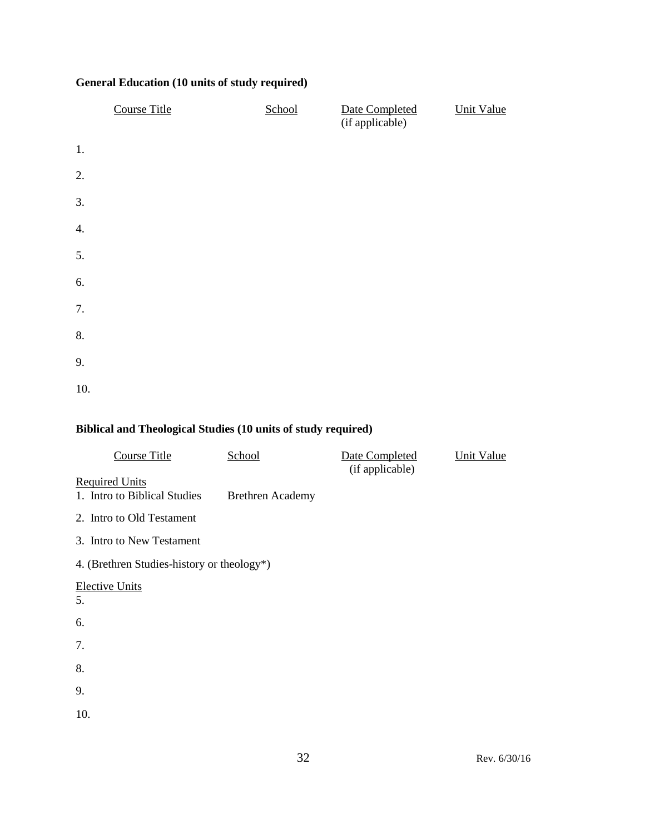## **General Education (10 units of study required)**

|     | <b>Course Title</b> | School | Date Completed<br>(if applicable) | <b>Unit Value</b> |
|-----|---------------------|--------|-----------------------------------|-------------------|
| 1.  |                     |        |                                   |                   |
| 2.  |                     |        |                                   |                   |
| 3.  |                     |        |                                   |                   |
| 4.  |                     |        |                                   |                   |
| 5.  |                     |        |                                   |                   |
| 6.  |                     |        |                                   |                   |
| 7.  |                     |        |                                   |                   |
| 8.  |                     |        |                                   |                   |
| 9.  |                     |        |                                   |                   |
| 10. |                     |        |                                   |                   |

## **Biblical and Theological Studies (10 units of study required)**

| <b>Course Title</b>                                   | School                  | Date Completed<br>(if applicable) | <b>Unit Value</b> |
|-------------------------------------------------------|-------------------------|-----------------------------------|-------------------|
| <b>Required Units</b><br>1. Intro to Biblical Studies | <b>Brethren Academy</b> |                                   |                   |
| 2. Intro to Old Testament                             |                         |                                   |                   |
| 3. Intro to New Testament                             |                         |                                   |                   |
| 4. (Brethren Studies-history or theology*)            |                         |                                   |                   |
| <b>Elective Units</b><br>5.                           |                         |                                   |                   |
| 6.                                                    |                         |                                   |                   |
| 7.                                                    |                         |                                   |                   |
| 8.                                                    |                         |                                   |                   |
| 9.                                                    |                         |                                   |                   |
| 10.                                                   |                         |                                   |                   |
|                                                       |                         |                                   |                   |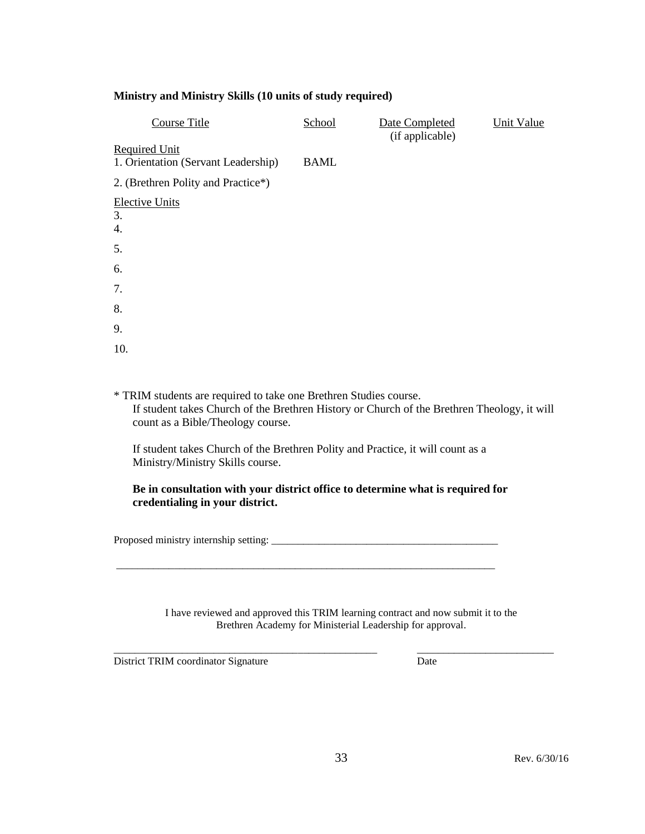### **Ministry and Ministry Skills (10 units of study required)**

| <b>Course Title</b>                 | School      | Date Completed<br>(if applicable) | Unit Value |
|-------------------------------------|-------------|-----------------------------------|------------|
| <b>Required Unit</b>                |             |                                   |            |
| 1. Orientation (Servant Leadership) | <b>BAML</b> |                                   |            |
| 2. (Brethren Polity and Practice*)  |             |                                   |            |
| <b>Elective Units</b>               |             |                                   |            |
| 3.                                  |             |                                   |            |
| 4.                                  |             |                                   |            |
| 5.                                  |             |                                   |            |
| 6.                                  |             |                                   |            |
| 7.                                  |             |                                   |            |
| 8.                                  |             |                                   |            |
| 9.                                  |             |                                   |            |
| 10.                                 |             |                                   |            |

\* TRIM students are required to take one Brethren Studies course. If student takes Church of the Brethren History or Church of the Brethren Theology, it will count as a Bible/Theology course.

If student takes Church of the Brethren Polity and Practice, it will count as a Ministry/Ministry Skills course.

\_\_\_\_\_\_\_\_\_\_\_\_\_\_\_\_\_\_\_\_\_\_\_\_\_\_\_\_\_\_\_\_\_\_\_\_\_\_\_\_\_\_\_\_\_\_\_\_\_\_\_\_\_\_\_\_\_\_\_\_\_\_\_\_\_\_\_\_\_\_\_\_

### **Be in consultation with your district office to determine what is required for credentialing in your district.**

Proposed ministry internship setting: \_\_\_\_\_\_\_\_\_\_\_\_\_\_\_\_\_\_\_\_\_\_\_\_\_\_\_\_\_\_\_\_\_\_\_\_\_\_\_\_\_\_\_

I have reviewed and approved this TRIM learning contract and now submit it to the Brethren Academy for Ministerial Leadership for approval.

*\_\_\_\_\_\_\_\_\_\_\_\_\_\_\_\_\_\_\_\_\_\_\_\_\_\_\_\_\_\_\_\_\_\_\_\_\_\_\_\_\_\_\_\_\_\_\_\_\_\_ \_\_\_\_\_\_\_\_\_\_\_\_\_\_\_\_\_\_\_\_\_\_\_\_\_\_*

District TRIM coordinator Signature Date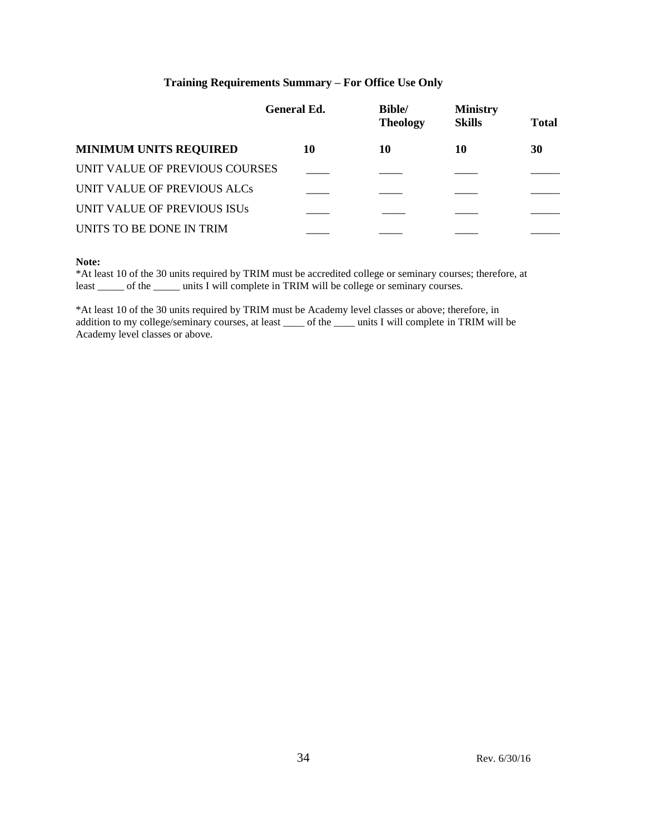### **Training Requirements Summary – For Office Use Only**

|                                | <b>General Ed.</b> | <b>Bible/</b><br><b>Theology</b> | <b>Ministry</b><br><b>Skills</b> | <b>Total</b> |
|--------------------------------|--------------------|----------------------------------|----------------------------------|--------------|
| <b>MINIMUM UNITS REQUIRED</b>  | 10                 | 10                               | 10                               | 30           |
| UNIT VALUE OF PREVIOUS COURSES |                    |                                  |                                  |              |
| UNIT VALUE OF PREVIOUS ALCs    |                    |                                  |                                  |              |
| UNIT VALUE OF PREVIOUS ISUS    |                    |                                  |                                  |              |
| UNITS TO BE DONE IN TRIM       |                    |                                  |                                  |              |
|                                |                    |                                  |                                  |              |

#### **Note:**

\*At least 10 of the 30 units required by TRIM must be accredited college or seminary courses; therefore, at least \_\_\_\_\_ of the \_\_\_\_\_\_ units I will complete in TRIM will be college or seminary courses.

\*At least 10 of the 30 units required by TRIM must be Academy level classes or above; therefore, in addition to my college/seminary courses, at least \_\_\_\_\_ of the \_\_\_\_\_ units I will complete in TRIM will be Academy level classes or above.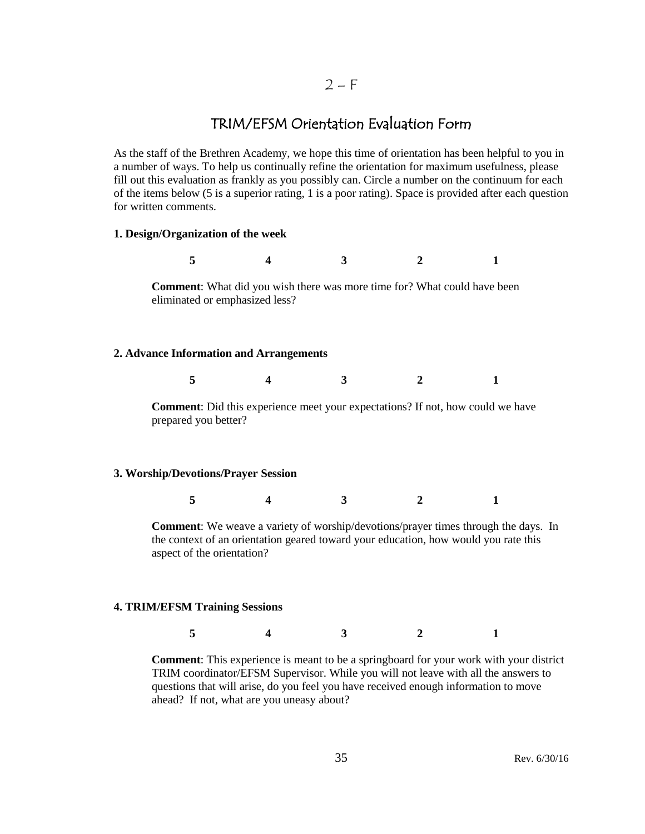### $2-F$

## TRIM/EFSM Orientation Evaluation Form

As the staff of the Brethren Academy, we hope this time of orientation has been helpful to you in a number of ways. To help us continually refine the orientation for maximum usefulness, please fill out this evaluation as frankly as you possibly can. Circle a number on the continuum for each of the items below (5 is a superior rating, 1 is a poor rating). Space is provided after each question for written comments.

#### **1. Design/Organization of the week**

**5 4 3 2 1 Comment**: What did you wish there was more time for? What could have been eliminated or emphasized less? **2. Advance Information and Arrangements 5 4 3 2 1 Comment**: Did this experience meet your expectations? If not, how could we have prepared you better?

### **3. Worship/Devotions/Prayer Session**

**5 4 3 2 1**

**Comment**: We weave a variety of worship/devotions/prayer times through the days. In the context of an orientation geared toward your education, how would you rate this aspect of the orientation?

#### **4. TRIM/EFSM Training Sessions**

**5 4 3 2 1**

**Comment**: This experience is meant to be a springboard for your work with your district TRIM coordinator/EFSM Supervisor. While you will not leave with all the answers to questions that will arise, do you feel you have received enough information to move ahead? If not, what are you uneasy about?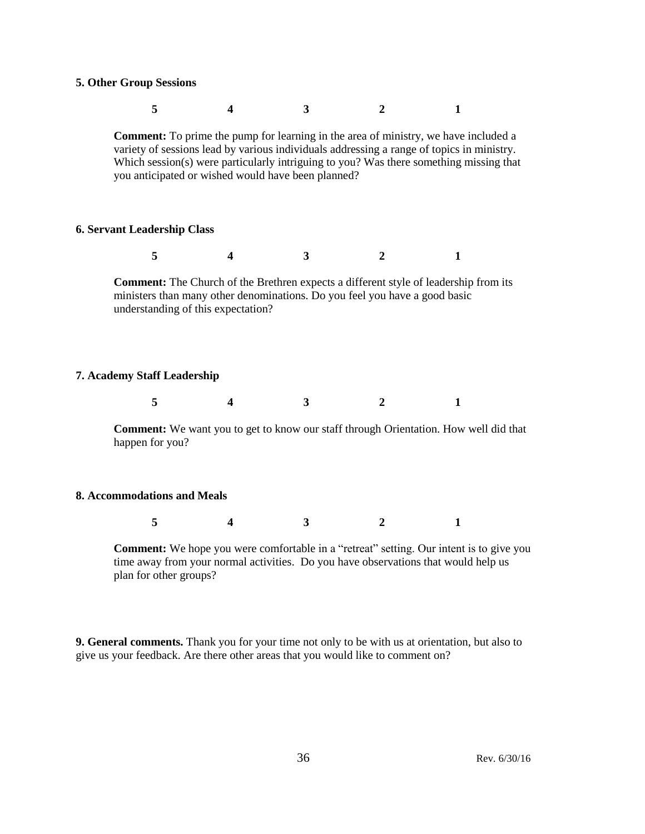#### **5. Other Group Sessions**

|                                    | you anticipated or wished would have been planned? |  | <b>Comment:</b> To prime the pump for learning in the area of ministry, we have included a<br>variety of sessions lead by various individuals addressing a range of topics in ministry.<br>Which session(s) were particularly intriguing to you? Was there something missing that |  |
|------------------------------------|----------------------------------------------------|--|-----------------------------------------------------------------------------------------------------------------------------------------------------------------------------------------------------------------------------------------------------------------------------------|--|
| <b>6. Servant Leadership Class</b> |                                                    |  |                                                                                                                                                                                                                                                                                   |  |
|                                    |                                                    |  |                                                                                                                                                                                                                                                                                   |  |

**Comment:** The Church of the Brethren expects a different style of leadership from its ministers than many other denominations. Do you feel you have a good basic understanding of this expectation?

### **7. Academy Staff Leadership**

|--|--|

**Comment:** We want you to get to know our staff through Orientation. How well did that happen for you?

#### **8. Accommodations and Meals**

**5 4 3 2 1**

**Comment:** We hope you were comfortable in a "retreat" setting. Our intent is to give you time away from your normal activities. Do you have observations that would help us plan for other groups?

**9. General comments.** Thank you for your time not only to be with us at orientation, but also to give us your feedback. Are there other areas that you would like to comment on?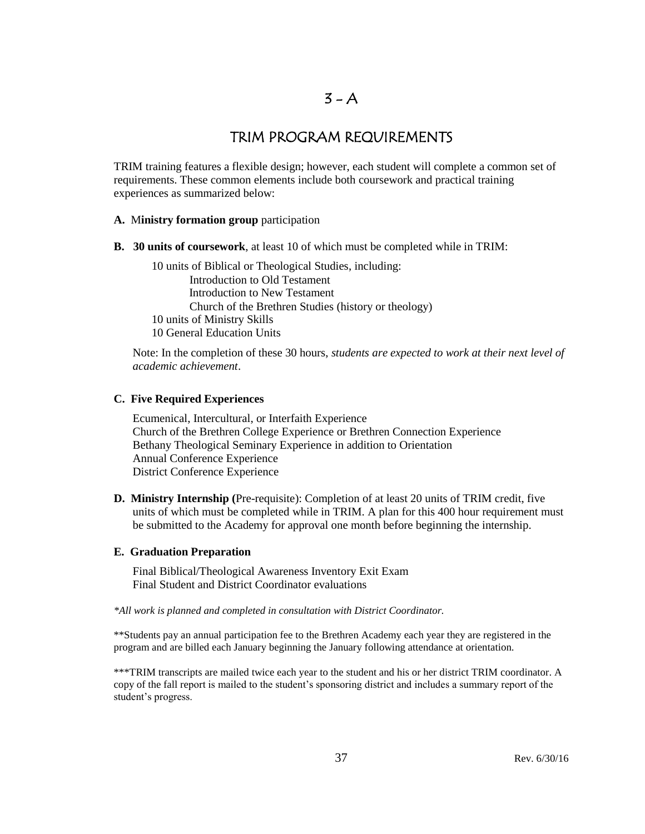# TRIM PROGRAM REQUIREMENTS

TRIM training features a flexible design; however, each student will complete a common set of requirements. These common elements include both coursework and practical training experiences as summarized below:

#### **A.** M**inistry formation group** participation

**B. 30 units of coursework**, at least 10 of which must be completed while in TRIM:

10 units of Biblical or Theological Studies, including: Introduction to Old Testament Introduction to New Testament Church of the Brethren Studies (history or theology) 10 units of Ministry Skills 10 General Education Units

Note: In the completion of these 30 hours, *students are expected to work at their next level of academic achievement*.

#### **C. Five Required Experiences**

Ecumenical, Intercultural, or Interfaith Experience Church of the Brethren College Experience or Brethren Connection Experience Bethany Theological Seminary Experience in addition to Orientation Annual Conference Experience District Conference Experience

**D. Ministry Internship (**Pre-requisite): Completion of at least 20 units of TRIM credit, five units of which must be completed while in TRIM. A plan for this 400 hour requirement must be submitted to the Academy for approval one month before beginning the internship.

#### **E. Graduation Preparation**

Final Biblical/Theological Awareness Inventory Exit Exam Final Student and District Coordinator evaluations

*\*All work is planned and completed in consultation with District Coordinator.*

\*\*Students pay an annual participation fee to the Brethren Academy each year they are registered in the program and are billed each January beginning the January following attendance at orientation.

\*\*\*TRIM transcripts are mailed twice each year to the student and his or her district TRIM coordinator. A copy of the fall report is mailed to the student's sponsoring district and includes a summary report of the student's progress.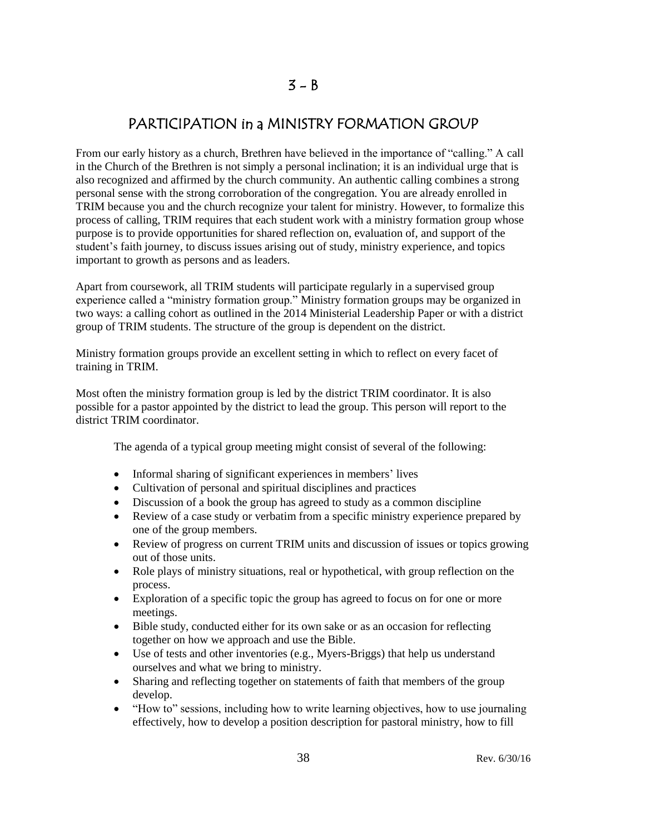# PARTICIPATION in a MINISTRY FORMATION GROUP

From our early history as a church, Brethren have believed in the importance of "calling." A call in the Church of the Brethren is not simply a personal inclination; it is an individual urge that is also recognized and affirmed by the church community. An authentic calling combines a strong personal sense with the strong corroboration of the congregation. You are already enrolled in TRIM because you and the church recognize your talent for ministry. However, to formalize this process of calling, TRIM requires that each student work with a ministry formation group whose purpose is to provide opportunities for shared reflection on, evaluation of, and support of the student's faith journey, to discuss issues arising out of study, ministry experience, and topics important to growth as persons and as leaders.

Apart from coursework, all TRIM students will participate regularly in a supervised group experience called a "ministry formation group." Ministry formation groups may be organized in two ways: a calling cohort as outlined in the 2014 Ministerial Leadership Paper or with a district group of TRIM students. The structure of the group is dependent on the district.

Ministry formation groups provide an excellent setting in which to reflect on every facet of training in TRIM.

Most often the ministry formation group is led by the district TRIM coordinator. It is also possible for a pastor appointed by the district to lead the group. This person will report to the district TRIM coordinator.

The agenda of a typical group meeting might consist of several of the following:

- Informal sharing of significant experiences in members' lives
- Cultivation of personal and spiritual disciplines and practices
- Discussion of a book the group has agreed to study as a common discipline
- Review of a case study or verbatim from a specific ministry experience prepared by one of the group members.
- Review of progress on current TRIM units and discussion of issues or topics growing out of those units.
- Role plays of ministry situations, real or hypothetical, with group reflection on the process.
- Exploration of a specific topic the group has agreed to focus on for one or more meetings.
- Bible study, conducted either for its own sake or as an occasion for reflecting together on how we approach and use the Bible.
- Use of tests and other inventories (e.g., Myers-Briggs) that help us understand ourselves and what we bring to ministry.
- Sharing and reflecting together on statements of faith that members of the group develop.
- "How to" sessions, including how to write learning objectives, how to use journaling effectively, how to develop a position description for pastoral ministry, how to fill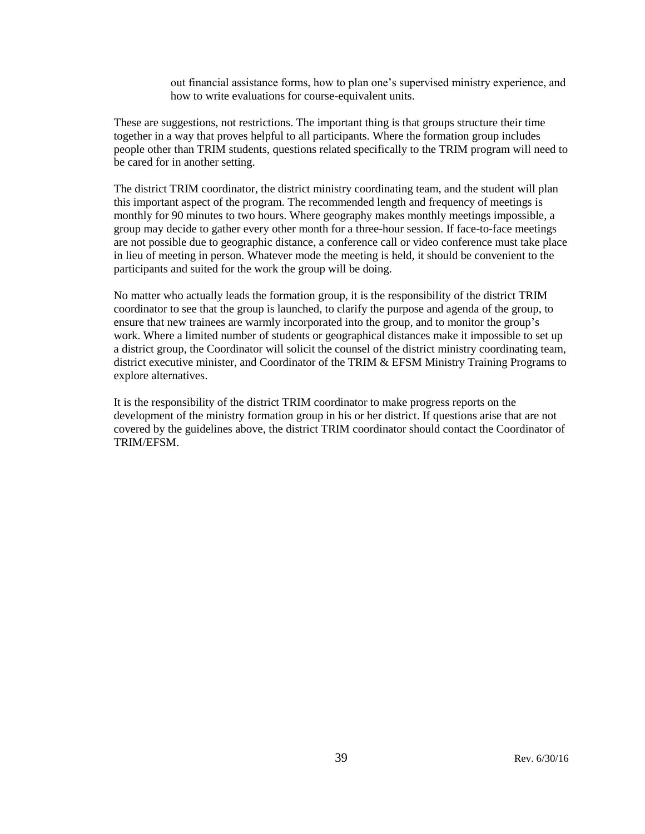out financial assistance forms, how to plan one's supervised ministry experience, and how to write evaluations for course-equivalent units.

These are suggestions, not restrictions. The important thing is that groups structure their time together in a way that proves helpful to all participants. Where the formation group includes people other than TRIM students, questions related specifically to the TRIM program will need to be cared for in another setting.

The district TRIM coordinator, the district ministry coordinating team, and the student will plan this important aspect of the program. The recommended length and frequency of meetings is monthly for 90 minutes to two hours. Where geography makes monthly meetings impossible, a group may decide to gather every other month for a three-hour session. If face-to-face meetings are not possible due to geographic distance, a conference call or video conference must take place in lieu of meeting in person. Whatever mode the meeting is held, it should be convenient to the participants and suited for the work the group will be doing.

No matter who actually leads the formation group, it is the responsibility of the district TRIM coordinator to see that the group is launched, to clarify the purpose and agenda of the group, to ensure that new trainees are warmly incorporated into the group, and to monitor the group's work. Where a limited number of students or geographical distances make it impossible to set up a district group, the Coordinator will solicit the counsel of the district ministry coordinating team, district executive minister, and Coordinator of the TRIM & EFSM Ministry Training Programs to explore alternatives.

It is the responsibility of the district TRIM coordinator to make progress reports on the development of the ministry formation group in his or her district. If questions arise that are not covered by the guidelines above, the district TRIM coordinator should contact the Coordinator of TRIM/EFSM.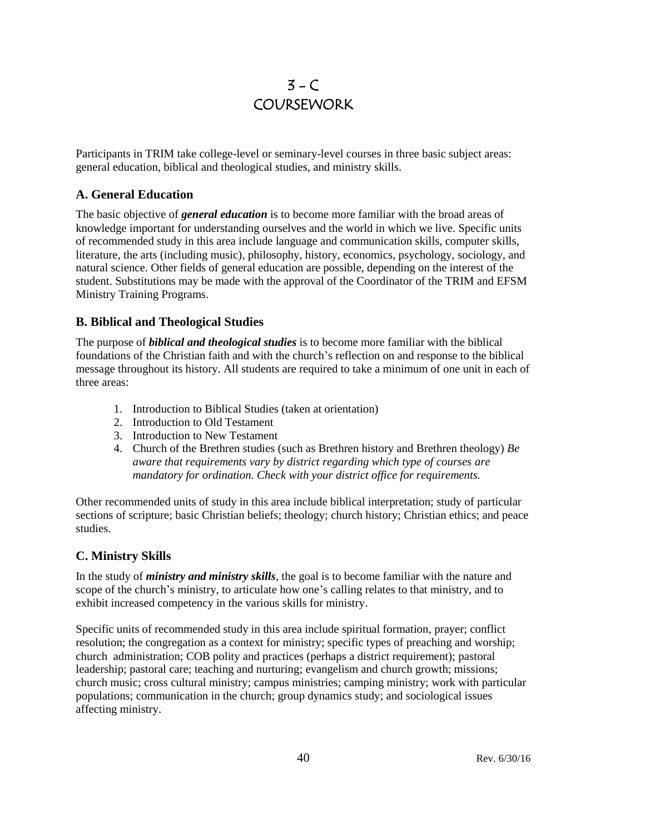# $3 - C$ **COURSEWORK**

Participants in TRIM take college-level or seminary-level courses in three basic subject areas: general education, biblical and theological studies, and ministry skills.

#### **A. General Education**

The basic objective of *general education* is to become more familiar with the broad areas of knowledge important for understanding ourselves and the world in which we live. Specific units of recommended study in this area include language and communication skills, computer skills, literature, the arts (including music), philosophy, history, economics, psychology, sociology, and natural science. Other fields of general education are possible, depending on the interest of the student. Substitutions may be made with the approval of the Coordinator of the TRIM and EFSM Ministry Training Programs.

#### **B. Biblical and Theological Studies**

The purpose of *biblical and theological studies* is to become more familiar with the biblical foundations of the Christian faith and with the church's reflection on and response to the biblical message throughout its history. All students are required to take a minimum of one unit in each of three areas:

- 1. Introduction to Biblical Studies (taken at orientation)
- 2. Introduction to Old Testament
- 3. Introduction to New Testament
- 4. Church of the Brethren studies (such as Brethren history and Brethren theology) *Be aware that requirements vary by district regarding which type of courses are mandatory for ordination. Check with your district office for requirements.*

Other recommended units of study in this area include biblical interpretation; study of particular sections of scripture; basic Christian beliefs; theology; church history; Christian ethics; and peace studies.

#### **C. Ministry Skills**

In the study of *ministry and ministry skills*, the goal is to become familiar with the nature and scope of the church's ministry, to articulate how one's calling relates to that ministry, and to exhibit increased competency in the various skills for ministry.

Specific units of recommended study in this area include spiritual formation, prayer; conflict resolution; the congregation as a context for ministry; specific types of preaching and worship; church administration; COB polity and practices (perhaps a district requirement); pastoral leadership; pastoral care; teaching and nurturing; evangelism and church growth; missions; church music; cross cultural ministry; campus ministries; camping ministry; work with particular populations; communication in the church; group dynamics study; and sociological issues affecting ministry.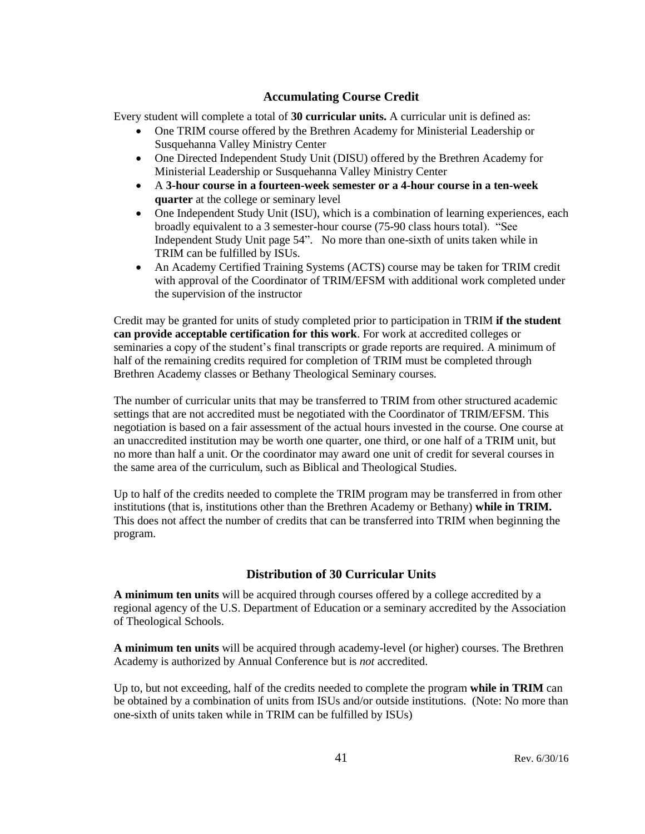#### **Accumulating Course Credit**

Every student will complete a total of **30 curricular units.** A curricular unit is defined as:

- One TRIM course offered by the Brethren Academy for Ministerial Leadership or Susquehanna Valley Ministry Center
- One Directed Independent Study Unit (DISU) offered by the Brethren Academy for Ministerial Leadership or Susquehanna Valley Ministry Center
- A **3-hour course in a fourteen-week semester or a 4-hour course in a ten-week quarter** at the college or seminary level
- One Independent Study Unit (ISU), which is a combination of learning experiences, each broadly equivalent to a 3 semester-hour course (75-90 class hours total). "See Independent Study Unit page 54". No more than one-sixth of units taken while in TRIM can be fulfilled by ISUs.
- An Academy Certified Training Systems (ACTS) course may be taken for TRIM credit with approval of the Coordinator of TRIM/EFSM with additional work completed under the supervision of the instructor

Credit may be granted for units of study completed prior to participation in TRIM **if the student can provide acceptable certification for this work**. For work at accredited colleges or seminaries a copy of the student's final transcripts or grade reports are required. A minimum of half of the remaining credits required for completion of TRIM must be completed through Brethren Academy classes or Bethany Theological Seminary courses.

The number of curricular units that may be transferred to TRIM from other structured academic settings that are not accredited must be negotiated with the Coordinator of TRIM/EFSM. This negotiation is based on a fair assessment of the actual hours invested in the course. One course at an unaccredited institution may be worth one quarter, one third, or one half of a TRIM unit, but no more than half a unit. Or the coordinator may award one unit of credit for several courses in the same area of the curriculum, such as Biblical and Theological Studies.

Up to half of the credits needed to complete the TRIM program may be transferred in from other institutions (that is, institutions other than the Brethren Academy or Bethany) **while in TRIM.**  This does not affect the number of credits that can be transferred into TRIM when beginning the program.

#### **Distribution of 30 Curricular Units**

**A minimum ten units** will be acquired through courses offered by a college accredited by a regional agency of the U.S. Department of Education or a seminary accredited by the Association of Theological Schools.

**A minimum ten units** will be acquired through academy-level (or higher) courses. The Brethren Academy is authorized by Annual Conference but is *not* accredited.

Up to, but not exceeding, half of the credits needed to complete the program **while in TRIM** can be obtained by a combination of units from ISUs and/or outside institutions. (Note: No more than one-sixth of units taken while in TRIM can be fulfilled by ISUs)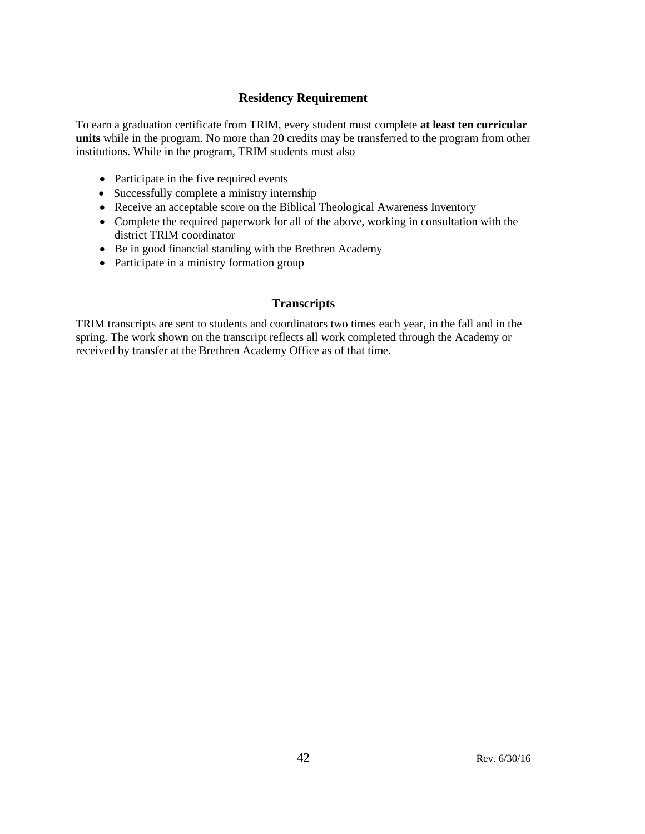#### **Residency Requirement**

To earn a graduation certificate from TRIM, every student must complete **at least ten curricular units** while in the program. No more than 20 credits may be transferred to the program from other institutions. While in the program, TRIM students must also

- Participate in the five required events
- Successfully complete a ministry internship
- Receive an acceptable score on the Biblical Theological Awareness Inventory
- Complete the required paperwork for all of the above, working in consultation with the district TRIM coordinator
- Be in good financial standing with the Brethren Academy
- Participate in a ministry formation group

#### **Transcripts**

TRIM transcripts are sent to students and coordinators two times each year, in the fall and in the spring. The work shown on the transcript reflects all work completed through the Academy or received by transfer at the Brethren Academy Office as of that time.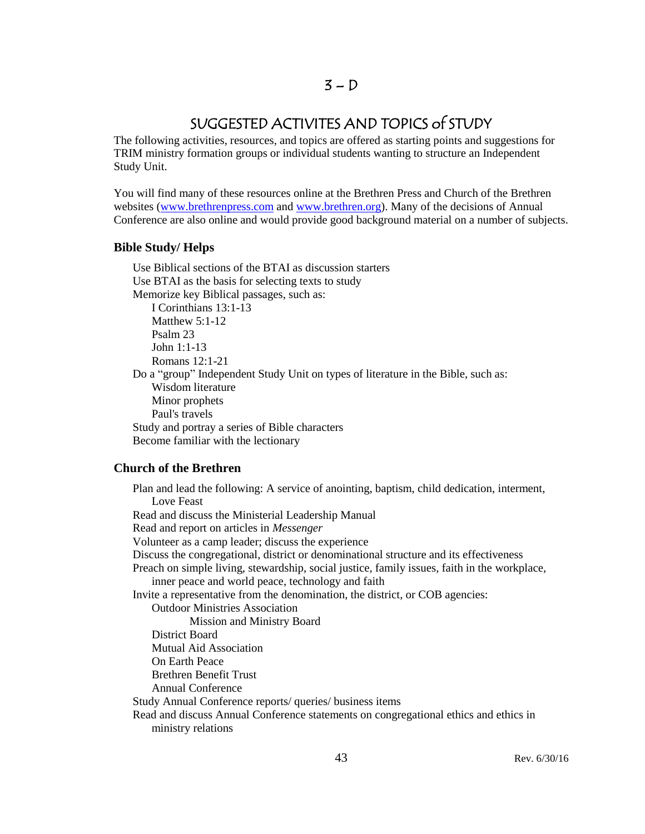# SUGGESTED ACTIVITES AND TOPICS of STUDY

The following activities, resources, and topics are offered as starting points and suggestions for TRIM ministry formation groups or individual students wanting to structure an Independent Study Unit.

You will find many of these resources online at the Brethren Press and Church of the Brethren websites [\(www.brethrenpress.com](http://www.brethrenpress.com/) and [www.brethren.org\)](http://www.brethren.org/). Many of the decisions of Annual Conference are also online and would provide good background material on a number of subjects.

#### **Bible Study/ Helps**

Use Biblical sections of the BTAI as discussion starters Use BTAI as the basis for selecting texts to study Memorize key Biblical passages, such as: I Corinthians 13:1-13 Matthew  $5:1-12$ Psalm 23 John 1:1-13 Romans 12:1-21 Do a "group" Independent Study Unit on types of literature in the Bible, such as: Wisdom literature Minor prophets Paul's travels Study and portray a series of Bible characters Become familiar with the lectionary

#### **Church of the Brethren**

Plan and lead the following: A service of anointing, baptism, child dedication, interment, Love Feast Read and discuss the Ministerial Leadership Manual Read and report on articles in *Messenger* Volunteer as a camp leader; discuss the experience Discuss the congregational, district or denominational structure and its effectiveness Preach on simple living, stewardship, social justice, family issues, faith in the workplace, inner peace and world peace, technology and faith Invite a representative from the denomination, the district, or COB agencies: Outdoor Ministries Association Mission and Ministry Board District Board Mutual Aid Association On Earth Peace Brethren Benefit Trust Annual Conference Study Annual Conference reports/ queries/ business items Read and discuss Annual Conference statements on congregational ethics and ethics in ministry relations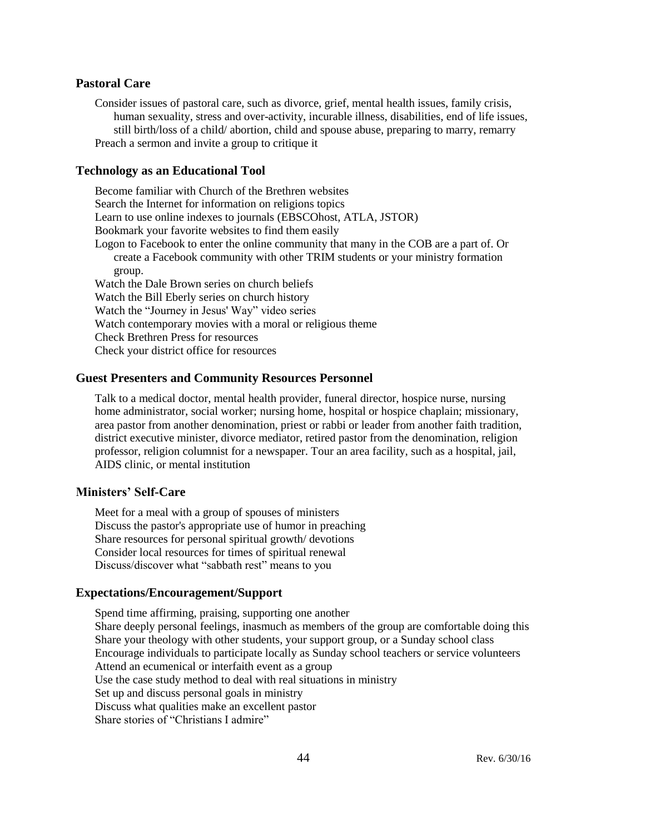#### **Pastoral Care**

Consider issues of pastoral care, such as divorce, grief, mental health issues, family crisis, human sexuality, stress and over-activity, incurable illness, disabilities, end of life issues, still birth/loss of a child/ abortion, child and spouse abuse, preparing to marry, remarry Preach a sermon and invite a group to critique it

#### **Technology as an Educational Tool**

Become familiar with Church of the Brethren websites Search the Internet for information on religions topics Learn to use online indexes to journals (EBSCOhost, ATLA, JSTOR) Bookmark your favorite websites to find them easily Logon to Facebook to enter the online community that many in the COB are a part of. Or create a Facebook community with other TRIM students or your ministry formation group. Watch the Dale Brown series on church beliefs Watch the Bill Eberly series on church history Watch the "Journey in Jesus' Way" video series Watch contemporary movies with a moral or religious theme Check Brethren Press for resources Check your district office for resources

#### **Guest Presenters and Community Resources Personnel**

Talk to a medical doctor, mental health provider, funeral director, hospice nurse, nursing home administrator, social worker; nursing home, hospital or hospice chaplain; missionary, area pastor from another denomination, priest or rabbi or leader from another faith tradition, district executive minister, divorce mediator, retired pastor from the denomination, religion professor, religion columnist for a newspaper. Tour an area facility, such as a hospital, jail, AIDS clinic, or mental institution

#### **Ministers' Self-Care**

Meet for a meal with a group of spouses of ministers Discuss the pastor's appropriate use of humor in preaching Share resources for personal spiritual growth/ devotions Consider local resources for times of spiritual renewal Discuss/discover what "sabbath rest" means to you

#### **Expectations/Encouragement/Support**

Spend time affirming, praising, supporting one another Share deeply personal feelings, inasmuch as members of the group are comfortable doing this Share your theology with other students, your support group, or a Sunday school class Encourage individuals to participate locally as Sunday school teachers or service volunteers Attend an ecumenical or interfaith event as a group Use the case study method to deal with real situations in ministry Set up and discuss personal goals in ministry Discuss what qualities make an excellent pastor Share stories of "Christians I admire"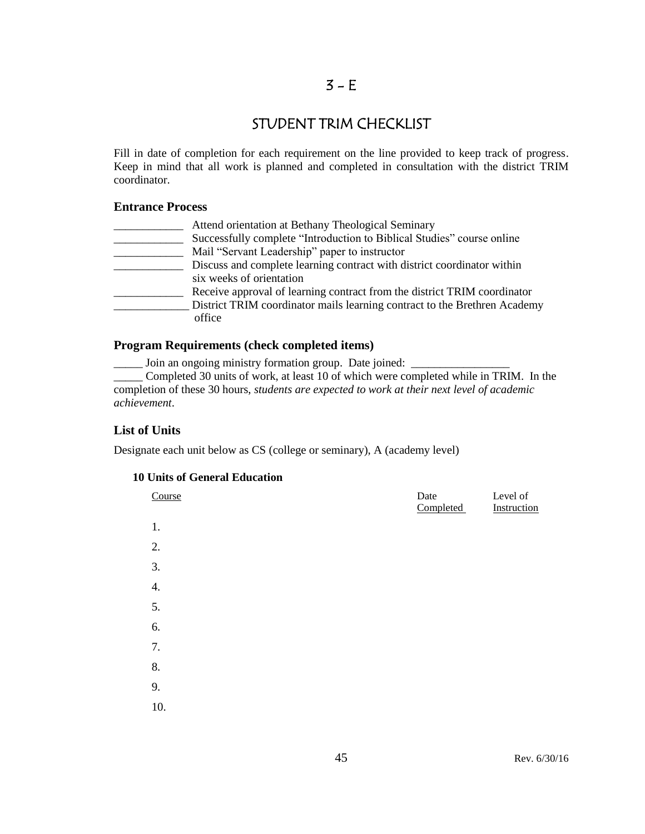## $3 - E$

# STUDENT TRIM CHECKLIST

Fill in date of completion for each requirement on the line provided to keep track of progress. Keep in mind that all work is planned and completed in consultation with the district TRIM coordinator.

#### **Entrance Process**

| Attend orientation at Bethany Theological Seminary                        |
|---------------------------------------------------------------------------|
| Successfully complete "Introduction to Biblical Studies" course online    |
| Mail "Servant Leadership" paper to instructor                             |
| Discuss and complete learning contract with district coordinator within   |
| six weeks of orientation                                                  |
| Receive approval of learning contract from the district TRIM coordinator  |
| District TRIM coordinator mails learning contract to the Brethren Academy |
| office                                                                    |
|                                                                           |

#### **Program Requirements (check completed items)**

\_\_\_\_\_ Join an ongoing ministry formation group. Date joined: \_\_\_\_\_\_\_\_\_\_\_\_\_\_\_\_\_

\_\_\_\_\_ Completed 30 units of work, at least 10 of which were completed while in TRIM. In the completion of these 30 hours, *students are expected to work at their next level of academic achievement*.

#### **List of Units**

Designate each unit below as CS (college or seminary), A (academy level)

#### **10 Units of General Education**

| Course | Date<br>Completed | Level of<br>Instruction |
|--------|-------------------|-------------------------|
| 1.     |                   |                         |
| 2.     |                   |                         |
| 3.     |                   |                         |
| 4.     |                   |                         |
| 5.     |                   |                         |
| 6.     |                   |                         |
| 7.     |                   |                         |
| 8.     |                   |                         |
| 9.     |                   |                         |
| 10.    |                   |                         |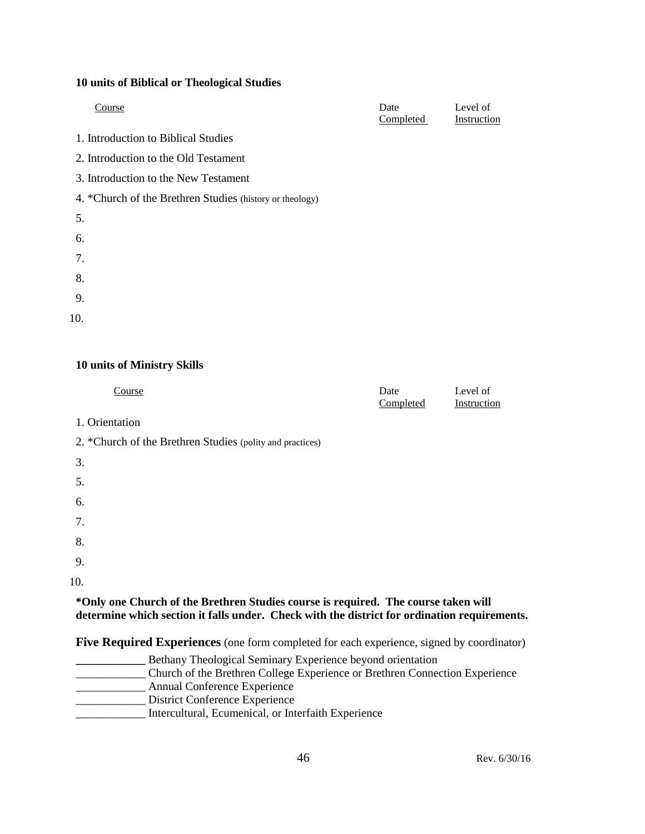#### **10 units of Biblical or Theological Studies**

| Course                                                   | Date<br>Completed | Level of<br>Instruction |
|----------------------------------------------------------|-------------------|-------------------------|
| 1. Introduction to Biblical Studies                      |                   |                         |
| 2. Introduction to the Old Testament                     |                   |                         |
| 3. Introduction to the New Testament                     |                   |                         |
| 4. *Church of the Brethren Studies (history or theology) |                   |                         |
| 5.                                                       |                   |                         |
| 6.                                                       |                   |                         |
| 7.                                                       |                   |                         |
| 8.                                                       |                   |                         |
| 9.                                                       |                   |                         |
| 10.                                                      |                   |                         |

#### **10 units of Ministry Skills**

| Course                                                                                                                                                                             | Date<br>Completed | Level of<br>Instruction |
|------------------------------------------------------------------------------------------------------------------------------------------------------------------------------------|-------------------|-------------------------|
| 1. Orientation                                                                                                                                                                     |                   |                         |
| 2. *Church of the Brethren Studies (polity and practices)                                                                                                                          |                   |                         |
| 3.                                                                                                                                                                                 |                   |                         |
| 5.                                                                                                                                                                                 |                   |                         |
| 6.                                                                                                                                                                                 |                   |                         |
| 7.                                                                                                                                                                                 |                   |                         |
| 8.                                                                                                                                                                                 |                   |                         |
| 9.                                                                                                                                                                                 |                   |                         |
| 10.                                                                                                                                                                                |                   |                         |
| *Only one Church of the Brethren Studies course is required. The course taken will<br>determine which section it falls under. Check with the district for ordination requirements. |                   |                         |

**Five Required Experiences** (one form completed for each experience, signed by coordinator)

**EXECUTE:** Bethany Theological Seminary Experience beyond orientation \_\_\_\_\_\_\_\_\_\_\_\_ Church of the Brethren College Experience or Brethren Connection Experience **Annual Conference Experience** \_\_\_\_\_\_\_\_\_\_\_\_ District Conference Experience \_\_\_\_\_\_\_\_\_\_\_\_ Intercultural, Ecumenical, or Interfaith Experience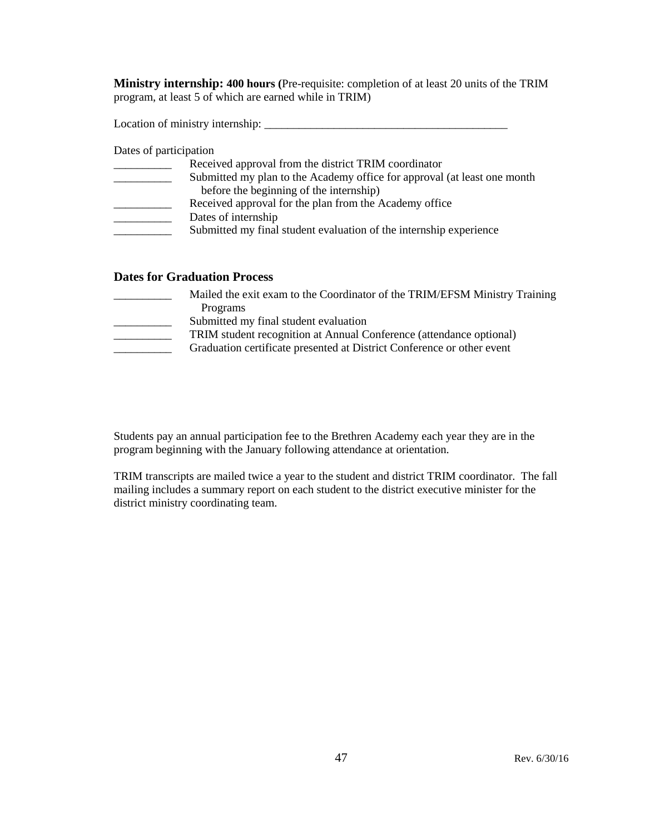**Ministry internship: 400 hours (**Pre-requisite: completion of at least 20 units of the TRIM program, at least 5 of which are earned while in TRIM)

Location of ministry internship: \_\_\_\_\_\_\_\_\_\_\_\_\_\_\_\_\_\_\_\_\_\_\_\_\_\_\_\_\_\_\_\_\_\_\_\_\_\_\_\_\_\_

Dates of participation

| Submitted my plan to the Academy office for approval (at least one month |
|--------------------------------------------------------------------------|
|                                                                          |
|                                                                          |
|                                                                          |
| Submitted my final student evaluation of the internship experience       |
| Received approval for the plan from the Academy office                   |

#### **Dates for Graduation Process**

| Mailed the exit exam to the Coordinator of the TRIM/EFSM Ministry Training |
|----------------------------------------------------------------------------|
| Programs                                                                   |
| Submitted my final student evaluation                                      |
| TRIM student recognition at Annual Conference (attendance optional)        |
| Graduation certificate presented at District Conference or other event     |
|                                                                            |

Students pay an annual participation fee to the Brethren Academy each year they are in the program beginning with the January following attendance at orientation.

TRIM transcripts are mailed twice a year to the student and district TRIM coordinator. The fall mailing includes a summary report on each student to the district executive minister for the district ministry coordinating team.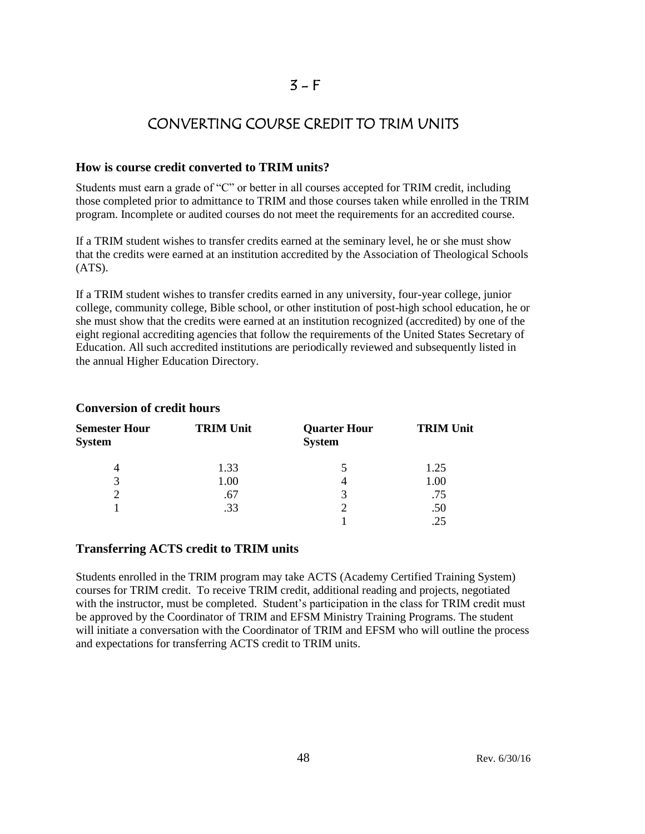### $3 - F$

# CONVERTING COURSE CREDIT TO TRIM UNITS

#### **How is course credit converted to TRIM units?**

Students must earn a grade of "C" or better in all courses accepted for TRIM credit, including those completed prior to admittance to TRIM and those courses taken while enrolled in the TRIM program. Incomplete or audited courses do not meet the requirements for an accredited course.

If a TRIM student wishes to transfer credits earned at the seminary level, he or she must show that the credits were earned at an institution accredited by the Association of Theological Schools (ATS).

If a TRIM student wishes to transfer credits earned in any university, four-year college, junior college, community college, Bible school, or other institution of post-high school education, he or she must show that the credits were earned at an institution recognized (accredited) by one of the eight regional accrediting agencies that follow the requirements of the United States Secretary of Education. All such accredited institutions are periodically reviewed and subsequently listed in the annual Higher Education Directory.

| <b>Semester Hour</b><br><b>System</b> | <b>TRIM Unit</b> | <b>Quarter Hour</b><br><b>System</b> | <b>TRIM Unit</b> |
|---------------------------------------|------------------|--------------------------------------|------------------|
|                                       | 1.33             |                                      | 1.25             |
| 3                                     | 1.00             |                                      | 1.00             |
|                                       | .67              | 3                                    | .75              |
|                                       | .33              |                                      | .50              |
|                                       |                  |                                      |                  |

#### **Conversion of credit hours**

#### **Transferring ACTS credit to TRIM units**

Students enrolled in the TRIM program may take ACTS (Academy Certified Training System) courses for TRIM credit. To receive TRIM credit, additional reading and projects, negotiated with the instructor, must be completed. Student's participation in the class for TRIM credit must be approved by the Coordinator of TRIM and EFSM Ministry Training Programs. The student will initiate a conversation with the Coordinator of TRIM and EFSM who will outline the process and expectations for transferring ACTS credit to TRIM units.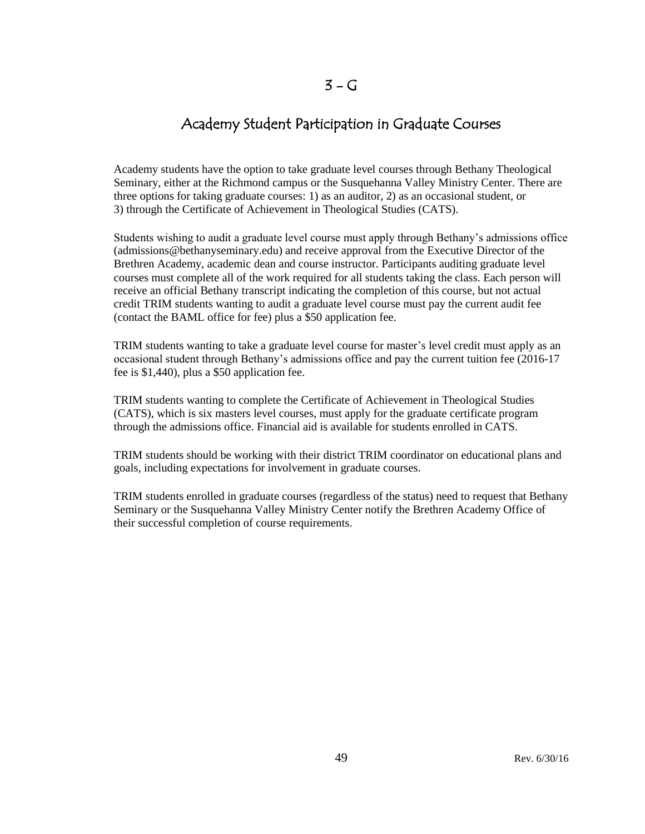# Academy Student Participation in Graduate Courses

Academy students have the option to take graduate level courses through Bethany Theological Seminary, either at the Richmond campus or the Susquehanna Valley Ministry Center. There are three options for taking graduate courses: 1) as an auditor, 2) as an occasional student, or 3) through the Certificate of Achievement in Theological Studies (CATS).

Students wishing to audit a graduate level course must apply through Bethany's admissions office (admissions@bethanyseminary.edu) and receive approval from the Executive Director of the Brethren Academy, academic dean and course instructor. Participants auditing graduate level courses must complete all of the work required for all students taking the class. Each person will receive an official Bethany transcript indicating the completion of this course, but not actual credit TRIM students wanting to audit a graduate level course must pay the current audit fee (contact the BAML office for fee) plus a \$50 application fee.

TRIM students wanting to take a graduate level course for master's level credit must apply as an occasional student through Bethany's admissions office and pay the current tuition fee (2016-17 fee is \$1,440), plus a \$50 application fee.

TRIM students wanting to complete the Certificate of Achievement in Theological Studies (CATS), which is six masters level courses, must apply for the graduate certificate program through the admissions office. Financial aid is available for students enrolled in CATS.

TRIM students should be working with their district TRIM coordinator on educational plans and goals, including expectations for involvement in graduate courses.

TRIM students enrolled in graduate courses (regardless of the status) need to request that Bethany Seminary or the Susquehanna Valley Ministry Center notify the Brethren Academy Office of their successful completion of course requirements.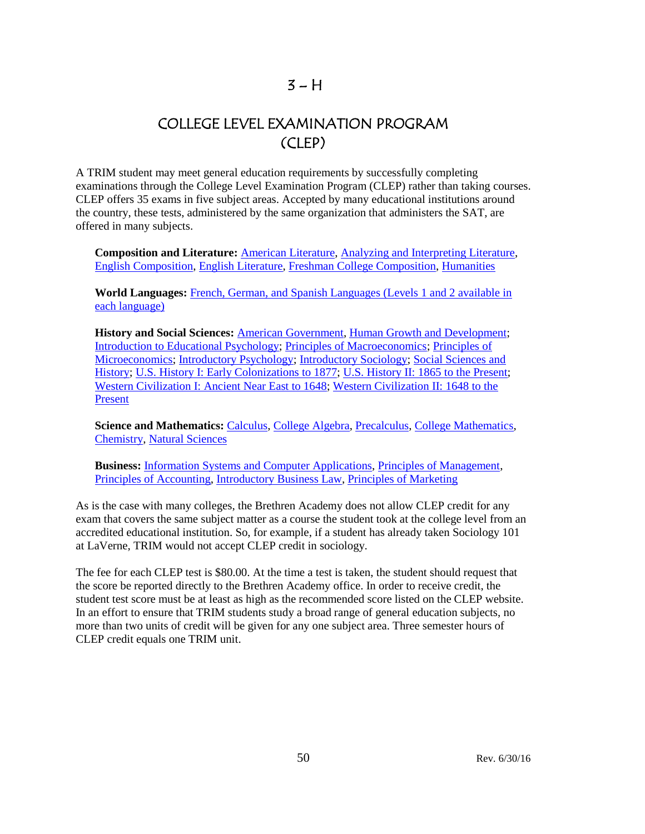# $3 - H$

# COLLEGE LEVEL EXAMINATION PROGRAM (CLEP)

A TRIM student may meet general education requirements by successfully completing examinations through the College Level Examination Program (CLEP) rather than taking courses. CLEP offers 35 exams in five subject areas. Accepted by many educational institutions around the country, these tests, administered by the same organization that administers the SAT, are offered in many subjects.

**Composition and Literature:** [American Literature,](http://www.collegeboard.com/student/testing/clep/ex_al.html) [Analyzing and Interpreting Literature,](http://www.collegeboard.com/student/testing/clep/ex_ail.html) [English Composition,](http://www.collegeboard.com/student/testing/clep/ex_ec.html) [English Literature,](http://www.collegeboard.com/student/testing/clep/ex_el.html) [Freshman College Composition,](http://www.collegeboard.com/student/testing/clep/ex_fcc.html) [Humanities](http://www.collegeboard.com/student/testing/clep/ex_hum.html)

**World Languages:** French, German, and Spanish Languages [\(Levels 1 and 2 available in](http://www.collegeboard.com/student/testing/clep/ex_clf.html)  [each language\)](http://www.collegeboard.com/student/testing/clep/ex_clf.html)

**History and Social Sciences:** [American Government,](http://www.collegeboard.com/student/testing/clep/ex_ag.html) [Human Growth and Development;](http://www.collegeboard.com/student/testing/clep/ex_hgd.html) [Introduction to Educational Psychology;](http://www.collegeboard.com/student/testing/clep/ex_iep.html) [Principles of Macroeconomics;](http://www.collegeboard.com/student/testing/clep/ex_pmac.html) [Principles of](http://www.collegeboard.com/student/testing/clep/ex_pmic.html)  [Microeconomics;](http://www.collegeboard.com/student/testing/clep/ex_pmic.html) [Introductory Psychology;](http://www.collegeboard.com/student/testing/clep/ex_ip.html) [Introductory Sociology;](http://www.collegeboard.com/student/testing/clep/ex_is.html) [Social Sciences and](http://www.collegeboard.com/student/testing/clep/ex_ssh.html)  [History;](http://www.collegeboard.com/student/testing/clep/ex_ssh.html) [U.S. History I: Early Colonizations to 1877;](http://www.collegeboard.com/student/testing/clep/ex_us1.html) [U.S. History II: 1865 to the Present;](http://www.collegeboard.com/student/testing/clep/ex_us2.html) [Western Civilization I: Ancient Near East to 1648;](http://www.collegeboard.com/student/testing/clep/ex_wc1.html) [Western Civilization II: 1648 to the](http://www.collegeboard.com/student/testing/clep/ex_wc2.html)  [Present](http://www.collegeboard.com/student/testing/clep/ex_wc2.html)

**Science and Mathematics:** [Calculus,](http://www.collegeboard.com/student/testing/clep/ex_calc.html) [College Algebra,](http://www.collegeboard.com/student/testing/clep/ex_ca.html) [Precalculus,](http://www.collegeboard.com/student/testing/clep/ex_pcal.html) [College Mathematics,](http://www.collegeboard.com/student/testing/clep/ex_cm.html) [Chemistry,](http://www.collegeboard.com/student/testing/clep/ex_chem.html) [Natural Sciences](http://www.collegeboard.com/student/testing/clep/ex_ns.html)

**Business:** [Information Systems and Computer Applications,](http://www.collegeboard.com/student/testing/clep/ex_isca.html) [Principles of Management,](http://www.collegeboard.com/student/testing/clep/ex_pman.html) [Principles of Accounting,](http://www.collegeboard.com/student/testing/clep/ex_pa.html) [Introductory Business Law,](http://www.collegeboard.com/student/testing/clep/ex_ibl.html) [Principles of Marketing](http://www.collegeboard.com/student/testing/clep/ex_pmark.html) 

As is the case with many colleges, the Brethren Academy does not allow CLEP credit for any exam that covers the same subject matter as a course the student took at the college level from an accredited educational institution. So, for example, if a student has already taken Sociology 101 at LaVerne, TRIM would not accept CLEP credit in sociology.

The fee for each CLEP test is \$80.00. At the time a test is taken, the student should request that the score be reported directly to the Brethren Academy office. In order to receive credit, the student test score must be at least as high as the recommended score listed on the CLEP website. In an effort to ensure that TRIM students study a broad range of general education subjects, no more than two units of credit will be given for any one subject area. Three semester hours of CLEP credit equals one TRIM unit.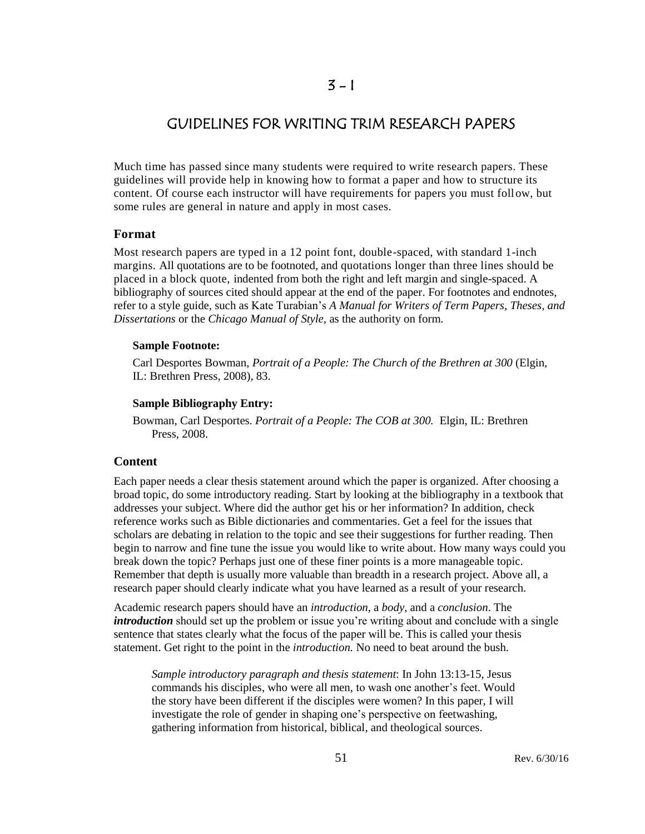## GUIDELINES FOR WRITING TRIM RESEARCH PAPERS

Much time has passed since many students were required to write research papers. These guidelines will provide help in knowing how to format a paper and how to structure its content. Of course each instructor will have requirements for papers you must follow, but some rules are general in nature and apply in most cases.

#### **Format**

Most research papers are typed in a 12 point font, double-spaced, with standard 1-inch margins. All quotations are to be footnoted, and quotations longer than three lines should be placed in a block quote, indented from both the right and left margin and single-spaced. A bibliography of sources cited should appear at the end of the paper. For footnotes and endnotes, refer to a style guide, such as Kate Turabian's *A Manual for Writers of Term Papers, Theses, and Dissertations* or the *Chicago Manual of Style,* as the authority on form.

#### **Sample Footnote:**

Carl Desportes Bowman, *Portrait of a People: The Church of the Brethren at 300* (Elgin, IL: Brethren Press, 2008), 83.

#### **Sample Bibliography Entry:**

Bowman, Carl Desportes. *Portrait of a People: The COB at 300.* Elgin, IL: Brethren Press, 2008.

#### **Content**

Each paper needs a clear thesis statement around which the paper is organized. After choosing a broad topic, do some introductory reading. Start by looking at the bibliography in a textbook that addresses your subject. Where did the author get his or her information? In addition, check reference works such as Bible dictionaries and commentaries. Get a feel for the issues that scholars are debating in relation to the topic and see their suggestions for further reading. Then begin to narrow and fine tune the issue you would like to write about. How many ways could you break down the topic? Perhaps just one of these finer points is a more manageable topic. Remember that depth is usually more valuable than breadth in a research project. Above all, a research paper should clearly indicate what you have learned as a result of your research.

Academic research papers should have an *introduction*, a *body*, and a *conclusion*. The *introduction* should set up the problem or issue you're writing about and conclude with a single sentence that states clearly what the focus of the paper will be. This is called your thesis statement. Get right to the point in the *introduction.* No need to beat around the bush.

*Sample introductory paragraph and thesis statement*: In John 13:13-15, Jesus commands his disciples, who were all men, to wash one another's feet. Would the story have been different if the disciples were women? In this paper, I will investigate the role of gender in shaping one's perspective on feetwashing, gathering information from historical, biblical, and theological sources.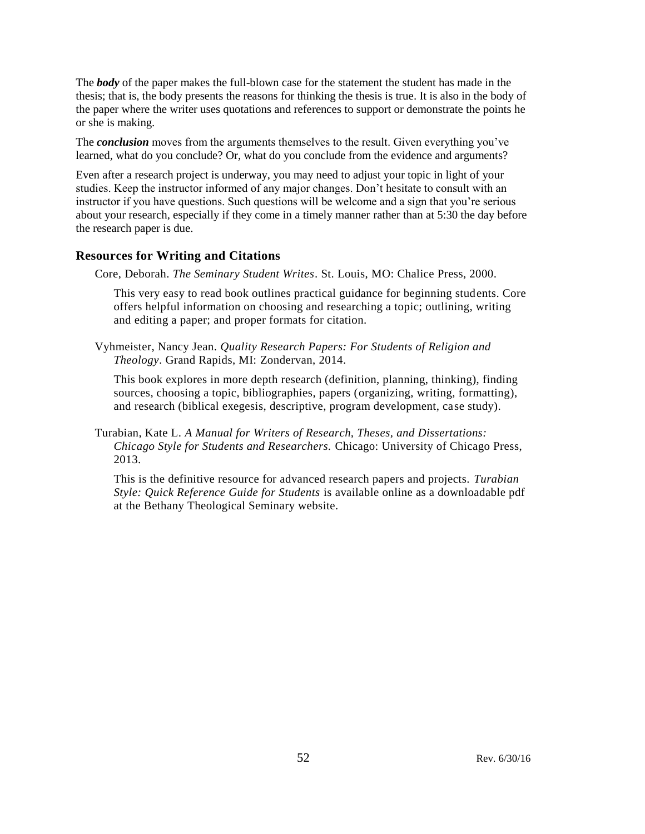The *body* of the paper makes the full-blown case for the statement the student has made in the thesis; that is, the body presents the reasons for thinking the thesis is true. It is also in the body of the paper where the writer uses quotations and references to support or demonstrate the points he or she is making.

The *conclusion* moves from the arguments themselves to the result. Given everything you've learned, what do you conclude? Or, what do you conclude from the evidence and arguments?

Even after a research project is underway, you may need to adjust your topic in light of your studies. Keep the instructor informed of any major changes. Don't hesitate to consult with an instructor if you have questions. Such questions will be welcome and a sign that you're serious about your research, especially if they come in a timely manner rather than at 5:30 the day before the research paper is due.

#### **Resources for Writing and Citations**

Core, Deborah. *The Seminary Student Writes*. St. Louis, MO: Chalice Press, 2000.

This very easy to read book outlines practical guidance for beginning students. Core offers helpful information on choosing and researching a topic; outlining, writing and editing a paper; and proper formats for citation.

Vyhmeister, Nancy Jean. *Quality Research Papers: For Students of Religion and Theology*. Grand Rapids, MI: Zondervan, 2014.

This book explores in more depth research (definition, planning, thinking), finding sources, choosing a topic, bibliographies, papers (organizing, writing, formatting), and research (biblical exegesis, descriptive, program development, case study).

Turabian, Kate L. *A Manual for Writers of Research, Theses, and Dissertations: Chicago Style for Students and Researchers.* Chicago: University of Chicago Press, 2013.

This is the definitive resource for advanced research papers and projects. *Turabian Style: Quick Reference Guide for Students* is available online as a downloadable pdf at the Bethany Theological Seminary website.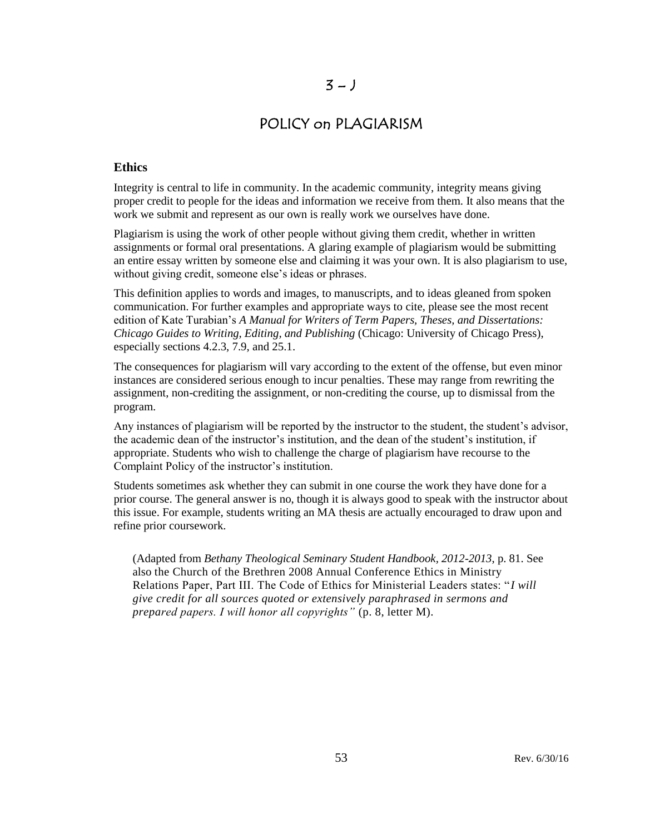### $3 - J$

# POLICY on PLAGIARISM

#### **Ethics**

Integrity is central to life in community. In the academic community, integrity means giving proper credit to people for the ideas and information we receive from them. It also means that the work we submit and represent as our own is really work we ourselves have done.

Plagiarism is using the work of other people without giving them credit, whether in written assignments or formal oral presentations. A glaring example of plagiarism would be submitting an entire essay written by someone else and claiming it was your own. It is also plagiarism to use, without giving credit, someone else's ideas or phrases.

This definition applies to words and images, to manuscripts, and to ideas gleaned from spoken communication. For further examples and appropriate ways to cite, please see the most recent edition of Kate Turabian's *A Manual for Writers of Term Papers, Theses, and Dissertations: Chicago Guides to Writing, Editing, and Publishing* (Chicago: University of Chicago Press), especially sections 4.2.3, 7.9, and 25.1.

The consequences for plagiarism will vary according to the extent of the offense, but even minor instances are considered serious enough to incur penalties. These may range from rewriting the assignment, non-crediting the assignment, or non-crediting the course, up to dismissal from the program.

Any instances of plagiarism will be reported by the instructor to the student, the student's advisor, the academic dean of the instructor's institution, and the dean of the student's institution, if appropriate. Students who wish to challenge the charge of plagiarism have recourse to the Complaint Policy of the instructor's institution.

Students sometimes ask whether they can submit in one course the work they have done for a prior course. The general answer is no, though it is always good to speak with the instructor about this issue. For example, students writing an MA thesis are actually encouraged to draw upon and refine prior coursework.

(Adapted from *Bethany Theological Seminary Student Handbook, 2012-2013*, p. 81. See also the Church of the Brethren 2008 Annual Conference Ethics in Ministry Relations Paper, Part III. The Code of Ethics for Ministerial Leaders states: "*I will give credit for all sources quoted or extensively paraphrased in sermons and prepared papers. I will honor all copyrights"* (p. 8, letter M).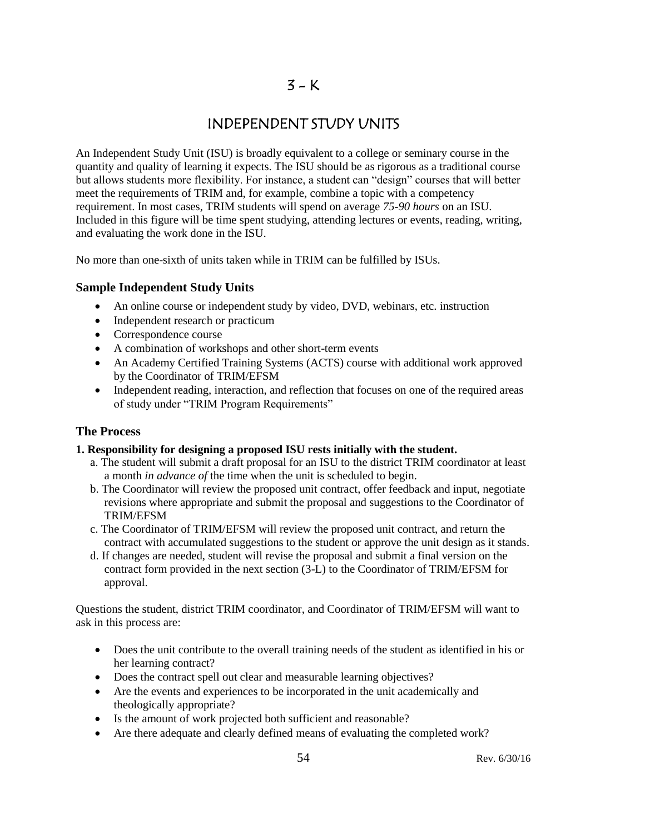# INDEPENDENT STUDY UNITS

An Independent Study Unit (ISU) is broadly equivalent to a college or seminary course in the quantity and quality of learning it expects. The ISU should be as rigorous as a traditional course but allows students more flexibility. For instance, a student can "design" courses that will better meet the requirements of TRIM and, for example, combine a topic with a competency requirement. In most cases, TRIM students will spend on average *75-90 hours* on an ISU. Included in this figure will be time spent studying, attending lectures or events, reading, writing, and evaluating the work done in the ISU.

No more than one-sixth of units taken while in TRIM can be fulfilled by ISUs.

#### **Sample Independent Study Units**

- An online course or independent study by video, DVD, webinars, etc. instruction
- Independent research or practicum
- Correspondence course
- A combination of workshops and other short-term events
- An Academy Certified Training Systems (ACTS) course with additional work approved by the Coordinator of TRIM/EFSM
- Independent reading, interaction, and reflection that focuses on one of the required areas of study under "TRIM Program Requirements"

#### **The Process**

#### **1. Responsibility for designing a proposed ISU rests initially with the student.**

- a. The student will submit a draft proposal for an ISU to the district TRIM coordinator at least a month *in advance of* the time when the unit is scheduled to begin.
- b. The Coordinator will review the proposed unit contract, offer feedback and input, negotiate revisions where appropriate and submit the proposal and suggestions to the Coordinator of TRIM/EFSM
- c. The Coordinator of TRIM/EFSM will review the proposed unit contract, and return the contract with accumulated suggestions to the student or approve the unit design as it stands.
- d. If changes are needed, student will revise the proposal and submit a final version on the contract form provided in the next section (3-L) to the Coordinator of TRIM/EFSM for approval.

Questions the student, district TRIM coordinator, and Coordinator of TRIM/EFSM will want to ask in this process are:

- Does the unit contribute to the overall training needs of the student as identified in his or her learning contract?
- Does the contract spell out clear and measurable learning objectives?
- Are the events and experiences to be incorporated in the unit academically and theologically appropriate?
- Is the amount of work projected both sufficient and reasonable?
- Are there adequate and clearly defined means of evaluating the completed work?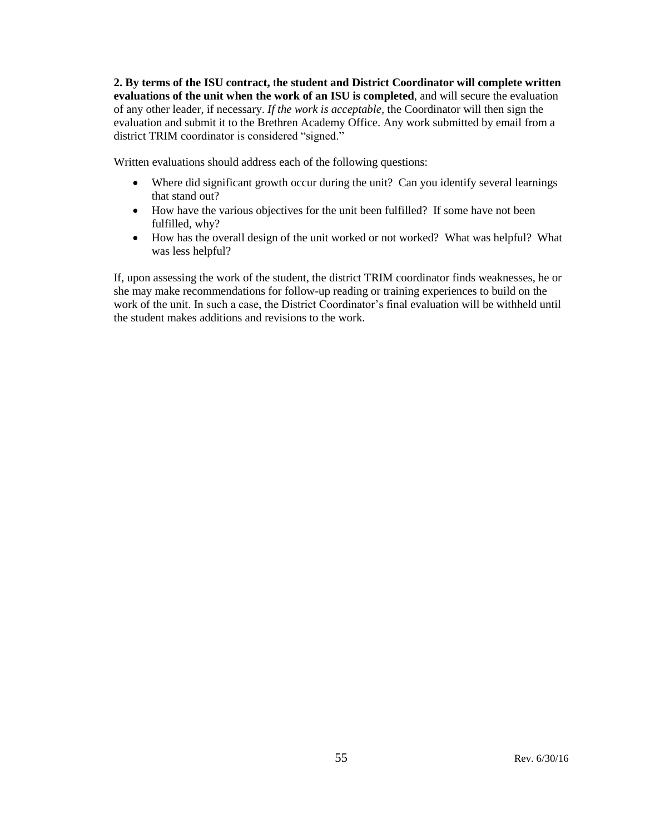**2. By terms of the ISU contract,** t**he student and District Coordinator will complete written evaluations of the unit when the work of an ISU is completed**, and will secure the evaluation of any other leader, if necessary. *If the work is acceptable,* the Coordinator will then sign the evaluation and submit it to the Brethren Academy Office. Any work submitted by email from a district TRIM coordinator is considered "signed."

Written evaluations should address each of the following questions:

- Where did significant growth occur during the unit? Can you identify several learnings that stand out?
- How have the various objectives for the unit been fulfilled? If some have not been fulfilled, why?
- How has the overall design of the unit worked or not worked? What was helpful? What was less helpful?

If, upon assessing the work of the student, the district TRIM coordinator finds weaknesses, he or she may make recommendations for follow-up reading or training experiences to build on the work of the unit. In such a case, the District Coordinator's final evaluation will be withheld until the student makes additions and revisions to the work.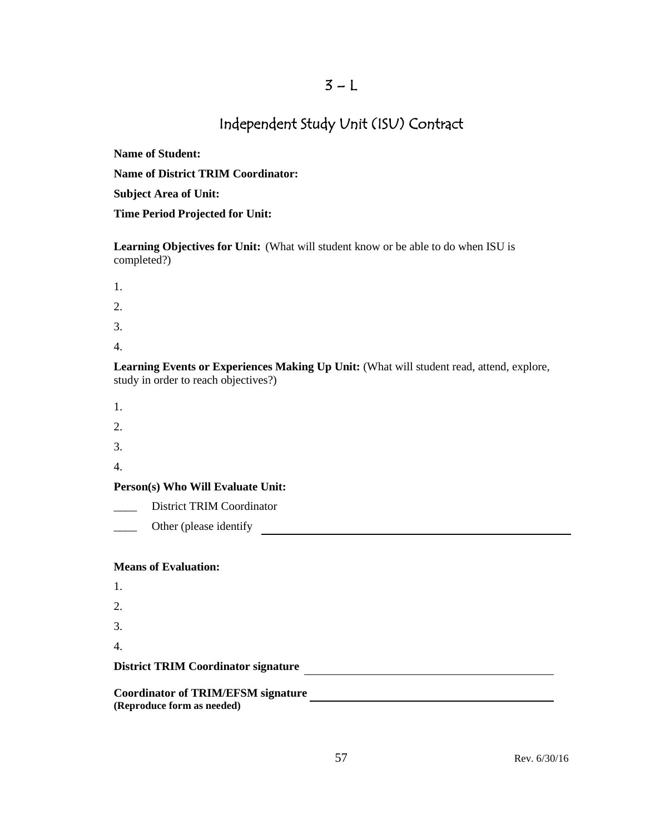### $3 - L$

# Independent Study Unit (ISU) Contract

**Name of Student: Name of District TRIM Coordinator: Subject Area of Unit:**

**Time Period Projected for Unit:**

**Learning Objectives for Unit:** (What will student know or be able to do when ISU is completed?)

- 1.
- 2.
- 3.
- 
- 4.

**Learning Events or Experiences Making Up Unit:** (What will student read, attend, explore, study in order to reach objectives?)

- 1.
- 2.
- 3.
- 4.

**Person(s) Who Will Evaluate Unit:**

\_\_\_\_ District TRIM Coordinator

Lacken Chemical Chemical Chemical Chemical Chemical Chemical Chemical Chemical Chemical Chemical Chemical Chemical Chemical Chemical Chemical Chemical Chemical Chemical Chemical Chemical Chemical Chemical Chemical Chemical

#### **Means of Evaluation:**

| 1. |  |  |  |
|----|--|--|--|
| 2. |  |  |  |
| 3. |  |  |  |
| 4. |  |  |  |

District TRIM Coordinator signature

**Coordinator of TRIM/EFSM signature (Reproduce form as needed)**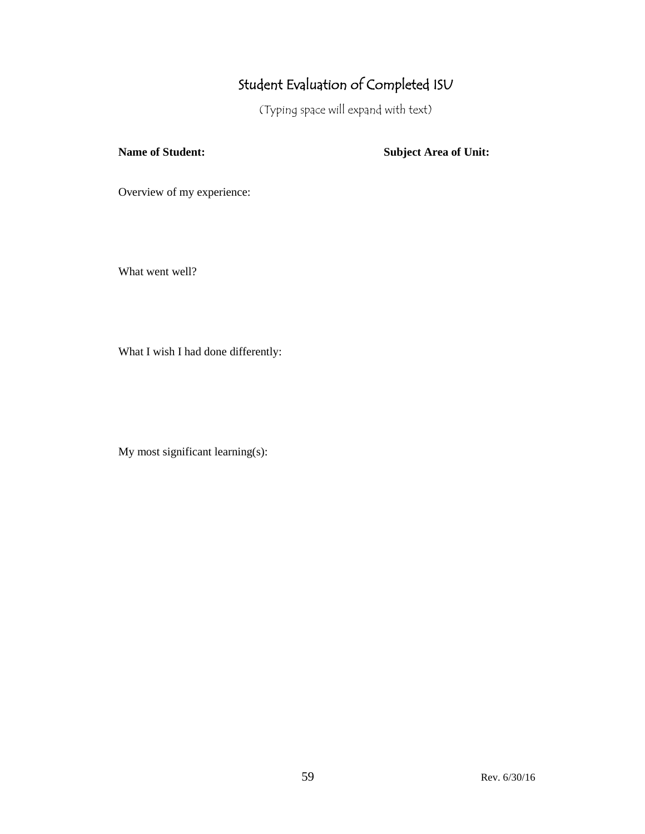# Student Evaluation of Completed ISU

(Typing space will expand with text)

**Name of Student: Subject Area of Unit:** 

Overview of my experience:

What went well?

What I wish I had done differently:

My most significant learning(s):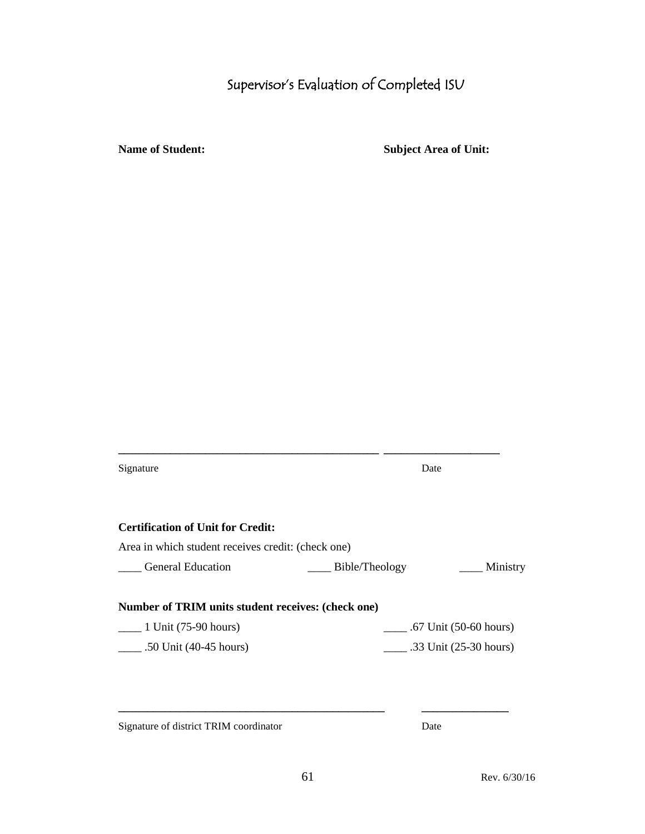# Supervisor's Evaluation of Completed ISU

**Name of Student: Subject Area of Unit:**

| Signature                                          | Date                  |                                      |
|----------------------------------------------------|-----------------------|--------------------------------------|
| <b>Certification of Unit for Credit:</b>           |                       |                                      |
| Area in which student receives credit: (check one) |                       |                                      |
| <b>General Education</b>                           | $\_\_$ Bible/Theology | Ministry                             |
| Number of TRIM units student receives: (check one) |                       |                                      |
| $\frac{1 \text{ Unit}}{(75-90 \text{ hours})}$     |                       | $\frac{1}{2}$ .67 Unit (50-60 hours) |
| $\frac{1}{2}$ .50 Unit (40-45 hours)               |                       | .33 Unit $(25-30 \text{ hours})$     |
|                                                    |                       |                                      |
|                                                    |                       |                                      |
| Signature of district TRIM coordinator             | Date                  |                                      |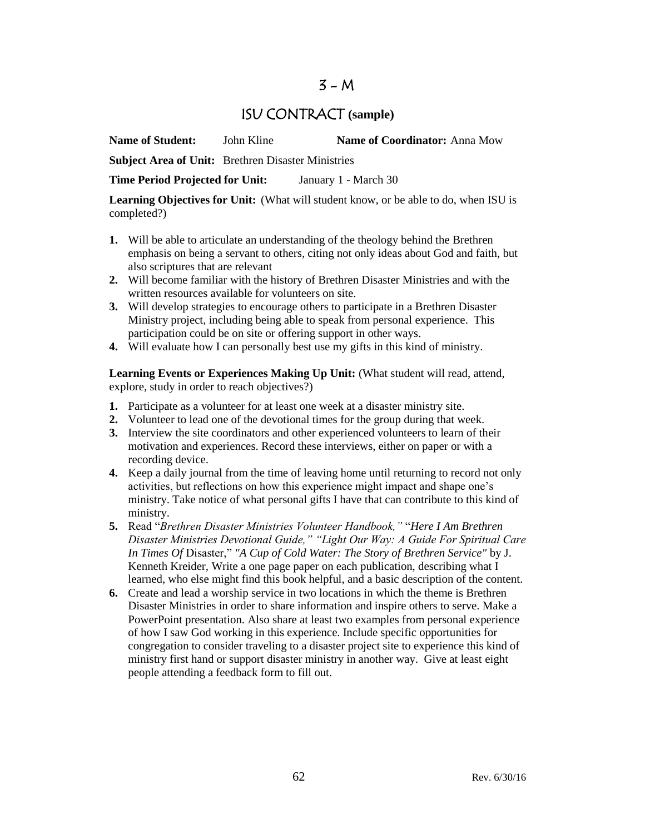#### $3 - M$

# ISU CONTRACT **(sample)**

**Name of Student:** John Kline **Name of Coordinator:** Anna Mow

**Subject Area of Unit:** Brethren Disaster Ministries

**Time Period Projected for Unit:** January 1 - March 30

**Learning Objectives for Unit:** (What will student know, or be able to do, when ISU is completed?)

- **1.** Will be able to articulate an understanding of the theology behind the Brethren emphasis on being a servant to others, citing not only ideas about God and faith, but also scriptures that are relevant
- **2.** Will become familiar with the history of Brethren Disaster Ministries and with the written resources available for volunteers on site.
- **3.** Will develop strategies to encourage others to participate in a Brethren Disaster Ministry project, including being able to speak from personal experience. This participation could be on site or offering support in other ways.
- **4.** Will evaluate how I can personally best use my gifts in this kind of ministry.

Learning Events or Experiences Making Up Unit: (What student will read, attend, explore, study in order to reach objectives?)

- **1.** Participate as a volunteer for at least one week at a disaster ministry site.
- **2.** Volunteer to lead one of the devotional times for the group during that week.
- **3.** Interview the site coordinators and other experienced volunteers to learn of their motivation and experiences. Record these interviews, either on paper or with a recording device.
- **4.** Keep a daily journal from the time of leaving home until returning to record not only activities, but reflections on how this experience might impact and shape one's ministry. Take notice of what personal gifts I have that can contribute to this kind of ministry.
- **5.** Read "*Brethren Disaster Ministries Volunteer Handbook,"* "*Here I Am Brethren Disaster Ministries Devotional Guide," "Light Our Way: A Guide For Spiritual Care In Times Of* Disaster," *"A Cup of Cold Water: The Story of Brethren Service"* by J. Kenneth Kreider, Write a one page paper on each publication, describing what I learned, who else might find this book helpful, and a basic description of the content.
- **6.** Create and lead a worship service in two locations in which the theme is Brethren Disaster Ministries in order to share information and inspire others to serve. Make a PowerPoint presentation. Also share at least two examples from personal experience of how I saw God working in this experience. Include specific opportunities for congregation to consider traveling to a disaster project site to experience this kind of ministry first hand or support disaster ministry in another way. Give at least eight people attending a feedback form to fill out.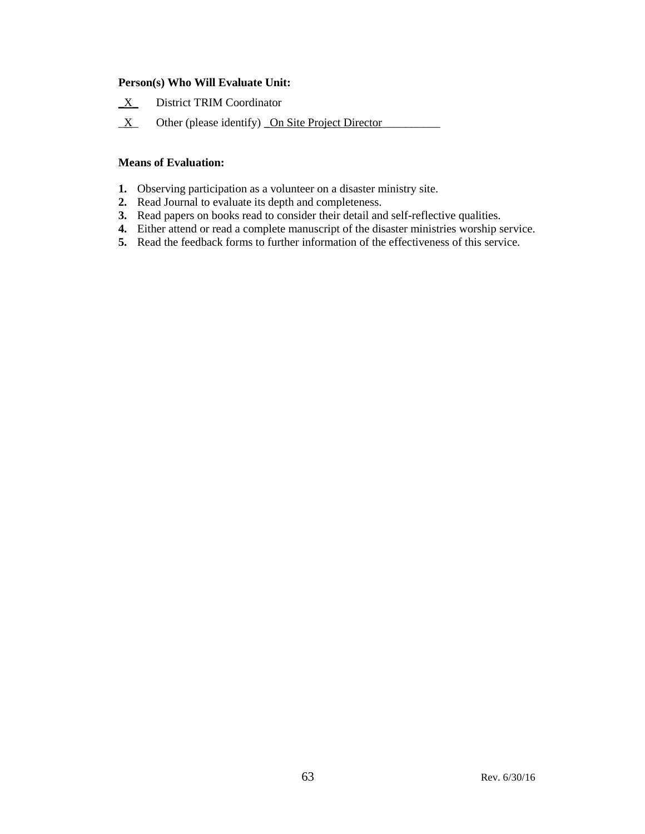#### **Person(s) Who Will Evaluate Unit:**

- **\_**X\_ District TRIM Coordinator
- $\underline{X}$  Other (please identify) On Site Project Director

#### **Means of Evaluation:**

- **1.** Observing participation as a volunteer on a disaster ministry site.
- **2.** Read Journal to evaluate its depth and completeness.
- **3.** Read papers on books read to consider their detail and self-reflective qualities.
- **4.** Either attend or read a complete manuscript of the disaster ministries worship service.
- **5.** Read the feedback forms to further information of the effectiveness of this service.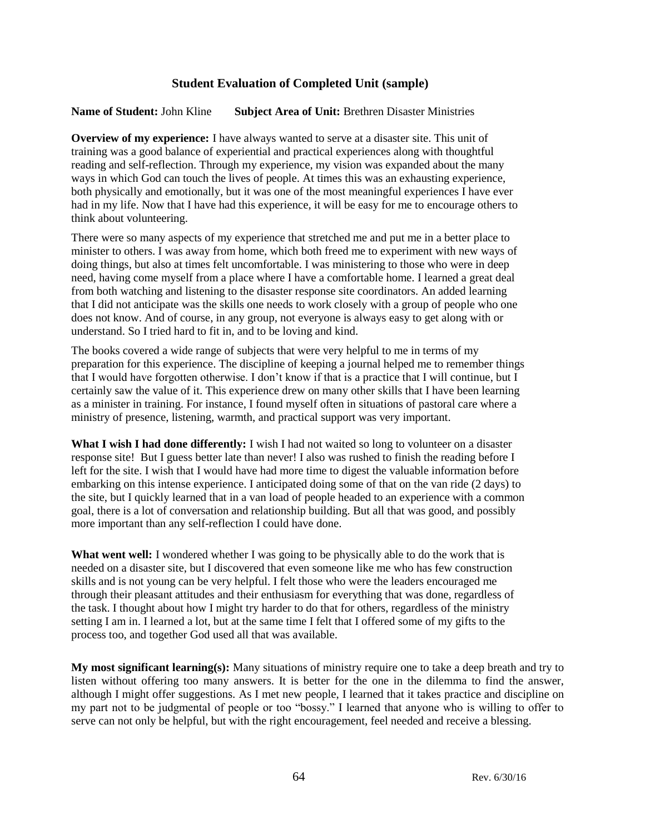#### **Student Evaluation of Completed Unit (sample)**

#### **Name of Student:** John Kline **Subject Area of Unit:** Brethren Disaster Ministries

**Overview of my experience:** I have always wanted to serve at a disaster site. This unit of training was a good balance of experiential and practical experiences along with thoughtful reading and self-reflection. Through my experience, my vision was expanded about the many ways in which God can touch the lives of people. At times this was an exhausting experience, both physically and emotionally, but it was one of the most meaningful experiences I have ever had in my life. Now that I have had this experience, it will be easy for me to encourage others to think about volunteering.

There were so many aspects of my experience that stretched me and put me in a better place to minister to others. I was away from home, which both freed me to experiment with new ways of doing things, but also at times felt uncomfortable. I was ministering to those who were in deep need, having come myself from a place where I have a comfortable home. I learned a great deal from both watching and listening to the disaster response site coordinators. An added learning that I did not anticipate was the skills one needs to work closely with a group of people who one does not know. And of course, in any group, not everyone is always easy to get along with or understand. So I tried hard to fit in, and to be loving and kind.

The books covered a wide range of subjects that were very helpful to me in terms of my preparation for this experience. The discipline of keeping a journal helped me to remember things that I would have forgotten otherwise. I don't know if that is a practice that I will continue, but I certainly saw the value of it. This experience drew on many other skills that I have been learning as a minister in training. For instance, I found myself often in situations of pastoral care where a ministry of presence, listening, warmth, and practical support was very important.

**What I wish I had done differently:** I wish I had not waited so long to volunteer on a disaster response site! But I guess better late than never! I also was rushed to finish the reading before I left for the site. I wish that I would have had more time to digest the valuable information before embarking on this intense experience. I anticipated doing some of that on the van ride (2 days) to the site, but I quickly learned that in a van load of people headed to an experience with a common goal, there is a lot of conversation and relationship building. But all that was good, and possibly more important than any self-reflection I could have done.

**What went well:** I wondered whether I was going to be physically able to do the work that is needed on a disaster site, but I discovered that even someone like me who has few construction skills and is not young can be very helpful. I felt those who were the leaders encouraged me through their pleasant attitudes and their enthusiasm for everything that was done, regardless of the task. I thought about how I might try harder to do that for others, regardless of the ministry setting I am in. I learned a lot, but at the same time I felt that I offered some of my gifts to the process too, and together God used all that was available.

**My most significant learning(s):** Many situations of ministry require one to take a deep breath and try to listen without offering too many answers. It is better for the one in the dilemma to find the answer, although I might offer suggestions. As I met new people, I learned that it takes practice and discipline on my part not to be judgmental of people or too "bossy." I learned that anyone who is willing to offer to serve can not only be helpful, but with the right encouragement, feel needed and receive a blessing.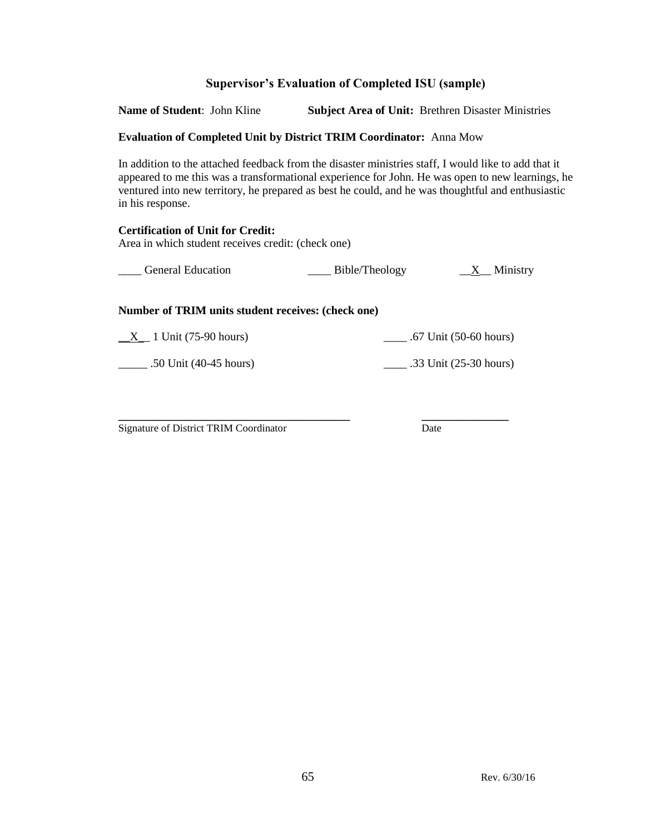#### **Supervisor's Evaluation of Completed ISU (sample)**

**Name of Student**: John Kline **Subject Area of Unit:** Brethren Disaster Ministries

#### **Evaluation of Completed Unit by District TRIM Coordinator:** Anna Mow

In addition to the attached feedback from the disaster ministries staff, I would like to add that it appeared to me this was a transformational experience for John. He was open to new learnings, he ventured into new territory, he prepared as best he could, and he was thoughtful and enthusiastic in his response.

#### **Certification of Unit for Credit:** Area in which student receives credit: (check one)

| <b>General Education</b> | Bible/Theology | Ministry |
|--------------------------|----------------|----------|
|                          |                |          |

#### **Number of TRIM units student receives: (check one)**

 $\underline{X}$  1 Unit (75-90 hours)  $\underline{X}$  .67 Unit (50-60 hours)

\_\_\_\_\_ .50 Unit (40-45 hours) \_\_\_\_ .33 Unit (25-30 hours)

**\_\_\_\_\_\_\_\_\_\_\_\_\_\_\_\_\_\_\_\_\_\_\_\_\_\_\_\_\_\_\_\_\_\_\_\_\_\_\_\_ \_\_\_\_\_\_\_\_\_\_\_\_\_\_\_** Signature of District TRIM Coordinator Date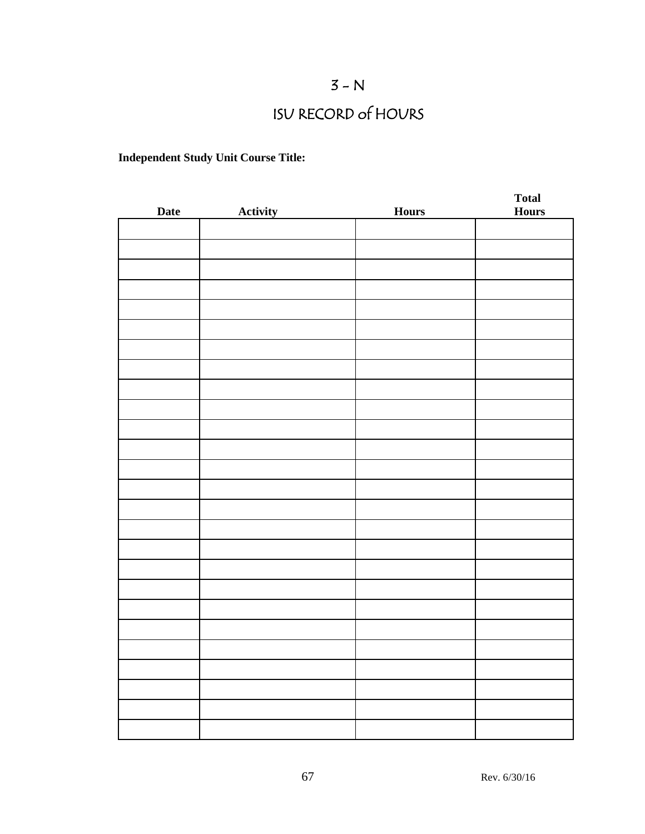# $3 - N$

# ISU RECORD of HOURS

### **Independent Study Unit Course Title:**

|             |                                      |              | <b>Total</b> |
|-------------|--------------------------------------|--------------|--------------|
| <b>Date</b> | Activity<br>$\overline{\phantom{a}}$ | <b>Hours</b> | <b>Hours</b> |
|             |                                      |              |              |
|             |                                      |              |              |
|             |                                      |              |              |
|             |                                      |              |              |
|             |                                      |              |              |
|             |                                      |              |              |
|             |                                      |              |              |
|             |                                      |              |              |
|             |                                      |              |              |
|             |                                      |              |              |
|             |                                      |              |              |
|             |                                      |              |              |
|             |                                      |              |              |
|             |                                      |              |              |
|             |                                      |              |              |
|             |                                      |              |              |
|             |                                      |              |              |
|             |                                      |              |              |
|             |                                      |              |              |
|             |                                      |              |              |
|             |                                      |              |              |
|             |                                      |              |              |
|             |                                      |              |              |
|             |                                      |              |              |
|             |                                      |              |              |
|             |                                      |              |              |
|             |                                      |              |              |
|             |                                      |              |              |
|             |                                      |              |              |
|             |                                      |              |              |
|             |                                      |              |              |
|             |                                      |              |              |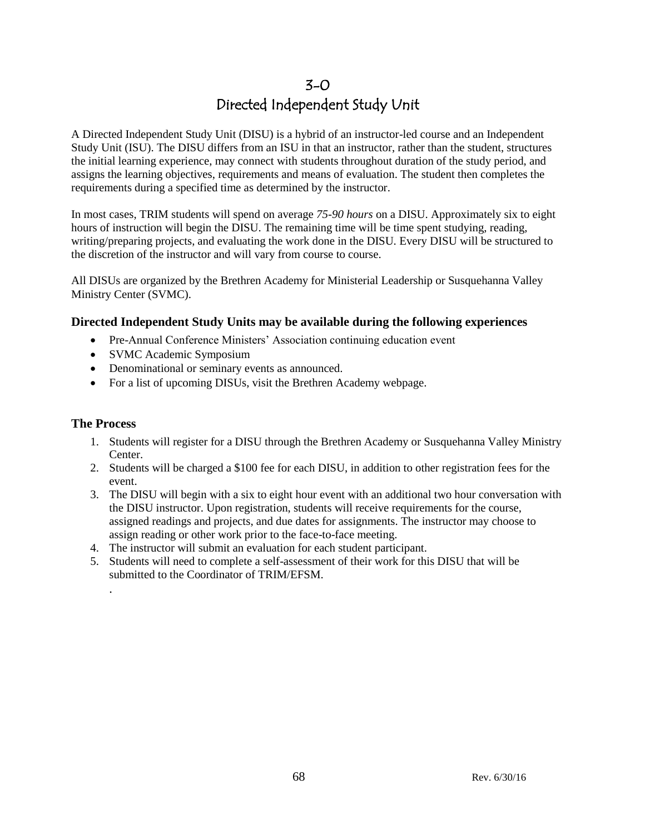# 3-0 Directed Independent Study Unit

A Directed Independent Study Unit (DISU) is a hybrid of an instructor-led course and an Independent Study Unit (ISU). The DISU differs from an ISU in that an instructor, rather than the student, structures the initial learning experience, may connect with students throughout duration of the study period, and assigns the learning objectives, requirements and means of evaluation. The student then completes the requirements during a specified time as determined by the instructor.

In most cases, TRIM students will spend on average *75-90 hours* on a DISU. Approximately six to eight hours of instruction will begin the DISU. The remaining time will be time spent studying, reading, writing/preparing projects, and evaluating the work done in the DISU. Every DISU will be structured to the discretion of the instructor and will vary from course to course.

All DISUs are organized by the Brethren Academy for Ministerial Leadership or Susquehanna Valley Ministry Center (SVMC).

#### **Directed Independent Study Units may be available during the following experiences**

- Pre-Annual Conference Ministers' Association continuing education event
- SVMC Academic Symposium
- Denominational or seminary events as announced.
- For a list of upcoming DISUs, visit the Brethren Academy webpage.

#### **The Process**

.

- 1. Students will register for a DISU through the Brethren Academy or Susquehanna Valley Ministry Center.
- 2. Students will be charged a \$100 fee for each DISU, in addition to other registration fees for the event.
- 3. The DISU will begin with a six to eight hour event with an additional two hour conversation with the DISU instructor. Upon registration, students will receive requirements for the course, assigned readings and projects, and due dates for assignments. The instructor may choose to assign reading or other work prior to the face-to-face meeting.
- 4. The instructor will submit an evaluation for each student participant.
- 5. Students will need to complete a self-assessment of their work for this DISU that will be submitted to the Coordinator of TRIM/EFSM.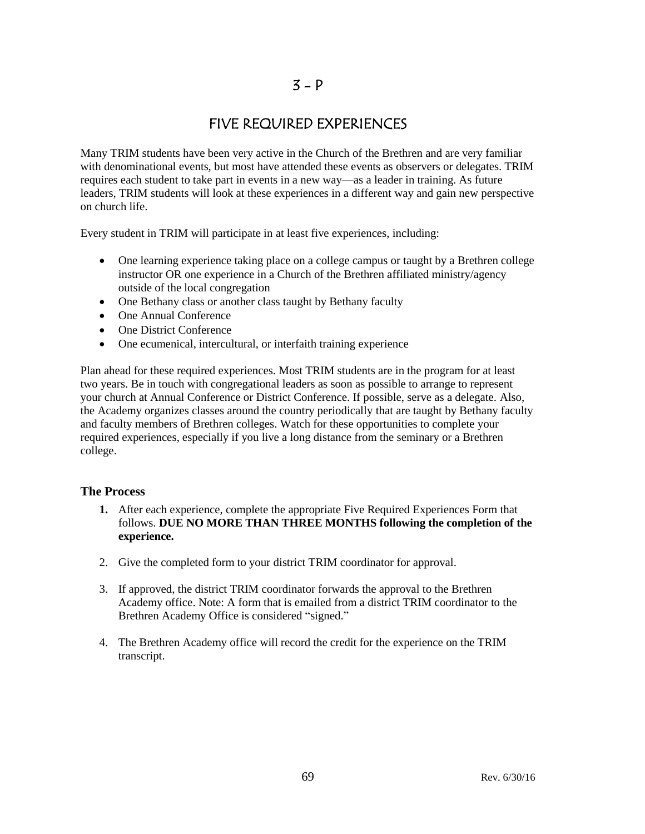# FIVE REQUIRED EXPERIENCES

Many TRIM students have been very active in the Church of the Brethren and are very familiar with denominational events, but most have attended these events as observers or delegates. TRIM requires each student to take part in events in a new way—as a leader in training. As future leaders, TRIM students will look at these experiences in a different way and gain new perspective on church life.

Every student in TRIM will participate in at least five experiences, including:

- One learning experience taking place on a college campus or taught by a Brethren college instructor OR one experience in a Church of the Brethren affiliated ministry/agency outside of the local congregation
- One Bethany class or another class taught by Bethany faculty
- One Annual Conference
- One District Conference
- One ecumenical, intercultural, or interfaith training experience

Plan ahead for these required experiences. Most TRIM students are in the program for at least two years. Be in touch with congregational leaders as soon as possible to arrange to represent your church at Annual Conference or District Conference. If possible, serve as a delegate. Also, the Academy organizes classes around the country periodically that are taught by Bethany faculty and faculty members of Brethren colleges. Watch for these opportunities to complete your required experiences, especially if you live a long distance from the seminary or a Brethren college.

#### **The Process**

- **1.** After each experience, complete the appropriate Five Required Experiences Form that follows. **DUE NO MORE THAN THREE MONTHS following the completion of the experience.**
- 2. Give the completed form to your district TRIM coordinator for approval.
- 3. If approved, the district TRIM coordinator forwards the approval to the Brethren Academy office. Note: A form that is emailed from a district TRIM coordinator to the Brethren Academy Office is considered "signed."
- 4. The Brethren Academy office will record the credit for the experience on the TRIM transcript.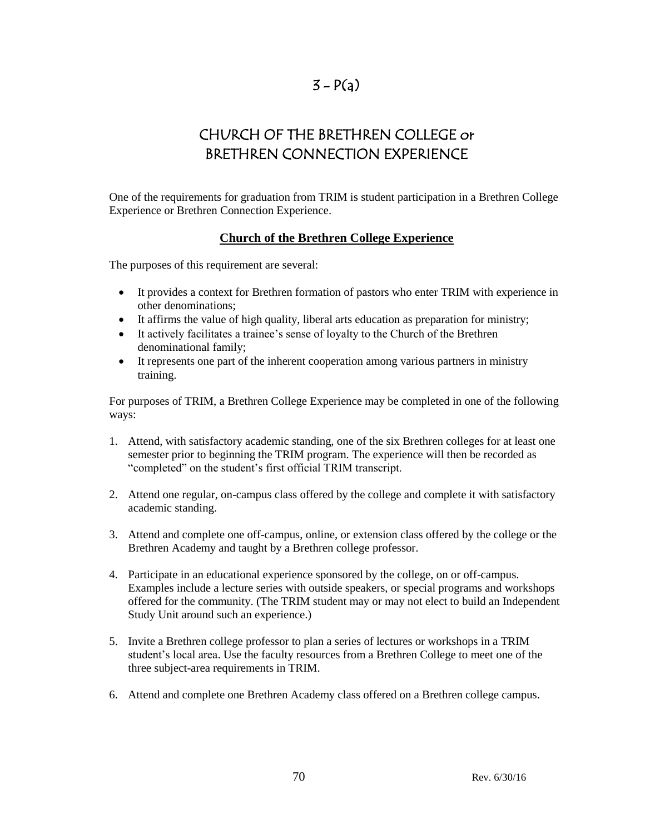# $3 - P(a)$

# CHURCH OF THE BRETHREN COLLEGE or BRETHREN CONNECTION EXPERIENCE

One of the requirements for graduation from TRIM is student participation in a Brethren College Experience or Brethren Connection Experience.

### **Church of the Brethren College Experience**

The purposes of this requirement are several:

- It provides a context for Brethren formation of pastors who enter TRIM with experience in other denominations;
- It affirms the value of high quality, liberal arts education as preparation for ministry;
- It actively facilitates a trainee's sense of loyalty to the Church of the Brethren denominational family;
- It represents one part of the inherent cooperation among various partners in ministry training.

For purposes of TRIM, a Brethren College Experience may be completed in one of the following ways:

- 1. Attend, with satisfactory academic standing, one of the six Brethren colleges for at least one semester prior to beginning the TRIM program. The experience will then be recorded as "completed" on the student's first official TRIM transcript.
- 2. Attend one regular, on-campus class offered by the college and complete it with satisfactory academic standing.
- 3. Attend and complete one off-campus, online, or extension class offered by the college or the Brethren Academy and taught by a Brethren college professor.
- 4. Participate in an educational experience sponsored by the college, on or off-campus. Examples include a lecture series with outside speakers, or special programs and workshops offered for the community. (The TRIM student may or may not elect to build an Independent Study Unit around such an experience.)
- 5. Invite a Brethren college professor to plan a series of lectures or workshops in a TRIM student's local area. Use the faculty resources from a Brethren College to meet one of the three subject-area requirements in TRIM.
- 6. Attend and complete one Brethren Academy class offered on a Brethren college campus.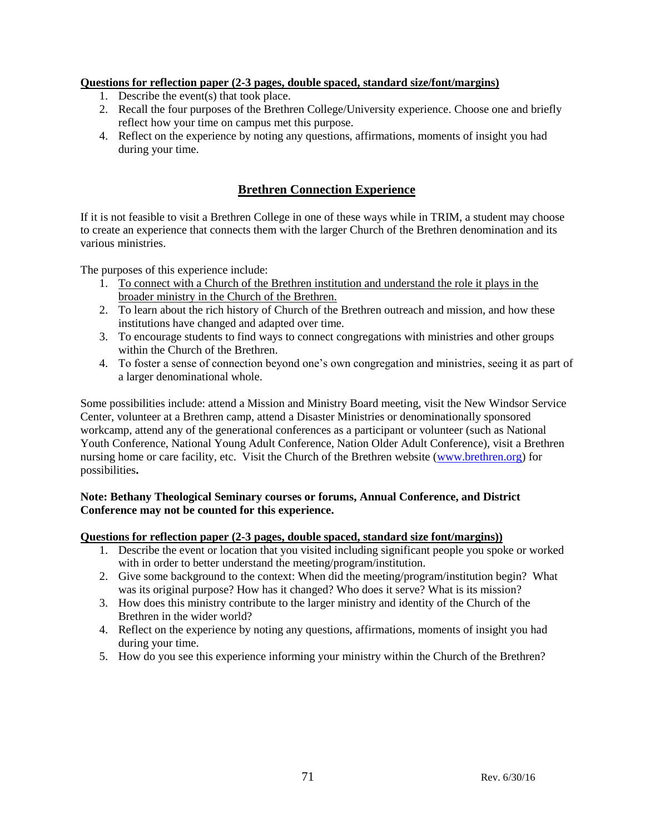#### **Questions for reflection paper (2-3 pages, double spaced, standard size/font/margins)**

- 1. Describe the event(s) that took place.
- 2. Recall the four purposes of the Brethren College/University experience. Choose one and briefly reflect how your time on campus met this purpose.
- 4. Reflect on the experience by noting any questions, affirmations, moments of insight you had during your time.

#### **Brethren Connection Experience**

If it is not feasible to visit a Brethren College in one of these ways while in TRIM, a student may choose to create an experience that connects them with the larger Church of the Brethren denomination and its various ministries.

The purposes of this experience include:

- 1. To connect with a Church of the Brethren institution and understand the role it plays in the broader ministry in the Church of the Brethren.
- 2. To learn about the rich history of Church of the Brethren outreach and mission, and how these institutions have changed and adapted over time.
- 3. To encourage students to find ways to connect congregations with ministries and other groups within the Church of the Brethren.
- 4. To foster a sense of connection beyond one's own congregation and ministries, seeing it as part of a larger denominational whole.

Some possibilities include: attend a Mission and Ministry Board meeting, visit the New Windsor Service Center, volunteer at a Brethren camp, attend a Disaster Ministries or denominationally sponsored workcamp, attend any of the generational conferences as a participant or volunteer (such as National Youth Conference, National Young Adult Conference, Nation Older Adult Conference), visit a Brethren nursing home or care facility, etc. Visit the Church of the Brethren website [\(www.brethren.org\)](http://www.brethren.org/) for possibilities**.** 

#### **Note: Bethany Theological Seminary courses or forums, Annual Conference, and District Conference may not be counted for this experience.**

#### **Questions for reflection paper (2-3 pages, double spaced, standard size font/margins))**

- 1. Describe the event or location that you visited including significant people you spoke or worked with in order to better understand the meeting/program/institution.
- 2. Give some background to the context: When did the meeting/program/institution begin? What was its original purpose? How has it changed? Who does it serve? What is its mission?
- 3. How does this ministry contribute to the larger ministry and identity of the Church of the Brethren in the wider world?
- 4. Reflect on the experience by noting any questions, affirmations, moments of insight you had during your time.
- 5. How do you see this experience informing your ministry within the Church of the Brethren?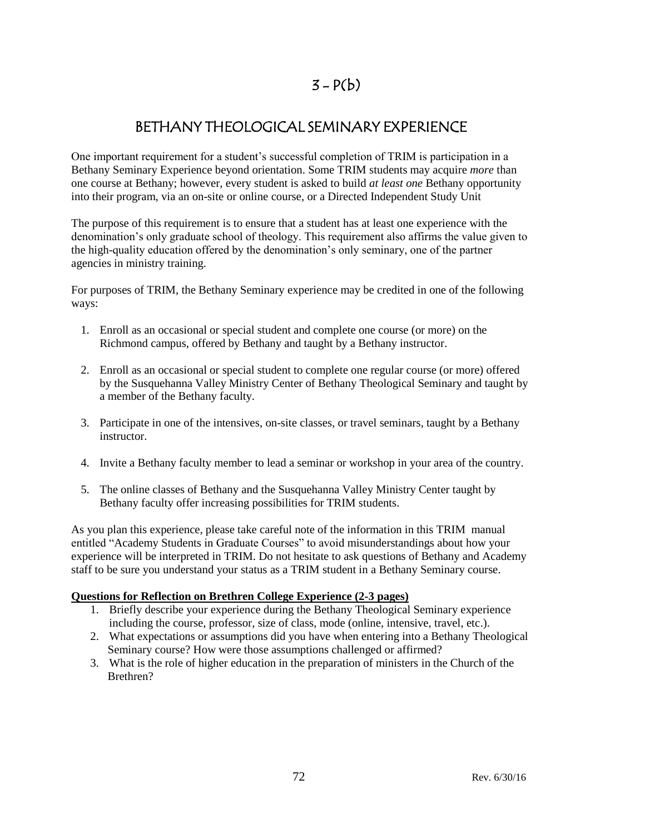# $3 - P(b)$

# BETHANY THEOLOGICAL SEMINARY EXPERIENCE

One important requirement for a student's successful completion of TRIM is participation in a Bethany Seminary Experience beyond orientation. Some TRIM students may acquire *more* than one course at Bethany; however, every student is asked to build *at least one* Bethany opportunity into their program, via an on-site or online course, or a Directed Independent Study Unit

The purpose of this requirement is to ensure that a student has at least one experience with the denomination's only graduate school of theology. This requirement also affirms the value given to the high-quality education offered by the denomination's only seminary, one of the partner agencies in ministry training.

For purposes of TRIM, the Bethany Seminary experience may be credited in one of the following ways:

- 1. Enroll as an occasional or special student and complete one course (or more) on the Richmond campus, offered by Bethany and taught by a Bethany instructor.
- 2. Enroll as an occasional or special student to complete one regular course (or more) offered by the Susquehanna Valley Ministry Center of Bethany Theological Seminary and taught by a member of the Bethany faculty.
- 3. Participate in one of the intensives, on-site classes, or travel seminars, taught by a Bethany instructor.
- 4. Invite a Bethany faculty member to lead a seminar or workshop in your area of the country.
- 5. The online classes of Bethany and the Susquehanna Valley Ministry Center taught by Bethany faculty offer increasing possibilities for TRIM students.

As you plan this experience, please take careful note of the information in this TRIM manual entitled "Academy Students in Graduate Courses" to avoid misunderstandings about how your experience will be interpreted in TRIM. Do not hesitate to ask questions of Bethany and Academy staff to be sure you understand your status as a TRIM student in a Bethany Seminary course.

#### **Questions for Reflection on Brethren College Experience (2-3 pages)**

- 1. Briefly describe your experience during the Bethany Theological Seminary experience including the course, professor, size of class, mode (online, intensive, travel, etc.).
- 2. What expectations or assumptions did you have when entering into a Bethany Theological Seminary course? How were those assumptions challenged or affirmed?
- 3. What is the role of higher education in the preparation of ministers in the Church of the Brethren?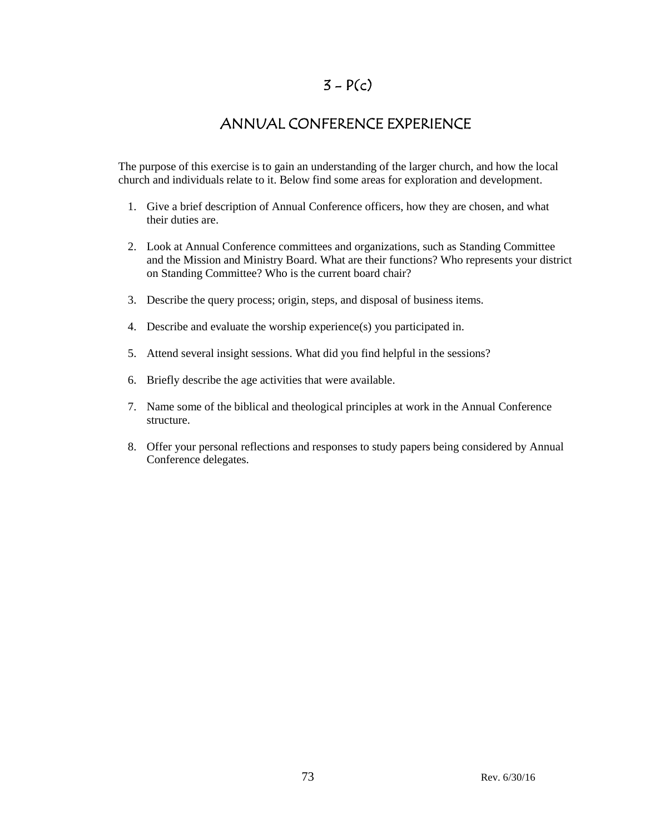### $3 - P(c)$

### ANNUAL CONFERENCE EXPERIENCE

The purpose of this exercise is to gain an understanding of the larger church, and how the local church and individuals relate to it. Below find some areas for exploration and development.

- 1. Give a brief description of Annual Conference officers, how they are chosen, and what their duties are.
- 2. Look at Annual Conference committees and organizations, such as Standing Committee and the Mission and Ministry Board. What are their functions? Who represents your district on Standing Committee? Who is the current board chair?
- 3. Describe the query process; origin, steps, and disposal of business items.
- 4. Describe and evaluate the worship experience(s) you participated in.
- 5. Attend several insight sessions. What did you find helpful in the sessions?
- 6. Briefly describe the age activities that were available.
- 7. Name some of the biblical and theological principles at work in the Annual Conference structure.
- 8. Offer your personal reflections and responses to study papers being considered by Annual Conference delegates.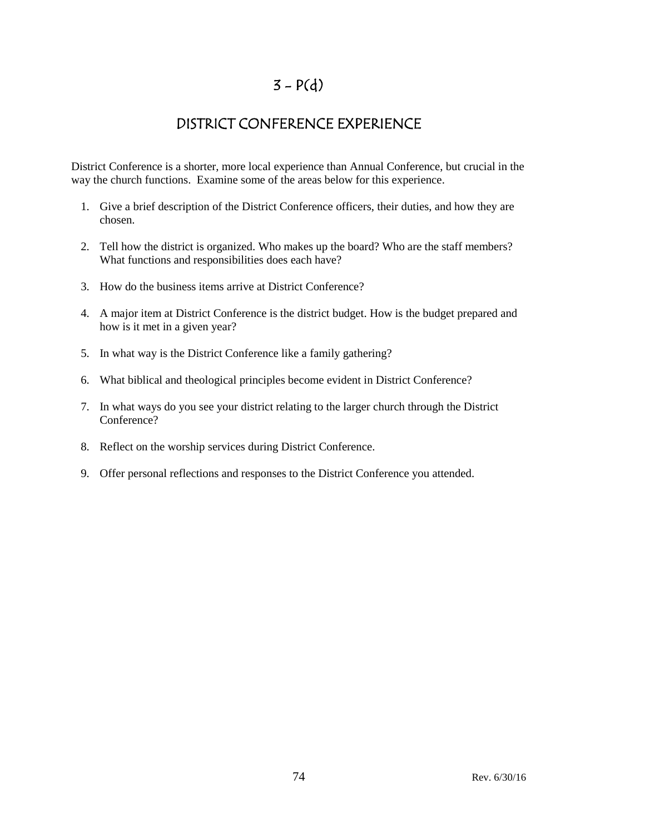## $3 - P(d)$

## DISTRICT CONFERENCE EXPERIENCE

District Conference is a shorter, more local experience than Annual Conference, but crucial in the way the church functions. Examine some of the areas below for this experience.

- 1. Give a brief description of the District Conference officers, their duties, and how they are chosen.
- 2. Tell how the district is organized. Who makes up the board? Who are the staff members? What functions and responsibilities does each have?
- 3. How do the business items arrive at District Conference?
- 4. A major item at District Conference is the district budget. How is the budget prepared and how is it met in a given year?
- 5. In what way is the District Conference like a family gathering?
- 6. What biblical and theological principles become evident in District Conference?
- 7. In what ways do you see your district relating to the larger church through the District Conference?
- 8. Reflect on the worship services during District Conference.
- 9. Offer personal reflections and responses to the District Conference you attended.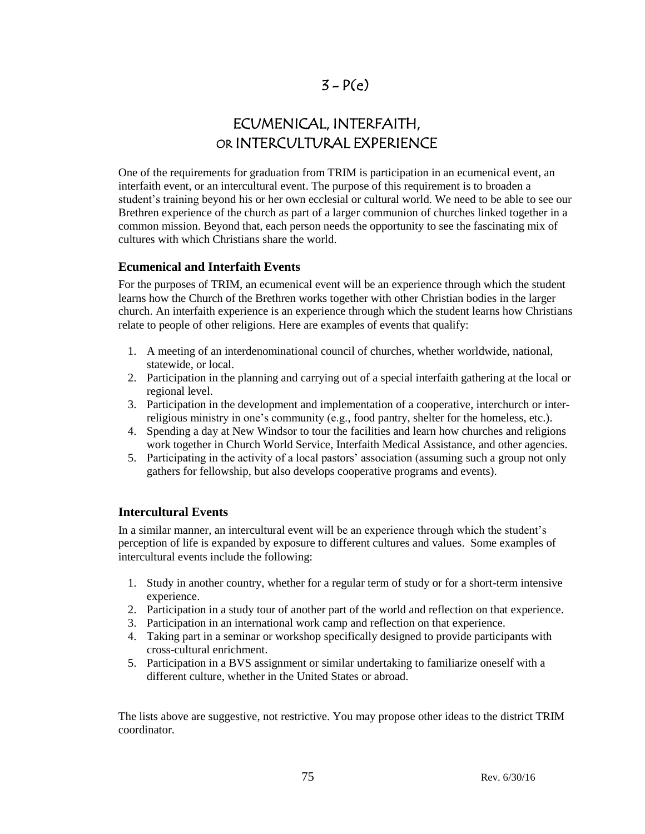# ECUMENICAL, INTERFAITH, OR INTERCULTURAL EXPERIENCE

One of the requirements for graduation from TRIM is participation in an ecumenical event, an interfaith event, or an intercultural event. The purpose of this requirement is to broaden a student's training beyond his or her own ecclesial or cultural world. We need to be able to see our Brethren experience of the church as part of a larger communion of churches linked together in a common mission. Beyond that, each person needs the opportunity to see the fascinating mix of cultures with which Christians share the world.

#### **Ecumenical and Interfaith Events**

For the purposes of TRIM, an ecumenical event will be an experience through which the student learns how the Church of the Brethren works together with other Christian bodies in the larger church. An interfaith experience is an experience through which the student learns how Christians relate to people of other religions. Here are examples of events that qualify:

- 1. A meeting of an interdenominational council of churches, whether worldwide, national, statewide, or local.
- 2. Participation in the planning and carrying out of a special interfaith gathering at the local or regional level.
- 3. Participation in the development and implementation of a cooperative, interchurch or interreligious ministry in one's community (e.g., food pantry, shelter for the homeless, etc.).
- 4. Spending a day at New Windsor to tour the facilities and learn how churches and religions work together in Church World Service, Interfaith Medical Assistance, and other agencies.
- 5. Participating in the activity of a local pastors' association (assuming such a group not only gathers for fellowship, but also develops cooperative programs and events).

#### **Intercultural Events**

In a similar manner, an intercultural event will be an experience through which the student's perception of life is expanded by exposure to different cultures and values. Some examples of intercultural events include the following:

- 1. Study in another country, whether for a regular term of study or for a short-term intensive experience.
- 2. Participation in a study tour of another part of the world and reflection on that experience.
- 3. Participation in an international work camp and reflection on that experience.
- 4. Taking part in a seminar or workshop specifically designed to provide participants with cross-cultural enrichment.
- 5. Participation in a BVS assignment or similar undertaking to familiarize oneself with a different culture, whether in the United States or abroad.

The lists above are suggestive, not restrictive. You may propose other ideas to the district TRIM coordinator.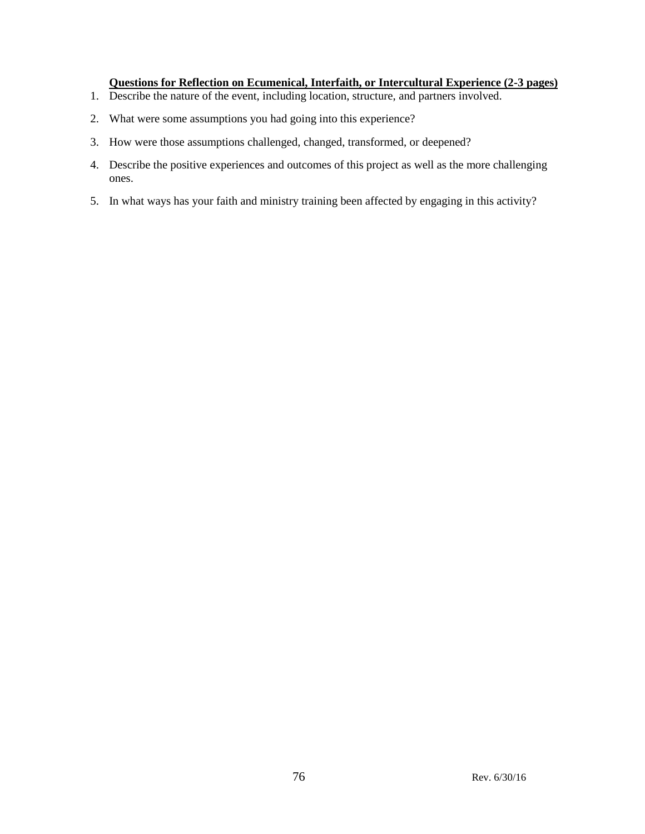### **Questions for Reflection on Ecumenical, Interfaith, or Intercultural Experience (2-3 pages)**

- 1. Describe the nature of the event, including location, structure, and partners involved.
- 2. What were some assumptions you had going into this experience?
- 3. How were those assumptions challenged, changed, transformed, or deepened?
- 4. Describe the positive experiences and outcomes of this project as well as the more challenging ones.
- 5. In what ways has your faith and ministry training been affected by engaging in this activity?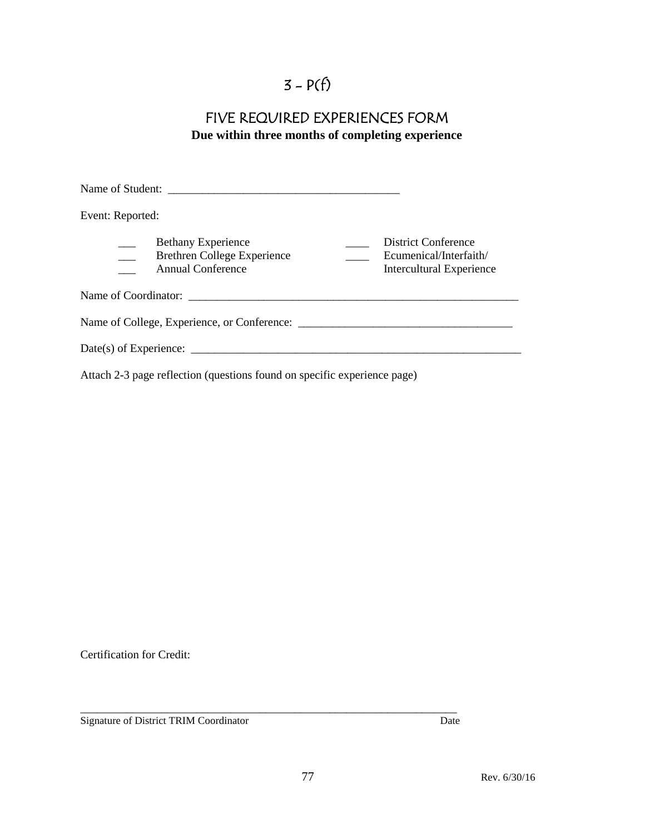# $3 - P(f)$

## FIVE REQUIRED EXPERIENCES FORM **Due within three months of completing experience**

| Event: Reported:                                                                            |                                                                           |
|---------------------------------------------------------------------------------------------|---------------------------------------------------------------------------|
| <b>Bethany Experience</b><br><b>Brethren College Experience</b><br><b>Annual Conference</b> | District Conference<br>Ecumenical/Interfaith/<br>Intercultural Experience |
| Name of Coordinator:                                                                        |                                                                           |
|                                                                                             |                                                                           |
|                                                                                             |                                                                           |
|                                                                                             |                                                                           |

Attach 2-3 page reflection (questions found on specific experience page)

Certification for Credit:

Signature of District TRIM Coordinator Date

\_\_\_\_\_\_\_\_\_\_\_\_\_\_\_\_\_\_\_\_\_\_\_\_\_\_\_\_\_\_\_\_\_\_\_\_\_\_\_\_\_\_\_\_\_\_\_\_\_\_\_\_\_\_\_\_\_\_\_\_\_\_\_\_\_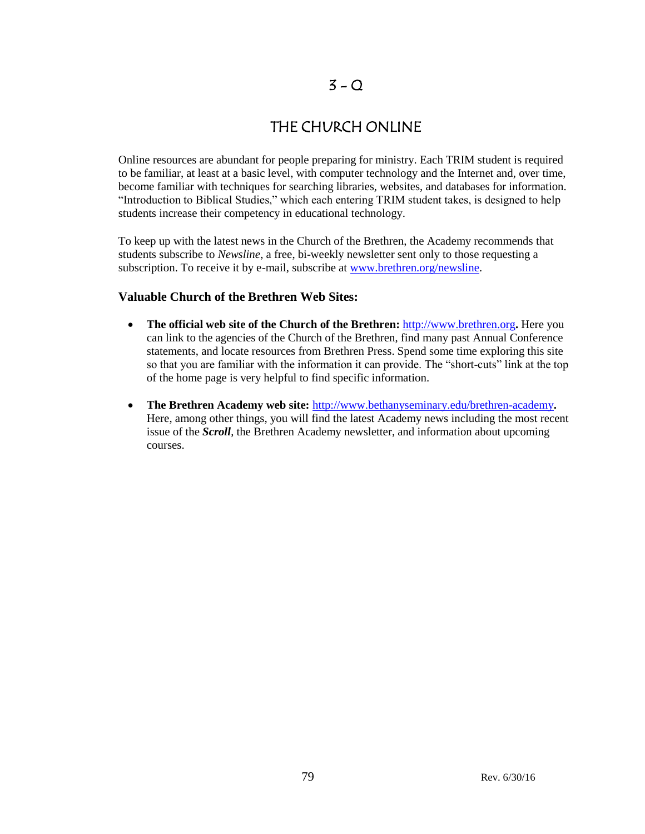### $3 - Q$

## THE CHURCH ONLINE

Online resources are abundant for people preparing for ministry. Each TRIM student is required to be familiar, at least at a basic level, with computer technology and the Internet and, over time, become familiar with techniques for searching libraries, websites, and databases for information. "Introduction to Biblical Studies," which each entering TRIM student takes, is designed to help students increase their competency in educational technology.

To keep up with the latest news in the Church of the Brethren, the Academy recommends that students subscribe to *Newsline*, a free, bi-weekly newsletter sent only to those requesting a subscription. To receive it by e-mail, subscribe at [www.brethren.org/newsline.](http://www.brethren.org/newsline)

#### **Valuable Church of the Brethren Web Sites:**

- **The official web site of the Church of the Brethren:** [http://www.brethren.org](http://www.brethren.org/)**.** Here you can link to the agencies of the Church of the Brethren, find many past Annual Conference statements, and locate resources from Brethren Press. Spend some time exploring this site so that you are familiar with the information it can provide. The "short-cuts" link at the top of the home page is very helpful to find specific information.
- **The Brethren Academy web site:** [http://www.bethanyseminary.edu/brethren-academy](http://www.bethanyseminary.edu/academy.htm)**.**  Here, among other things, you will find the latest Academy news including the most recent issue of the *Scroll*, the Brethren Academy newsletter, and information about upcoming courses.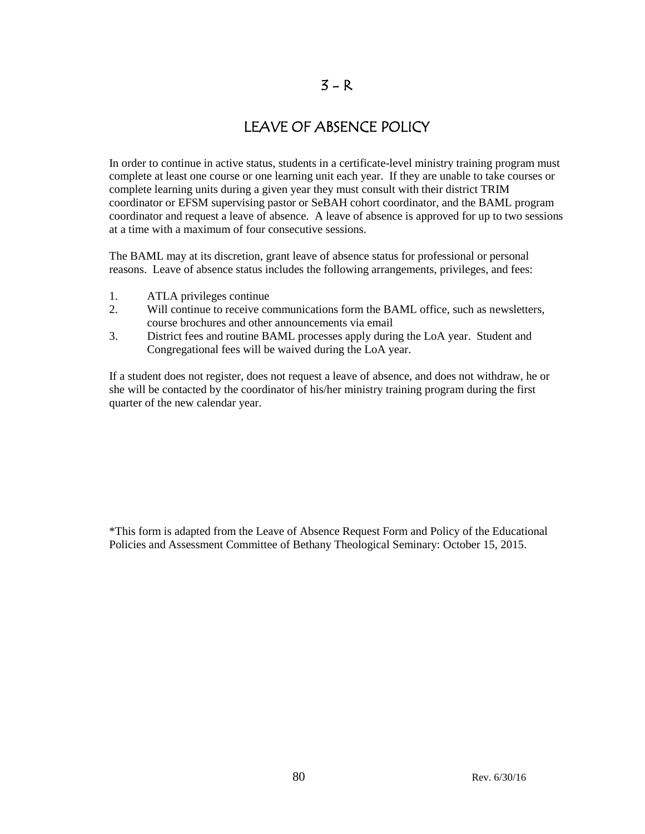### $3 - R$

### LEAVE OF ABSENCE POLICY

In order to continue in active status, students in a certificate-level ministry training program must complete at least one course or one learning unit each year. If they are unable to take courses or complete learning units during a given year they must consult with their district TRIM coordinator or EFSM supervising pastor or SeBAH cohort coordinator, and the BAML program coordinator and request a leave of absence. A leave of absence is approved for up to two sessions at a time with a maximum of four consecutive sessions.

The BAML may at its discretion, grant leave of absence status for professional or personal reasons. Leave of absence status includes the following arrangements, privileges, and fees:

- 1. ATLA privileges continue
- 2. Will continue to receive communications form the BAML office, such as newsletters, course brochures and other announcements via email
- 3. District fees and routine BAML processes apply during the LoA year. Student and Congregational fees will be waived during the LoA year.

If a student does not register, does not request a leave of absence, and does not withdraw, he or she will be contacted by the coordinator of his/her ministry training program during the first quarter of the new calendar year.

\*This form is adapted from the Leave of Absence Request Form and Policy of the Educational Policies and Assessment Committee of Bethany Theological Seminary: October 15, 2015.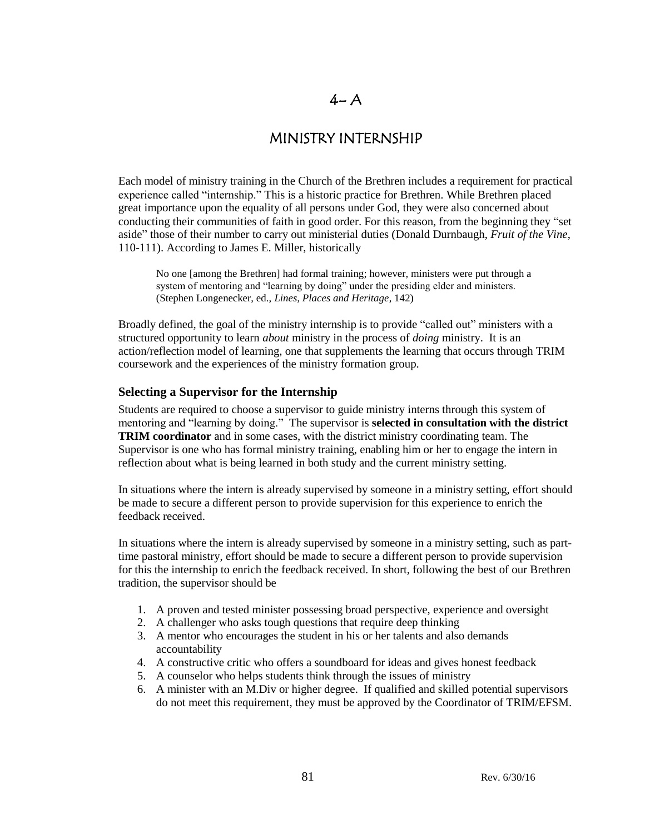# $4- A$

### MINISTRY INTERNSHIP

Each model of ministry training in the Church of the Brethren includes a requirement for practical experience called "internship." This is a historic practice for Brethren. While Brethren placed great importance upon the equality of all persons under God, they were also concerned about conducting their communities of faith in good order. For this reason, from the beginning they "set aside" those of their number to carry out ministerial duties (Donald Durnbaugh, *Fruit of the Vine*, 110-111). According to James E. Miller, historically

No one [among the Brethren] had formal training; however, ministers were put through a system of mentoring and "learning by doing" under the presiding elder and ministers. (Stephen Longenecker, ed., *Lines, Places and Heritage*, 142)

Broadly defined, the goal of the ministry internship is to provide "called out" ministers with a structured opportunity to learn *about* ministry in the process of *doing* ministry. It is an action/reflection model of learning, one that supplements the learning that occurs through TRIM coursework and the experiences of the ministry formation group.

#### **Selecting a Supervisor for the Internship**

Students are required to choose a supervisor to guide ministry interns through this system of mentoring and "learning by doing." The supervisor is **selected in consultation with the district TRIM coordinator** and in some cases, with the district ministry coordinating team. The Supervisor is one who has formal ministry training, enabling him or her to engage the intern in reflection about what is being learned in both study and the current ministry setting.

In situations where the intern is already supervised by someone in a ministry setting, effort should be made to secure a different person to provide supervision for this experience to enrich the feedback received.

In situations where the intern is already supervised by someone in a ministry setting, such as parttime pastoral ministry, effort should be made to secure a different person to provide supervision for this the internship to enrich the feedback received. In short, following the best of our Brethren tradition, the supervisor should be

- 1. A proven and tested minister possessing broad perspective, experience and oversight
- 2. A challenger who asks tough questions that require deep thinking
- 3. A mentor who encourages the student in his or her talents and also demands accountability
- 4. A constructive critic who offers a soundboard for ideas and gives honest feedback
- 5. A counselor who helps students think through the issues of ministry
- 6. A minister with an M.Div or higher degree. If qualified and skilled potential supervisors do not meet this requirement, they must be approved by the Coordinator of TRIM/EFSM.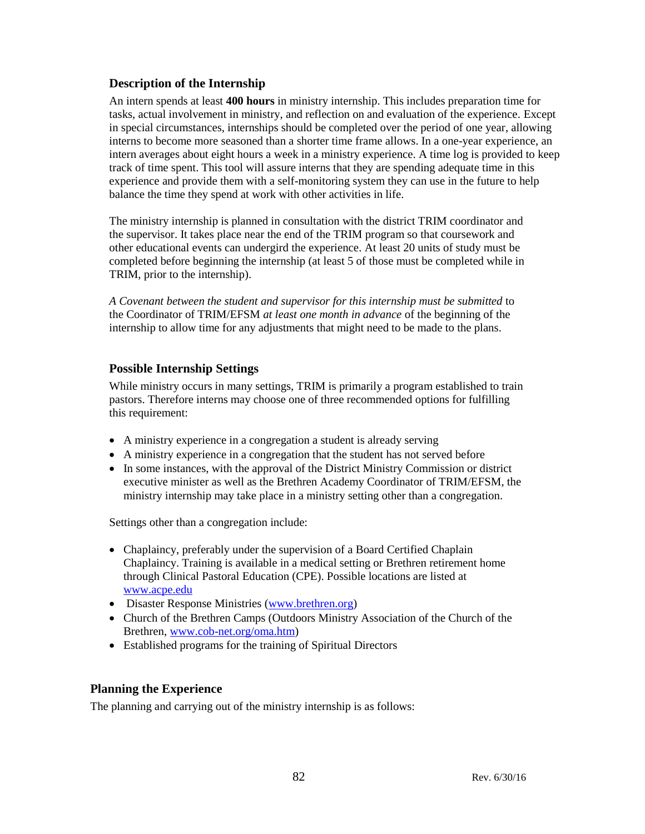#### **Description of the Internship**

An intern spends at least **400 hours** in ministry internship. This includes preparation time for tasks, actual involvement in ministry, and reflection on and evaluation of the experience. Except in special circumstances, internships should be completed over the period of one year, allowing interns to become more seasoned than a shorter time frame allows. In a one-year experience, an intern averages about eight hours a week in a ministry experience. A time log is provided to keep track of time spent. This tool will assure interns that they are spending adequate time in this experience and provide them with a self-monitoring system they can use in the future to help balance the time they spend at work with other activities in life.

The ministry internship is planned in consultation with the district TRIM coordinator and the supervisor. It takes place near the end of the TRIM program so that coursework and other educational events can undergird the experience. At least 20 units of study must be completed before beginning the internship (at least 5 of those must be completed while in TRIM, prior to the internship).

*A Covenant between the student and supervisor for this internship must be submitted* to the Coordinator of TRIM/EFSM *at least one month in advance* of the beginning of the internship to allow time for any adjustments that might need to be made to the plans.

#### **Possible Internship Settings**

While ministry occurs in many settings, TRIM is primarily a program established to train pastors. Therefore interns may choose one of three recommended options for fulfilling this requirement:

- A ministry experience in a congregation a student is already serving
- A ministry experience in a congregation that the student has not served before
- In some instances, with the approval of the District Ministry Commission or district executive minister as well as the Brethren Academy Coordinator of TRIM/EFSM, the ministry internship may take place in a ministry setting other than a congregation.

Settings other than a congregation include:

- Chaplaincy, preferably under the supervision of a Board Certified Chaplain Chaplaincy. Training is available in a medical setting or Brethren retirement home through Clinical Pastoral Education (CPE). Possible locations are listed at [www.acpe.edu](http://www.acpe.edu/)
- Disaster Response Ministries [\(www.brethren.org\)](http://www.brethren.org/)
- Church of the Brethren Camps (Outdoors Ministry Association of the Church of the Brethren, [www.cob-net.org/oma.htm\)](http://www.cob-net.org/oma.htm)
- Established programs for the training of Spiritual Directors

#### **Planning the Experience**

The planning and carrying out of the ministry internship is as follows: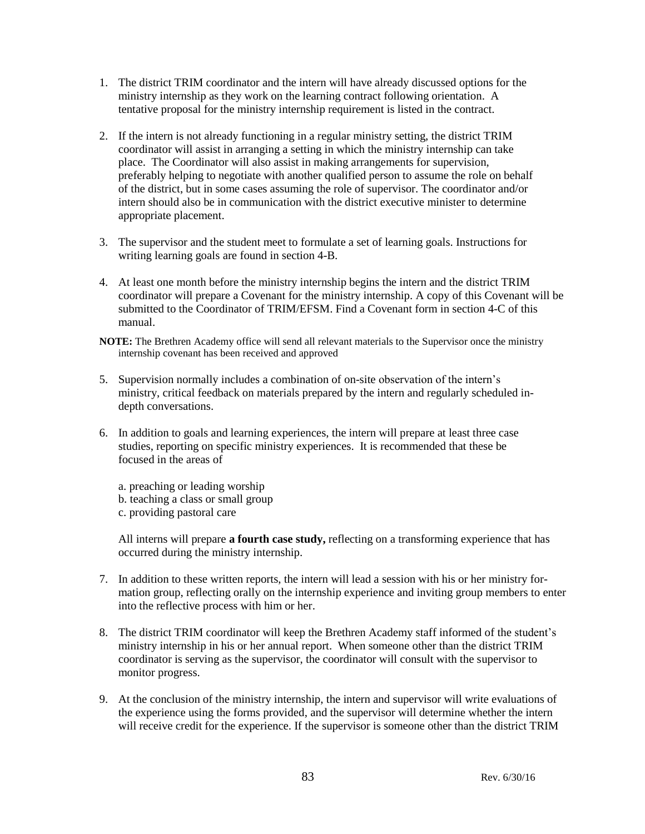- 1. The district TRIM coordinator and the intern will have already discussed options for the ministry internship as they work on the learning contract following orientation. A tentative proposal for the ministry internship requirement is listed in the contract.
- 2. If the intern is not already functioning in a regular ministry setting, the district TRIM coordinator will assist in arranging a setting in which the ministry internship can take place. The Coordinator will also assist in making arrangements for supervision, preferably helping to negotiate with another qualified person to assume the role on behalf of the district, but in some cases assuming the role of supervisor. The coordinator and/or intern should also be in communication with the district executive minister to determine appropriate placement.
- 3. The supervisor and the student meet to formulate a set of learning goals. Instructions for writing learning goals are found in section 4-B.
- 4. At least one month before the ministry internship begins the intern and the district TRIM coordinator will prepare a Covenant for the ministry internship. A copy of this Covenant will be submitted to the Coordinator of TRIM/EFSM. Find a Covenant form in section 4-C of this manual.
- **NOTE:** The Brethren Academy office will send all relevant materials to the Supervisor once the ministry internship covenant has been received and approved
- 5. Supervision normally includes a combination of on-site observation of the intern's ministry, critical feedback on materials prepared by the intern and regularly scheduled indepth conversations.
- 6. In addition to goals and learning experiences, the intern will prepare at least three case studies, reporting on specific ministry experiences. It is recommended that these be focused in the areas of
	- a. preaching or leading worship
	- b. teaching a class or small group
	- c. providing pastoral care

All interns will prepare **a fourth case study,** reflecting on a transforming experience that has occurred during the ministry internship.

- 7. In addition to these written reports, the intern will lead a session with his or her ministry formation group, reflecting orally on the internship experience and inviting group members to enter into the reflective process with him or her.
- 8. The district TRIM coordinator will keep the Brethren Academy staff informed of the student's ministry internship in his or her annual report. When someone other than the district TRIM coordinator is serving as the supervisor, the coordinator will consult with the supervisor to monitor progress.
- 9. At the conclusion of the ministry internship, the intern and supervisor will write evaluations of the experience using the forms provided, and the supervisor will determine whether the intern will receive credit for the experience. If the supervisor is someone other than the district TRIM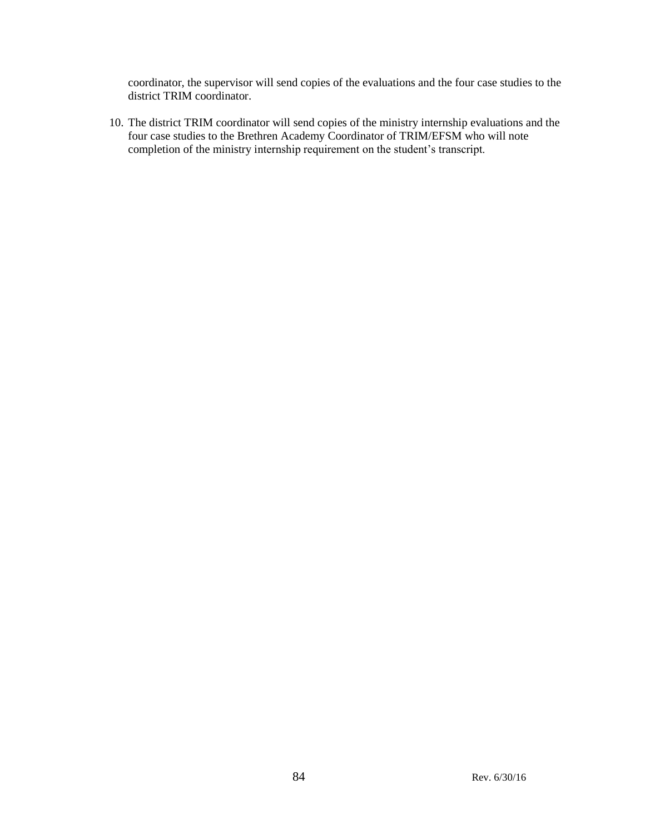coordinator, the supervisor will send copies of the evaluations and the four case studies to the district TRIM coordinator.

10. The district TRIM coordinator will send copies of the ministry internship evaluations and the four case studies to the Brethren Academy Coordinator of TRIM/EFSM who will note completion of the ministry internship requirement on the student's transcript.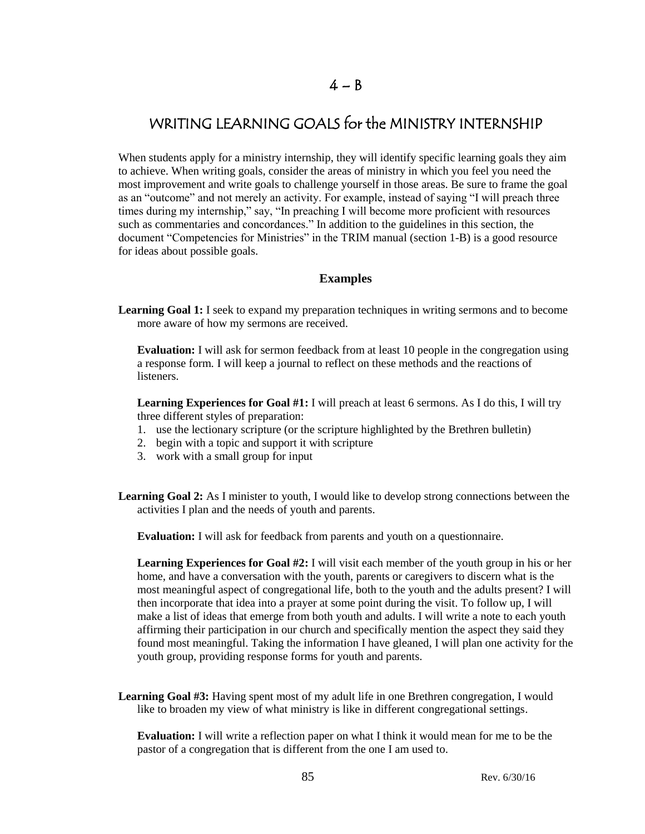# WRITING LEARNING GOALS for the MINISTRY INTERNSHIP

When students apply for a ministry internship, they will identify specific learning goals they aim to achieve. When writing goals, consider the areas of ministry in which you feel you need the most improvement and write goals to challenge yourself in those areas. Be sure to frame the goal as an "outcome" and not merely an activity. For example, instead of saying "I will preach three times during my internship," say, "In preaching I will become more proficient with resources such as commentaries and concordances." In addition to the guidelines in this section, the document "Competencies for Ministries" in the TRIM manual (section 1-B) is a good resource for ideas about possible goals.

#### **Examples**

**Learning Goal 1:** I seek to expand my preparation techniques in writing sermons and to become more aware of how my sermons are received.

**Evaluation:** I will ask for sermon feedback from at least 10 people in the congregation using a response form. I will keep a journal to reflect on these methods and the reactions of listeners.

**Learning Experiences for Goal #1:** I will preach at least 6 sermons. As I do this, I will try three different styles of preparation:

- 1. use the lectionary scripture (or the scripture highlighted by the Brethren bulletin)
- 2. begin with a topic and support it with scripture
- 3. work with a small group for input
- **Learning Goal 2:** As I minister to youth, I would like to develop strong connections between the activities I plan and the needs of youth and parents.

**Evaluation:** I will ask for feedback from parents and youth on a questionnaire.

**Learning Experiences for Goal #2:** I will visit each member of the youth group in his or her home, and have a conversation with the youth, parents or caregivers to discern what is the most meaningful aspect of congregational life, both to the youth and the adults present? I will then incorporate that idea into a prayer at some point during the visit. To follow up, I will make a list of ideas that emerge from both youth and adults. I will write a note to each youth affirming their participation in our church and specifically mention the aspect they said they found most meaningful. Taking the information I have gleaned, I will plan one activity for the youth group, providing response forms for youth and parents.

**Learning Goal #3:** Having spent most of my adult life in one Brethren congregation, I would like to broaden my view of what ministry is like in different congregational settings.

**Evaluation:** I will write a reflection paper on what I think it would mean for me to be the pastor of a congregation that is different from the one I am used to.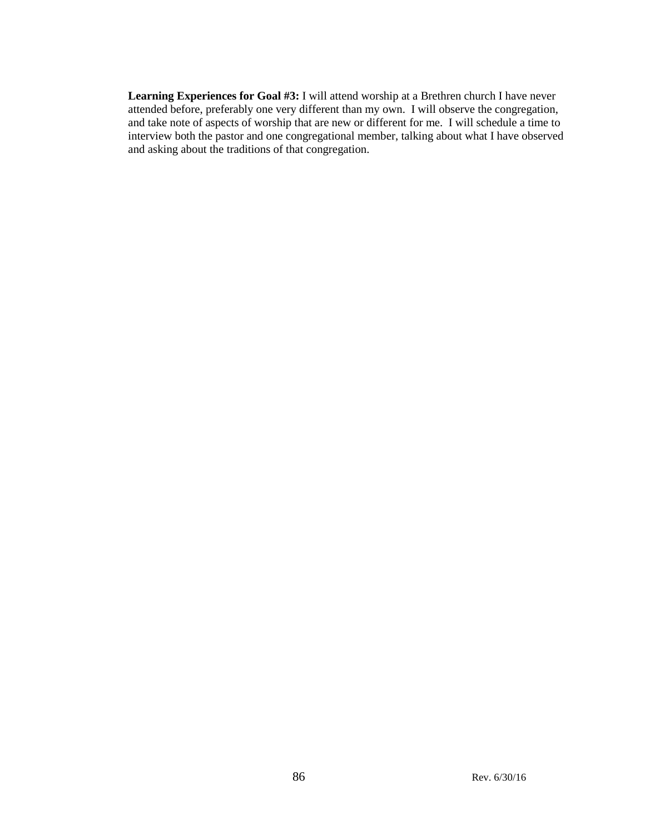**Learning Experiences for Goal #3:** I will attend worship at a Brethren church I have never attended before, preferably one very different than my own. I will observe the congregation, and take note of aspects of worship that are new or different for me. I will schedule a time to interview both the pastor and one congregational member, talking about what I have observed and asking about the traditions of that congregation.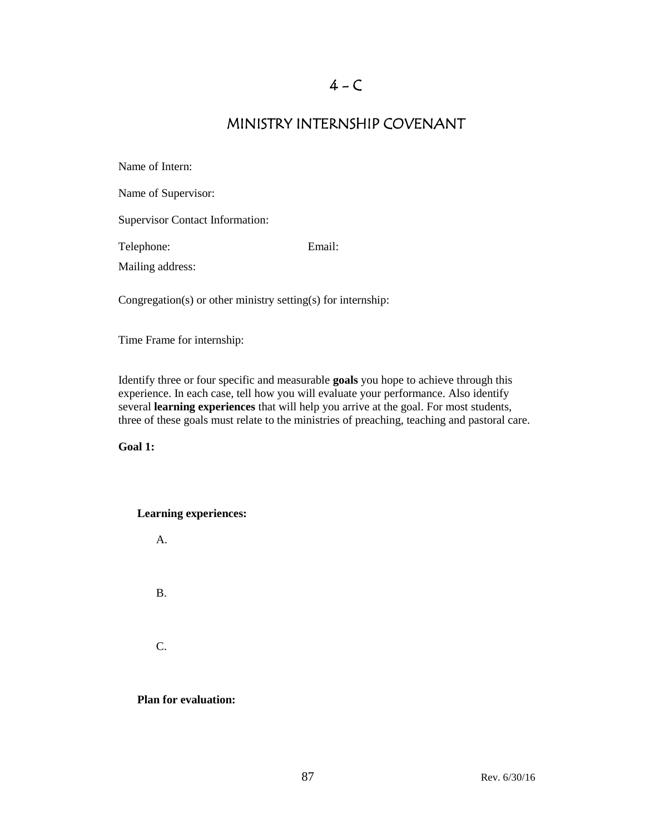## MINISTRY INTERNSHIP COVENANT

| Name of Intern:                        |        |
|----------------------------------------|--------|
| Name of Supervisor:                    |        |
| <b>Supervisor Contact Information:</b> |        |
| Telephone:                             | Email: |
| Mailing address:                       |        |
|                                        |        |

Congregation(s) or other ministry setting(s) for internship:

Time Frame for internship:

Identify three or four specific and measurable **goals** you hope to achieve through this experience. In each case, tell how you will evaluate your performance. Also identify several **learning experiences** that will help you arrive at the goal. For most students, three of these goals must relate to the ministries of preaching, teaching and pastoral care.

**Goal 1:**

#### **Learning experiences:**



**Plan for evaluation:**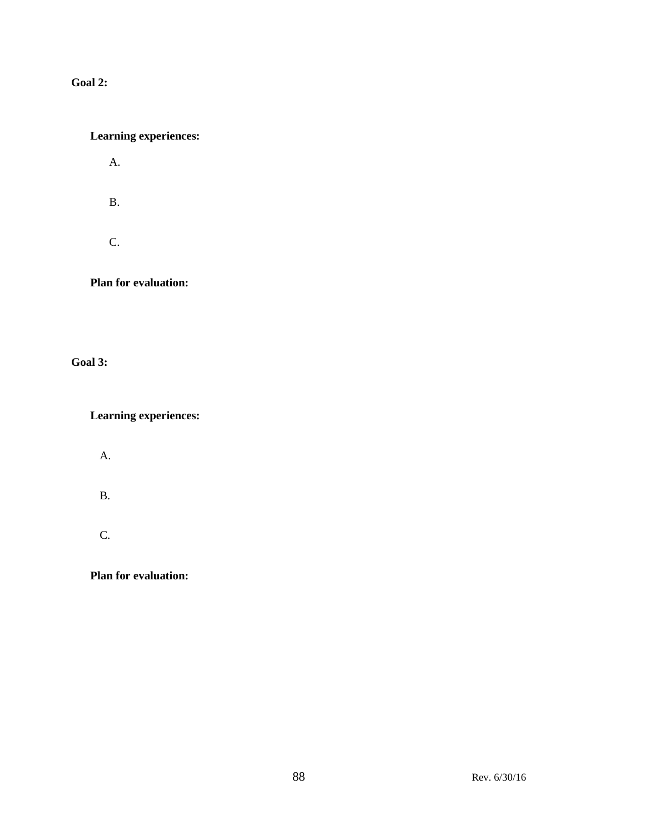**Goal 2:**

**Learning experiences:**

A.

B.

C.

**Plan for evaluation:**

**Goal 3:**

**Learning experiences:**

A.

B.

C.

**Plan for evaluation:**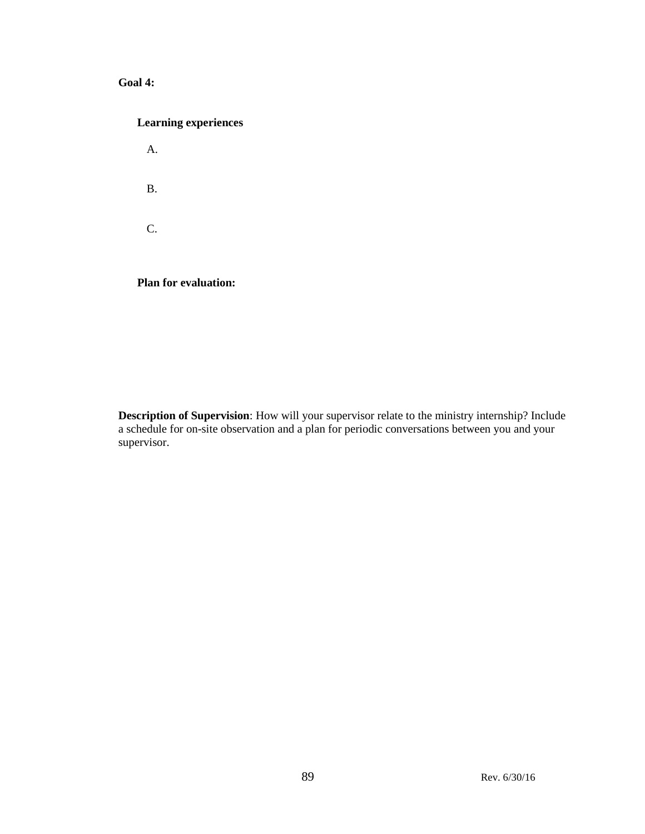### **Goal 4:**

| <b>Learning experiences</b> |
|-----------------------------|
| $\mathsf{A}$ .              |
| Β.                          |
| C.                          |
| <b>Plan for evaluation:</b> |

**Description of Supervision**: How will your supervisor relate to the ministry internship? Include a schedule for on-site observation and a plan for periodic conversations between you and your supervisor.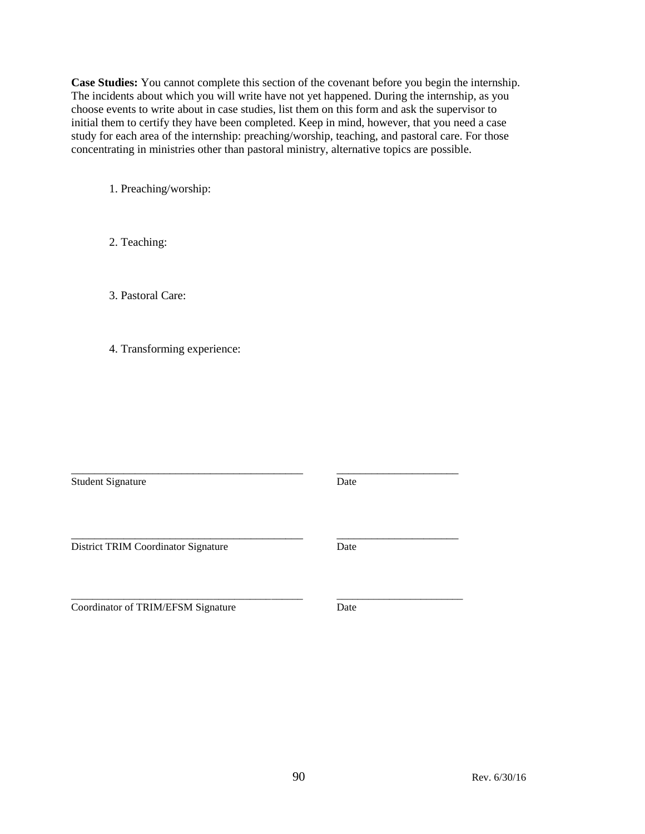**Case Studies:** You cannot complete this section of the covenant before you begin the internship. The incidents about which you will write have not yet happened. During the internship, as you choose events to write about in case studies, list them on this form and ask the supervisor to initial them to certify they have been completed. Keep in mind, however, that you need a case study for each area of the internship: preaching/worship, teaching, and pastoral care. For those concentrating in ministries other than pastoral ministry, alternative topics are possible.

1. Preaching/worship:

2. Teaching:

3. Pastoral Care:

4. Transforming experience:

Student Signature Date

\_\_\_\_\_\_\_\_\_\_\_\_\_\_\_\_\_\_\_\_\_\_\_\_\_\_\_\_\_\_\_\_\_\_\_\_\_\_\_\_ \_\_\_\_\_\_\_\_\_\_\_\_\_\_\_\_\_\_\_\_\_

District TRIM Coordinator Signature Date

\_\_\_\_\_\_\_\_\_\_\_\_\_\_\_\_\_\_\_\_\_\_\_\_\_\_\_\_\_\_\_\_\_\_\_\_\_\_\_\_ \_\_\_\_\_\_\_\_\_\_\_\_\_\_\_\_\_\_\_\_\_

\_\_\_\_\_\_\_\_\_\_\_\_\_\_\_\_\_\_\_\_\_\_\_\_\_\_\_\_\_\_\_\_\_\_\_\_\_\_\_\_\_\_\_\_ \_\_\_\_\_\_\_\_\_\_\_\_\_\_\_\_\_\_\_\_\_\_\_\_

Coordinator of TRIM/EFSM Signature Date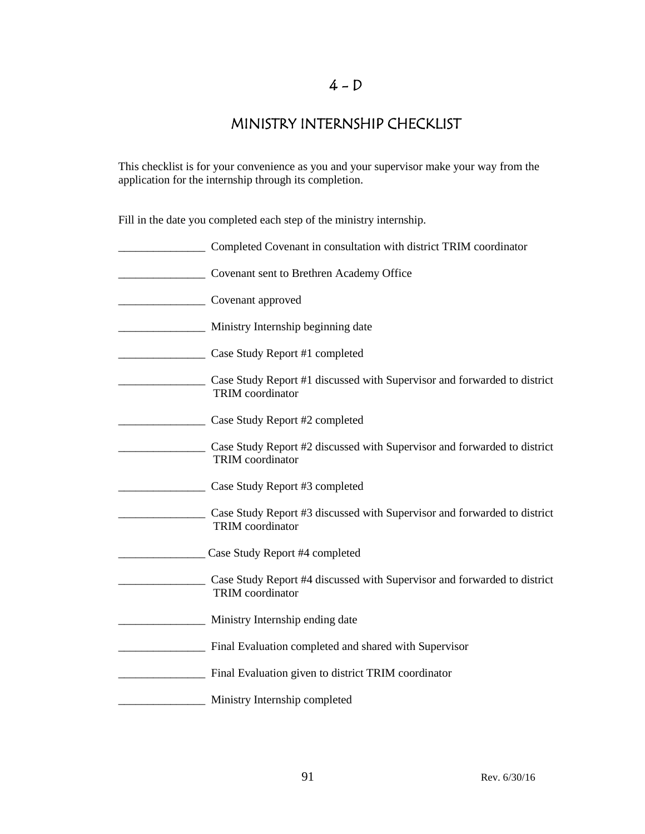# MINISTRY INTERNSHIP CHECKLIST

This checklist is for your convenience as you and your supervisor make your way from the application for the internship through its completion.

Fill in the date you completed each step of the ministry internship.

| Completed Covenant in consultation with district TRIM coordinator                                   |
|-----------------------------------------------------------------------------------------------------|
| Covenant sent to Brethren Academy Office                                                            |
| Covenant approved                                                                                   |
| Ministry Internship beginning date                                                                  |
| Case Study Report #1 completed                                                                      |
| Case Study Report #1 discussed with Supervisor and forwarded to district<br><b>TRIM</b> coordinator |
| Case Study Report #2 completed                                                                      |
| Case Study Report #2 discussed with Supervisor and forwarded to district<br><b>TRIM</b> coordinator |
| Case Study Report #3 completed                                                                      |
| Case Study Report #3 discussed with Supervisor and forwarded to district<br>TRIM coordinator        |
| Case Study Report #4 completed                                                                      |
| Case Study Report #4 discussed with Supervisor and forwarded to district<br><b>TRIM</b> coordinator |
| Ministry Internship ending date                                                                     |
| Final Evaluation completed and shared with Supervisor                                               |
| Final Evaluation given to district TRIM coordinator                                                 |
| Ministry Internship completed                                                                       |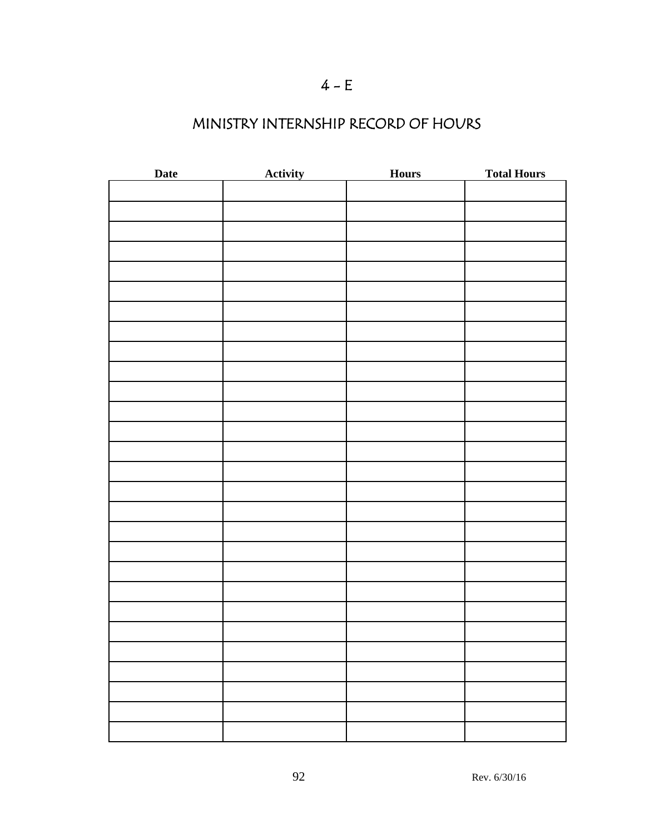# $4 - E$

# MINISTRY INTERNSHIP RECORD OF HOURS

| Date | <b>Activity</b> | <b>Hours</b> | <b>Total Hours</b> |
|------|-----------------|--------------|--------------------|
|      |                 |              |                    |
|      |                 |              |                    |
|      |                 |              |                    |
|      |                 |              |                    |
|      |                 |              |                    |
|      |                 |              |                    |
|      |                 |              |                    |
|      |                 |              |                    |
|      |                 |              |                    |
|      |                 |              |                    |
|      |                 |              |                    |
|      |                 |              |                    |
|      |                 |              |                    |
|      |                 |              |                    |
|      |                 |              |                    |
|      |                 |              |                    |
|      |                 |              |                    |
|      |                 |              |                    |
|      |                 |              |                    |
|      |                 |              |                    |
|      |                 |              |                    |
|      |                 |              |                    |
|      |                 |              |                    |
|      |                 |              |                    |
|      |                 |              |                    |
|      |                 |              |                    |
|      |                 |              |                    |
|      |                 |              |                    |
|      |                 |              |                    |
|      |                 |              |                    |
|      |                 |              |                    |
|      |                 |              |                    |
|      |                 |              |                    |
|      |                 |              |                    |
|      |                 |              |                    |
|      |                 |              |                    |
|      |                 |              |                    |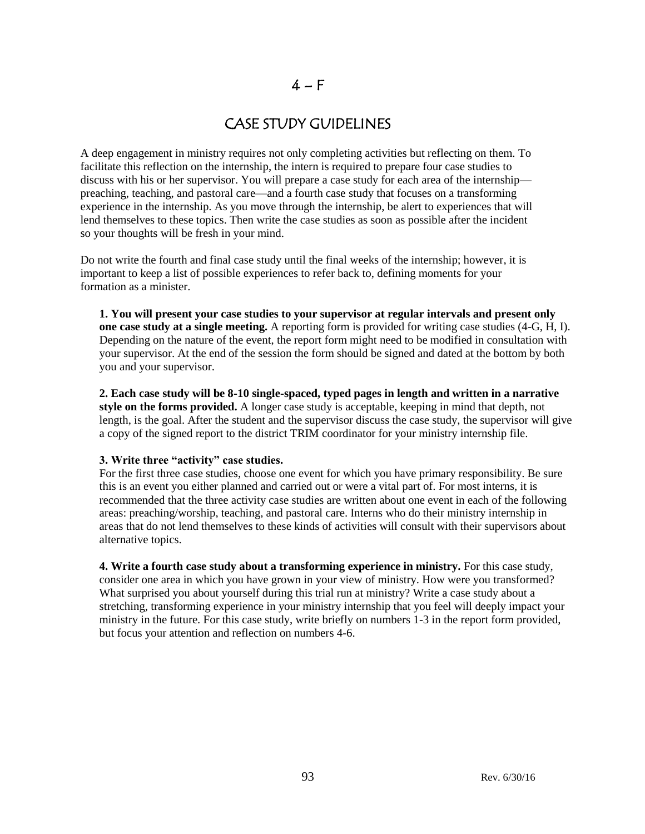### $4-F$

## CASE STUDY GUIDELINES

A deep engagement in ministry requires not only completing activities but reflecting on them. To facilitate this reflection on the internship, the intern is required to prepare four case studies to discuss with his or her supervisor. You will prepare a case study for each area of the internship preaching, teaching, and pastoral care—and a fourth case study that focuses on a transforming experience in the internship. As you move through the internship, be alert to experiences that will lend themselves to these topics. Then write the case studies as soon as possible after the incident so your thoughts will be fresh in your mind.

Do not write the fourth and final case study until the final weeks of the internship; however, it is important to keep a list of possible experiences to refer back to, defining moments for your formation as a minister.

**1. You will present your case studies to your supervisor at regular intervals and present only one case study at a single meeting.** A reporting form is provided for writing case studies (4-G, H, I). Depending on the nature of the event, the report form might need to be modified in consultation with your supervisor. At the end of the session the form should be signed and dated at the bottom by both you and your supervisor.

**2. Each case study will be 8-10 single-spaced, typed pages in length and written in a narrative style on the forms provided.** A longer case study is acceptable, keeping in mind that depth, not length, is the goal. After the student and the supervisor discuss the case study, the supervisor will give a copy of the signed report to the district TRIM coordinator for your ministry internship file.

#### **3. Write three "activity" case studies.**

For the first three case studies, choose one event for which you have primary responsibility. Be sure this is an event you either planned and carried out or were a vital part of. For most interns, it is recommended that the three activity case studies are written about one event in each of the following areas: preaching/worship, teaching, and pastoral care. Interns who do their ministry internship in areas that do not lend themselves to these kinds of activities will consult with their supervisors about alternative topics.

**4. Write a fourth case study about a transforming experience in ministry.** For this case study, consider one area in which you have grown in your view of ministry. How were you transformed? What surprised you about yourself during this trial run at ministry? Write a case study about a stretching, transforming experience in your ministry internship that you feel will deeply impact your ministry in the future. For this case study, write briefly on numbers 1-3 in the report form provided, but focus your attention and reflection on numbers 4-6.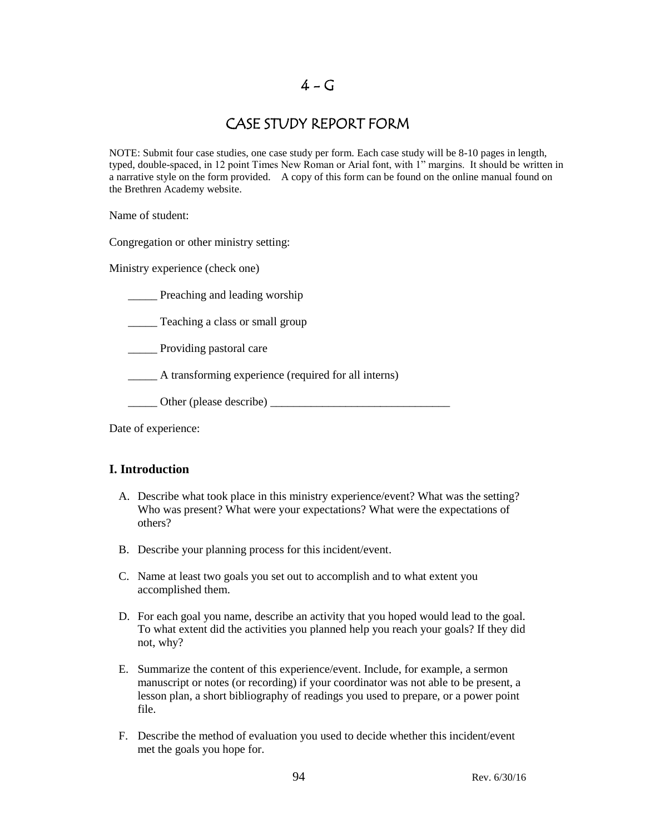## $4 - G$

## CASE STUDY REPORT FORM

NOTE: Submit four case studies, one case study per form. Each case study will be 8-10 pages in length, typed, double-spaced, in 12 point Times New Roman or Arial font, with 1" margins. It should be written in a narrative style on the form provided. A copy of this form can be found on the online manual found on the Brethren Academy website.

Name of student:

Congregation or other ministry setting:

Ministry experience (check one)

**EXECUTE:** Preaching and leading worship

\_\_\_\_\_ Teaching a class or small group

\_\_\_\_\_ Providing pastoral care

\_\_\_\_\_ A transforming experience (required for all interns)

\_\_\_\_\_ Other (please describe) \_\_\_\_\_\_\_\_\_\_\_\_\_\_\_\_\_\_\_\_\_\_\_\_\_\_\_\_\_\_\_

Date of experience:

### **I. Introduction**

- A. Describe what took place in this ministry experience/event? What was the setting? Who was present? What were your expectations? What were the expectations of others?
- B. Describe your planning process for this incident/event.
- C. Name at least two goals you set out to accomplish and to what extent you accomplished them.
- D. For each goal you name, describe an activity that you hoped would lead to the goal. To what extent did the activities you planned help you reach your goals? If they did not, why?
- E. Summarize the content of this experience/event. Include, for example, a sermon manuscript or notes (or recording) if your coordinator was not able to be present, a lesson plan, a short bibliography of readings you used to prepare, or a power point file.
- F. Describe the method of evaluation you used to decide whether this incident/event met the goals you hope for.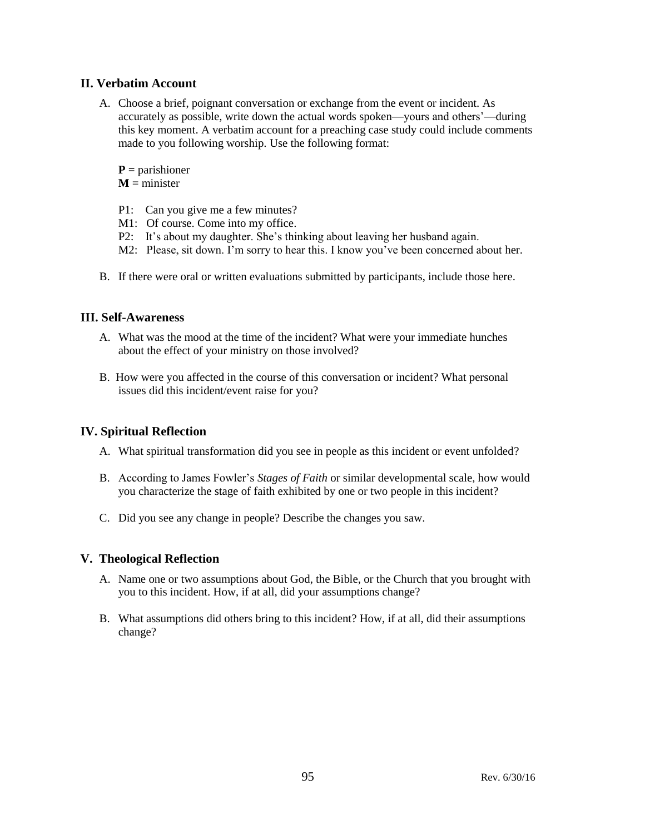#### **II. Verbatim Account**

A. Choose a brief, poignant conversation or exchange from the event or incident. As accurately as possible, write down the actual words spoken—yours and others'—during this key moment. A verbatim account for a preaching case study could include comments made to you following worship. Use the following format:

**P =** parishioner

 $M =$  minister

- P1: Can you give me a few minutes?
- M1: Of course. Come into my office.
- P2: It's about my daughter. She's thinking about leaving her husband again.
- M2: Please, sit down. I'm sorry to hear this. I know you've been concerned about her.
- B. If there were oral or written evaluations submitted by participants, include those here.

#### **III. Self-Awareness**

- A. What was the mood at the time of the incident? What were your immediate hunches about the effect of your ministry on those involved?
- B. How were you affected in the course of this conversation or incident? What personal issues did this incident/event raise for you?

### **IV. Spiritual Reflection**

- A. What spiritual transformation did you see in people as this incident or event unfolded?
- B. According to James Fowler's *Stages of Faith* or similar developmental scale, how would you characterize the stage of faith exhibited by one or two people in this incident?
- C. Did you see any change in people? Describe the changes you saw.

### **V. Theological Reflection**

- A. Name one or two assumptions about God, the Bible, or the Church that you brought with you to this incident. How, if at all, did your assumptions change?
- B. What assumptions did others bring to this incident? How, if at all, did their assumptions change?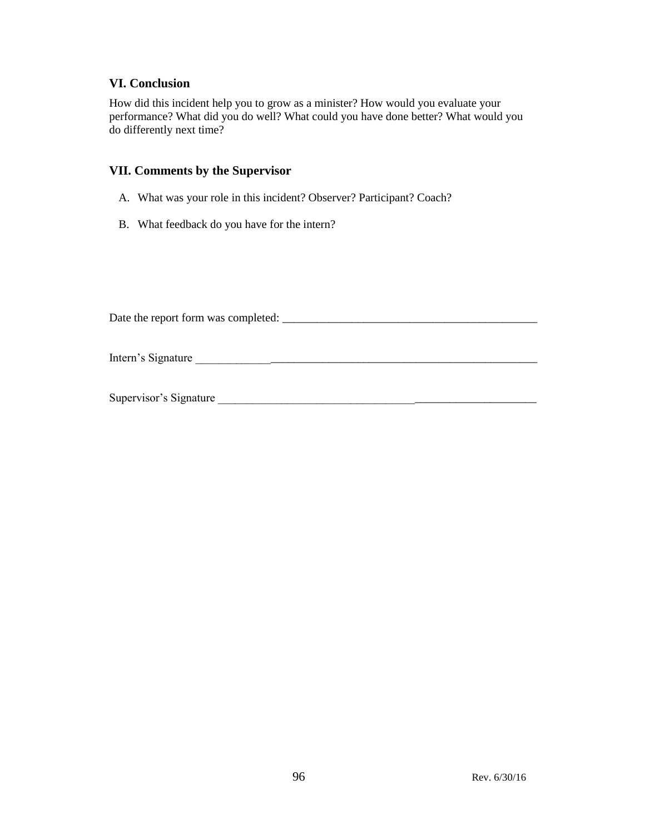#### **VI. Conclusion**

How did this incident help you to grow as a minister? How would you evaluate your performance? What did you do well? What could you have done better? What would you do differently next time?

#### **VII. Comments by the Supervisor**

- A. What was your role in this incident? Observer? Participant? Coach?
- B. What feedback do you have for the intern?

Date the report form was completed: \_\_\_\_\_\_\_\_\_\_\_\_\_\_\_\_\_\_\_\_\_\_\_\_\_\_\_\_\_\_\_\_\_\_\_\_\_\_\_\_\_\_\_\_

Intern's Signature \_\_\_\_\_\_\_\_\_\_\_\_\_\_\_\_\_\_\_\_\_\_\_\_\_\_\_\_\_\_\_\_\_\_\_\_\_\_\_\_\_\_\_\_\_\_\_\_\_\_\_\_\_\_\_\_\_\_\_

Supervisor's Signature \_\_\_\_\_\_\_\_\_\_\_\_\_\_\_\_\_\_\_\_\_\_\_\_\_\_\_\_\_\_\_\_\_\_\_\_\_\_\_\_\_\_\_\_\_\_\_\_\_\_\_\_\_\_\_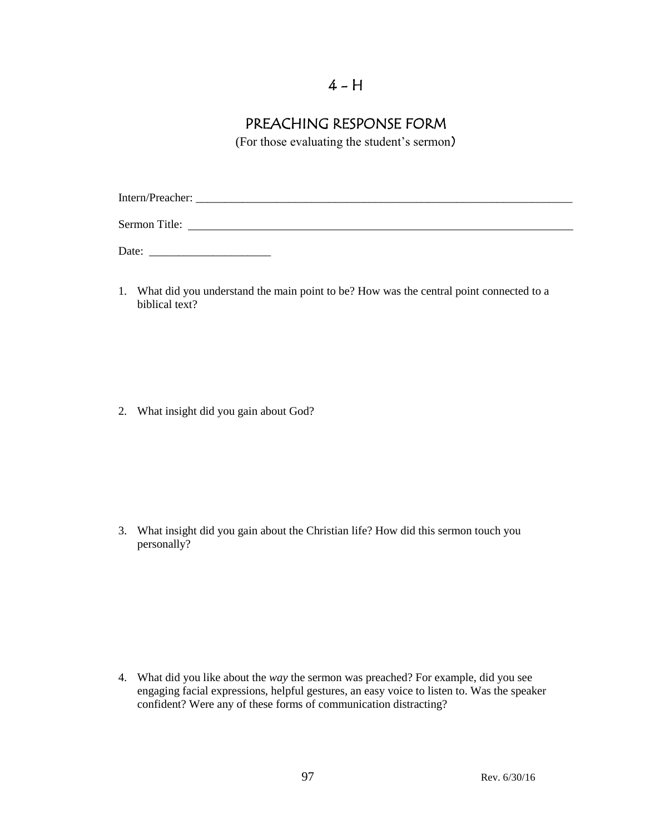# $4 - H$

# PREACHING RESPONSE FORM

(For those evaluating the student's sermon)

Intern/Preacher: Sermon Title:

Date: \_\_\_\_\_\_\_\_\_\_\_\_\_\_\_\_\_\_\_\_\_

1. What did you understand the main point to be? How was the central point connected to a biblical text?

2. What insight did you gain about God?

3. What insight did you gain about the Christian life? How did this sermon touch you personally?

4. What did you like about the *way* the sermon was preached? For example, did you see engaging facial expressions, helpful gestures, an easy voice to listen to. Was the speaker confident? Were any of these forms of communication distracting?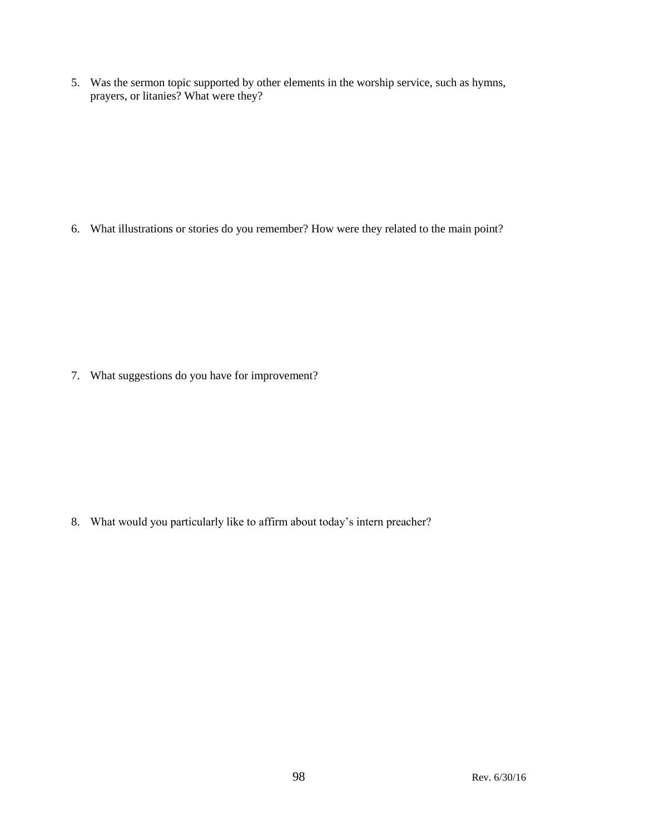5. Was the sermon topic supported by other elements in the worship service, such as hymns, prayers, or litanies? What were they?

6. What illustrations or stories do you remember? How were they related to the main point?

7. What suggestions do you have for improvement?

8. What would you particularly like to affirm about today's intern preacher?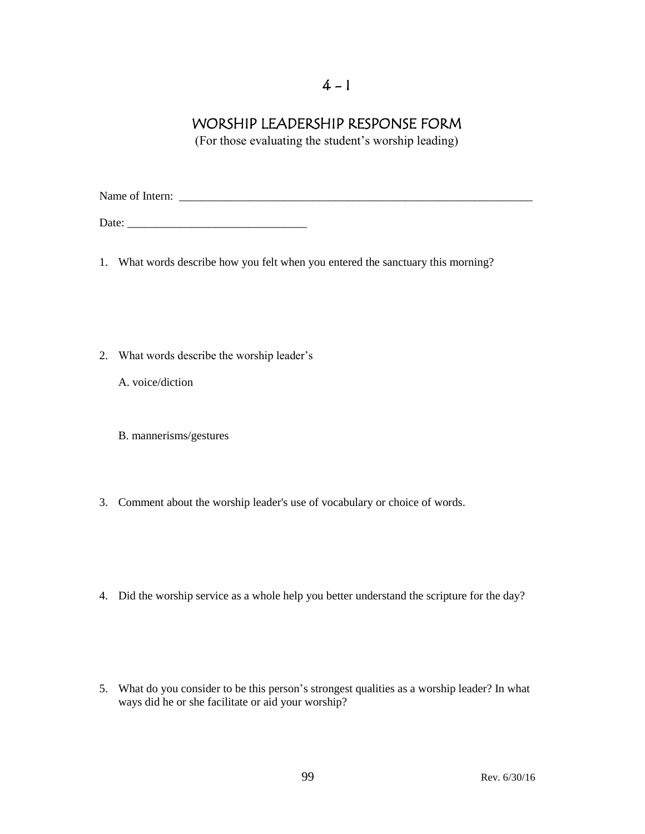# $4 - 1$

## WORSHIP LEADERSHIP RESPONSE FORM

(For those evaluating the student's worship leading)

Name of Intern: \_\_\_\_\_\_\_\_\_\_\_\_\_\_\_\_\_\_\_\_\_\_\_\_\_\_\_\_\_\_\_\_\_\_\_\_\_\_\_\_\_\_\_\_\_\_\_\_\_\_\_\_\_\_\_\_\_\_\_\_\_

Date: \_\_\_\_\_\_\_\_\_\_\_\_\_\_\_\_\_\_\_\_\_\_\_\_\_\_\_\_\_\_\_

- 1. What words describe how you felt when you entered the sanctuary this morning?
- 2. What words describe the worship leader's
	- A. voice/diction
	- B. mannerisms/gestures
- 3. Comment about the worship leader's use of vocabulary or choice of words.
- 4. Did the worship service as a whole help you better understand the scripture for the day?
- 5. What do you consider to be this person's strongest qualities as a worship leader? In what ways did he or she facilitate or aid your worship?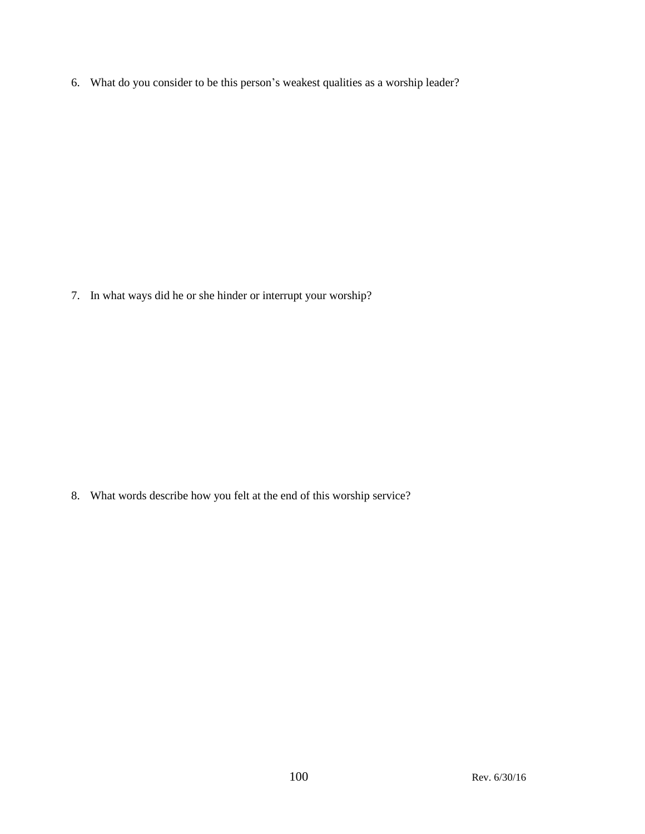6. What do you consider to be this person's weakest qualities as a worship leader?

7. In what ways did he or she hinder or interrupt your worship?

8. What words describe how you felt at the end of this worship service?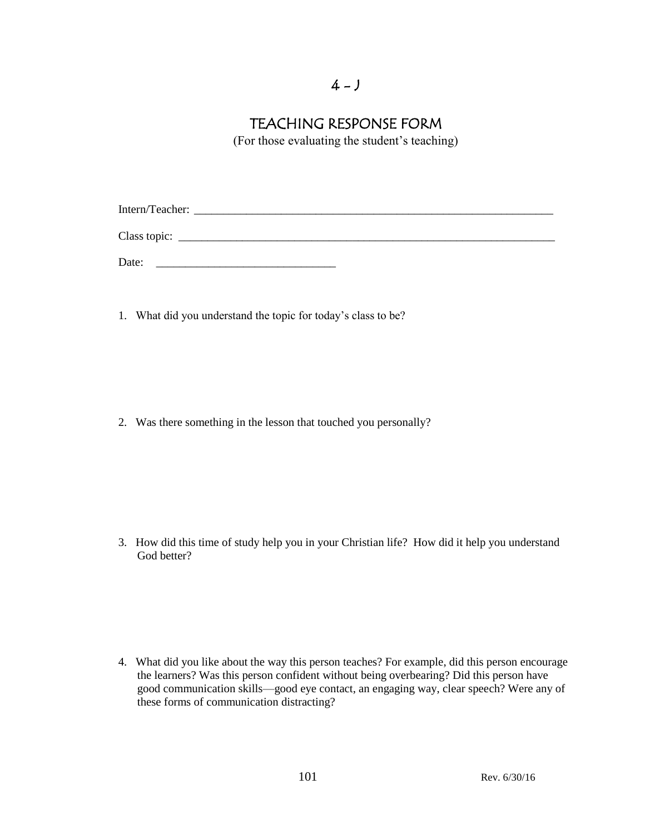# $4 - J$

## TEACHING RESPONSE FORM

(For those evaluating the student's teaching)

Intern/Teacher: Class topic: \_\_\_\_\_\_\_\_\_\_\_\_\_\_\_\_\_\_\_\_\_\_\_\_\_\_\_\_\_\_\_\_\_\_\_\_\_\_\_\_\_\_\_\_\_\_\_\_\_\_\_\_\_\_\_\_\_\_\_\_\_\_\_\_\_

Date:

1. What did you understand the topic for today's class to be?

2. Was there something in the lesson that touched you personally?

3. How did this time of study help you in your Christian life? How did it help you understand God better?

4. What did you like about the way this person teaches? For example, did this person encourage the learners? Was this person confident without being overbearing? Did this person have good communication skills—good eye contact, an engaging way, clear speech? Were any of these forms of communication distracting?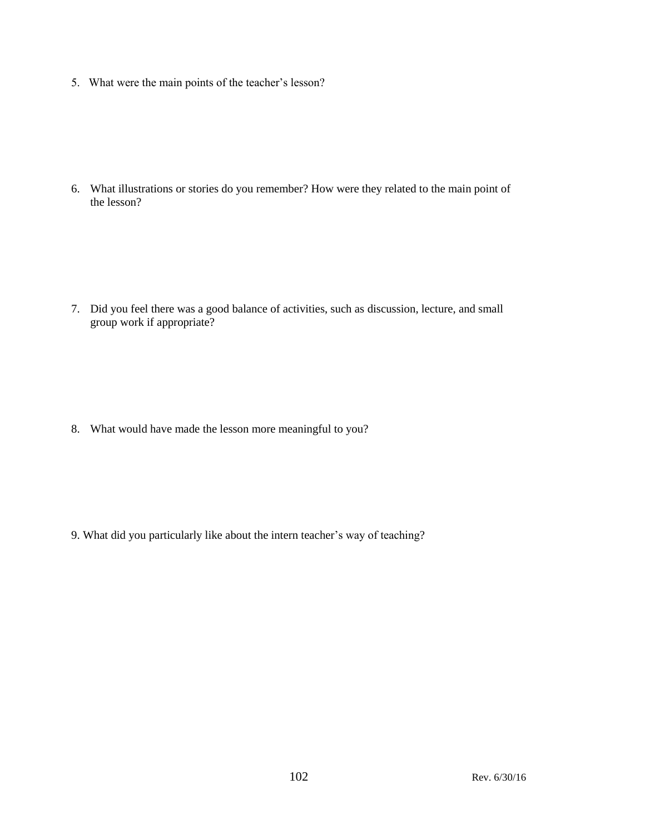5. What were the main points of the teacher's lesson?

6. What illustrations or stories do you remember? How were they related to the main point of the lesson?

7. Did you feel there was a good balance of activities, such as discussion, lecture, and small group work if appropriate?

8. What would have made the lesson more meaningful to you?

9. What did you particularly like about the intern teacher's way of teaching?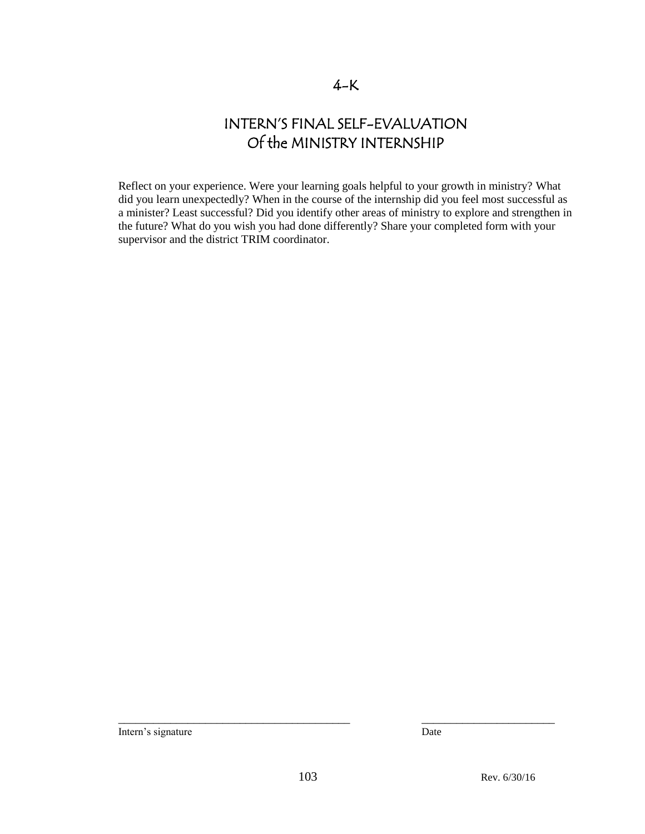## 4-K

# INTERN'S FINAL SELF-EVALUATION Of the MINISTRY INTERNSHIP

Reflect on your experience. Were your learning goals helpful to your growth in ministry? What did you learn unexpectedly? When in the course of the internship did you feel most successful as a minister? Least successful? Did you identify other areas of ministry to explore and strengthen in the future? What do you wish you had done differently? Share your completed form with your supervisor and the district TRIM coordinator.

Intern's signature Date

\_\_\_\_\_\_\_\_\_\_\_\_\_\_\_\_\_\_\_\_\_\_\_\_\_\_\_\_\_\_\_\_\_\_\_\_\_\_\_\_ \_\_\_\_\_\_\_\_\_\_\_\_\_\_\_\_\_\_\_\_\_\_\_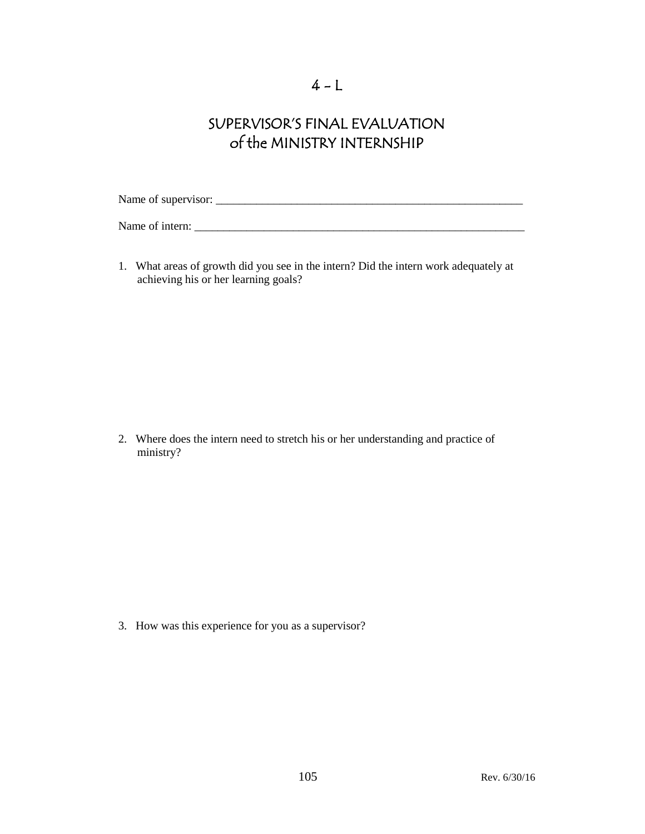# SUPERVISOR'S FINAL EVALUATION of the MINISTRY INTERNSHIP

Name of supervisor: \_\_\_\_\_\_\_\_\_\_\_\_\_\_\_\_\_\_\_\_\_\_\_\_\_\_\_\_\_\_\_\_\_\_\_\_\_\_\_\_\_\_\_\_\_\_\_\_\_\_\_\_\_

Name of intern: \_\_\_\_\_\_\_\_\_\_\_\_\_\_\_\_\_\_\_\_\_\_\_\_\_\_\_\_\_\_\_\_\_\_\_\_\_\_\_\_\_\_\_\_\_\_\_\_\_\_\_\_\_\_\_\_\_

1. What areas of growth did you see in the intern? Did the intern work adequately at achieving his or her learning goals?

2. Where does the intern need to stretch his or her understanding and practice of ministry?

3. How was this experience for you as a supervisor?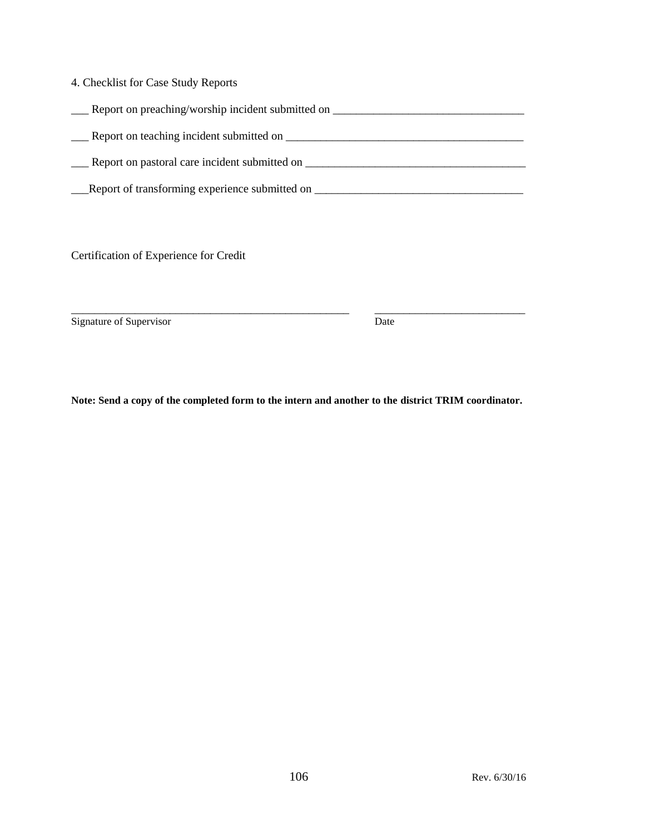| 4. Checklist for Case Study Reports |
|-------------------------------------|
|-------------------------------------|

| Report on preaching/worship incident submitted on |
|---------------------------------------------------|
| Report on teaching incident submitted on          |
| Report on pastoral care incident submitted on     |
|                                                   |

\_\_\_Report of transforming experience submitted on \_\_\_\_\_\_\_\_\_\_\_\_\_\_\_\_\_\_\_\_\_\_\_\_\_\_\_\_\_\_\_\_\_\_\_\_

Certification of Experience for Credit

Signature of Supervisor Date

**Note: Send a copy of the completed form to the intern and another to the district TRIM coordinator.** 

\_\_\_\_\_\_\_\_\_\_\_\_\_\_\_\_\_\_\_\_\_\_\_\_\_\_\_\_\_\_\_\_\_\_\_\_\_\_\_\_\_\_\_\_\_\_\_\_ \_\_\_\_\_\_\_\_\_\_\_\_\_\_\_\_\_\_\_\_\_\_\_\_\_\_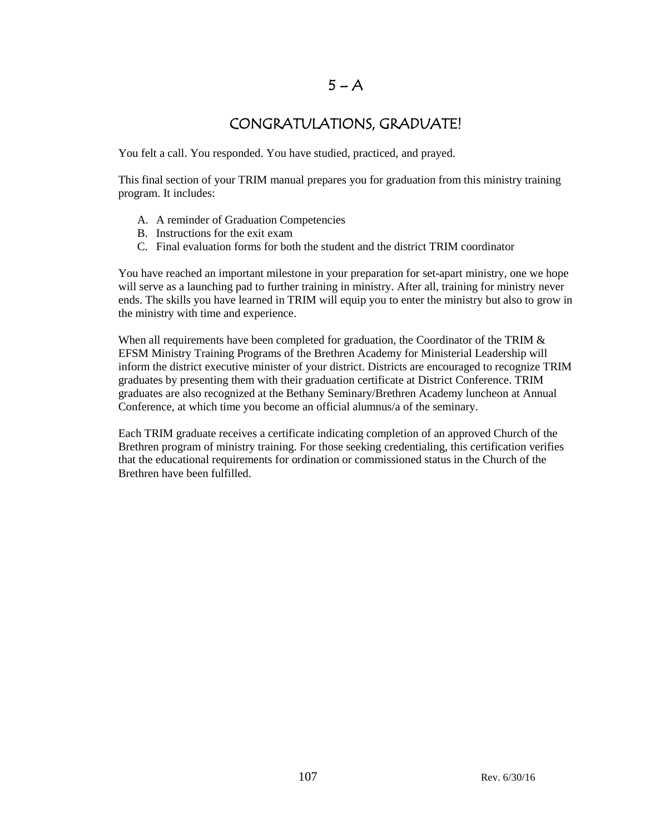### $5 - A$

## CONGRATULATIONS, GRADUATE!

You felt a call. You responded. You have studied, practiced, and prayed.

This final section of your TRIM manual prepares you for graduation from this ministry training program. It includes:

- A. A reminder of Graduation Competencies
- B. Instructions for the exit exam
- C. Final evaluation forms for both the student and the district TRIM coordinator

You have reached an important milestone in your preparation for set-apart ministry, one we hope will serve as a launching pad to further training in ministry. After all, training for ministry never ends. The skills you have learned in TRIM will equip you to enter the ministry but also to grow in the ministry with time and experience.

When all requirements have been completed for graduation, the Coordinator of the TRIM  $&$ EFSM Ministry Training Programs of the Brethren Academy for Ministerial Leadership will inform the district executive minister of your district. Districts are encouraged to recognize TRIM graduates by presenting them with their graduation certificate at District Conference. TRIM graduates are also recognized at the Bethany Seminary/Brethren Academy luncheon at Annual Conference, at which time you become an official alumnus/a of the seminary.

Each TRIM graduate receives a certificate indicating completion of an approved Church of the Brethren program of ministry training. For those seeking credentialing, this certification verifies that the educational requirements for ordination or commissioned status in the Church of the Brethren have been fulfilled.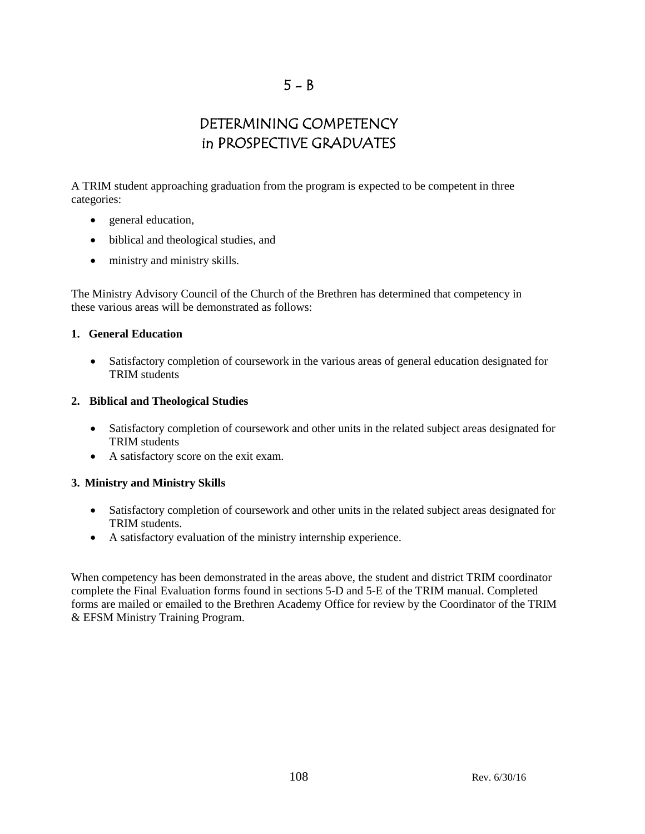# DETERMINING COMPETENCY in PROSPECTIVE GRADUATES

A TRIM student approaching graduation from the program is expected to be competent in three categories:

- general education,
- biblical and theological studies, and
- ministry and ministry skills.

The Ministry Advisory Council of the Church of the Brethren has determined that competency in these various areas will be demonstrated as follows:

#### **1. General Education**

 Satisfactory completion of coursework in the various areas of general education designated for TRIM students

#### **2. Biblical and Theological Studies**

- Satisfactory completion of coursework and other units in the related subject areas designated for TRIM students
- A satisfactory score on the exit exam.

#### **3. Ministry and Ministry Skills**

- Satisfactory completion of coursework and other units in the related subject areas designated for TRIM students.
- A satisfactory evaluation of the ministry internship experience.

When competency has been demonstrated in the areas above, the student and district TRIM coordinator complete the Final Evaluation forms found in sections 5-D and 5-E of the TRIM manual. Completed forms are mailed or emailed to the Brethren Academy Office for review by the Coordinator of the TRIM & EFSM Ministry Training Program.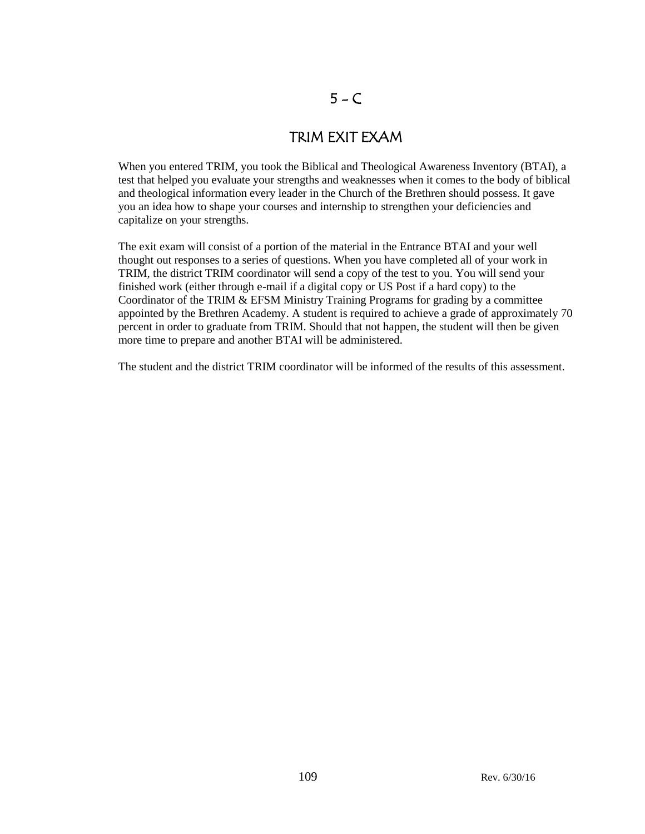# $5 - C$

### TRIM EXIT EXAM

When you entered TRIM, you took the Biblical and Theological Awareness Inventory (BTAI), a test that helped you evaluate your strengths and weaknesses when it comes to the body of biblical and theological information every leader in the Church of the Brethren should possess. It gave you an idea how to shape your courses and internship to strengthen your deficiencies and capitalize on your strengths.

The exit exam will consist of a portion of the material in the Entrance BTAI and your well thought out responses to a series of questions. When you have completed all of your work in TRIM, the district TRIM coordinator will send a copy of the test to you. You will send your finished work (either through e-mail if a digital copy or US Post if a hard copy) to the Coordinator of the TRIM & EFSM Ministry Training Programs for grading by a committee appointed by the Brethren Academy. A student is required to achieve a grade of approximately 70 percent in order to graduate from TRIM. Should that not happen, the student will then be given more time to prepare and another BTAI will be administered.

The student and the district TRIM coordinator will be informed of the results of this assessment.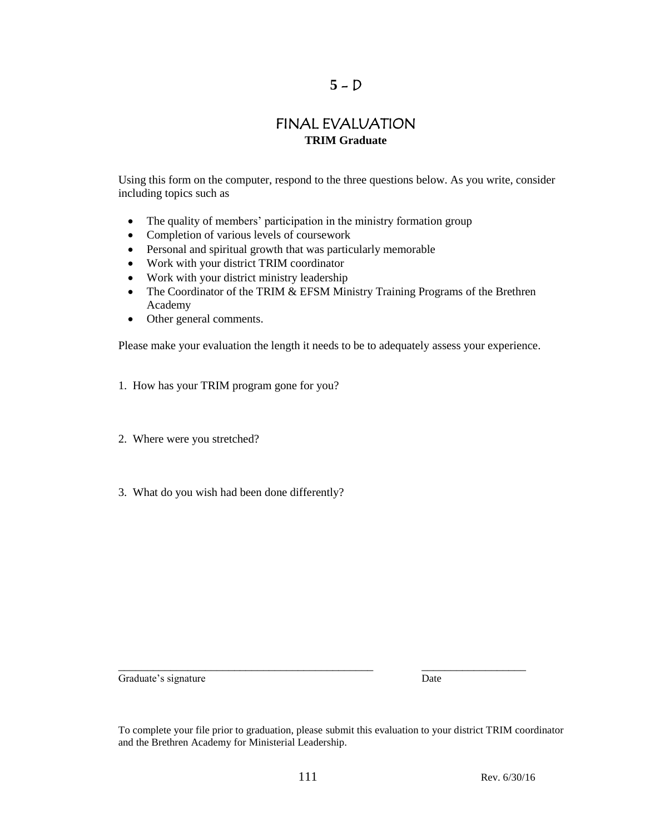### **5** - D

## FINAL EVALUATION **TRIM Graduate**

Using this form on the computer, respond to the three questions below. As you write, consider including topics such as

- The quality of members' participation in the ministry formation group
- Completion of various levels of coursework
- Personal and spiritual growth that was particularly memorable
- Work with your district TRIM coordinator
- Work with your district ministry leadership
- The Coordinator of the TRIM & EFSM Ministry Training Programs of the Brethren Academy
- Other general comments.

Please make your evaluation the length it needs to be to adequately assess your experience.

- 1. How has your TRIM program gone for you?
- 2. Where were you stretched?
- 3. What do you wish had been done differently?

Graduate's signature Date

\_\_\_\_\_\_\_\_\_\_\_\_\_\_\_\_\_\_\_\_\_\_\_\_\_\_\_\_\_\_\_\_\_\_\_\_\_\_\_\_\_\_\_\_ \_\_\_\_\_\_\_\_\_\_\_\_\_\_\_\_\_\_

To complete your file prior to graduation, please submit this evaluation to your district TRIM coordinator and the Brethren Academy for Ministerial Leadership.